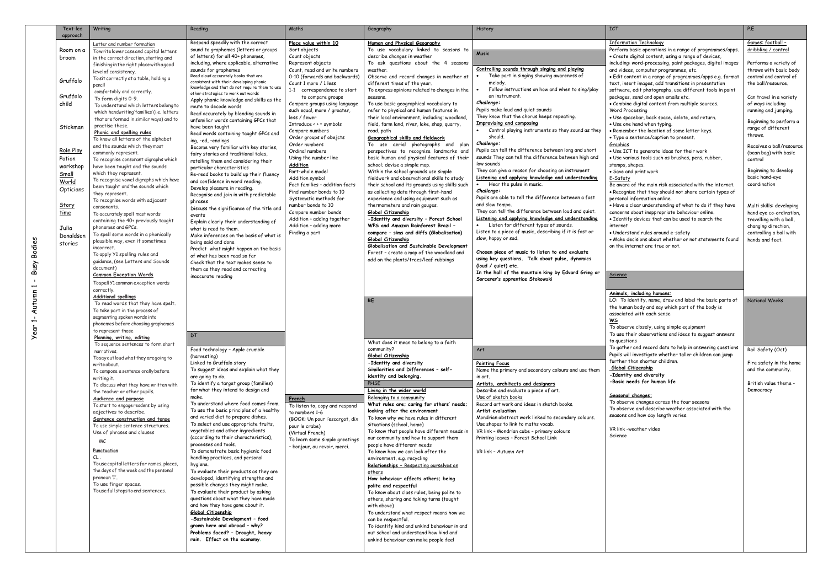| Text-led<br>approach | Writing                                                          | Reading                                                                         | Maths                                                | Geography                                                                              | History                                                                      | <b>ICT</b>                                                                                                           | P.E                                           |
|----------------------|------------------------------------------------------------------|---------------------------------------------------------------------------------|------------------------------------------------------|----------------------------------------------------------------------------------------|------------------------------------------------------------------------------|----------------------------------------------------------------------------------------------------------------------|-----------------------------------------------|
|                      | Letter and number formation                                      | Respond speedily with the correct                                               | Place value within 10                                | Human and Physical Geography                                                           |                                                                              | <b>Information Technology</b>                                                                                        | Games: football -                             |
| Room on a            | Towrite lower case and capital letters                           | sound to graphemes (letters or groups                                           | Sort objects                                         | To use vocabulary linked to seasons to                                                 |                                                                              | Perform basic operations in a range of programmes/apps.                                                              | dribbling / control                           |
| broom                | in the correct direction, starting and                           | of letters) for all 40+ phonemes,                                               | Count objects                                        | describe changes in weather                                                            | <b>Music</b>                                                                 | · Create digital content, using a range of devices,                                                                  |                                               |
|                      | finishing in the right place with a good                         | including, where applicable, alternative                                        | Represent objects                                    | To ask questions about the 4 seasons                                                   |                                                                              | including: word-processing, paint packages, digital images                                                           | Performs a variety of                         |
|                      | level of consistency.                                            | sounds for graphemes                                                            | Count, read and write numbers                        | weather.                                                                               | Controlling sounds through singing and playing                               | and videos, computer programmes, etc.                                                                                | throws with basic body                        |
| Gruffalo             | To sit correctly at a table, holding a                           | Read aloud accurately books that are<br>consistent with their developing phonic | 0-10 (forwards and backwards)                        | Observe and record changes in weather at                                               | Take part in singing showing awareness of<br>melody.                         | · Edit content in a range of programmes/apps e.g. format                                                             | control and control of                        |
|                      | pencil                                                           | knowledge and that do not require them to use                                   | Count 1 more / 1 less<br>1-1 correspondence to start | different times of the year.<br>To express opinions related to changes in the          | Follow instructions on how and when to sing/play                             | text, insert images, add transitions in presentation<br>software, edit photographs, use different tools in paint     | the ball/resource.                            |
| Gruffalo             | comfortably and correctly.<br>To form digits 0-9.                | other strategies to work out words                                              | to compare groups                                    | seasons.                                                                               | an instrument.                                                               | packages, send and open emails etc.                                                                                  | Can travel in a variety                       |
| child                | To understand which letters belong to                            | Apply phonic knowledge and skills as the                                        | Compare groups using language                        | To use basic geographical vocabulary to                                                | Challenge:                                                                   | • Combine digital content from multiple sources.                                                                     | of ways including                             |
|                      | which handwriting'families' (i.e. letters                        | route to decode words<br>Read accurately by blending sounds in                  | such equal, more / greater,                          | refer to physical and human features in                                                | Pupils make loud and quiet sounds                                            | Word Processing                                                                                                      | running and jumping.                          |
|                      | that are formed in similar ways) and to                          | unfamiliar words containing GPCs that                                           | less / fewer                                         | their local environment, including; woodland,                                          | They know that the chorus keeps repeating.                                   | · Use spacebar, back space, delete, and return.                                                                      | Beginning to perform a                        |
| Stickman             | practise these.                                                  | have been taught                                                                | Introduce $\leftrightarrow$ = symbols                | field, farm land, river, lake, shop, guarry,                                           | <b>Improvising and composing</b>                                             | • Use one hand when typing.                                                                                          | range of different                            |
|                      | Phonic and spelling rules                                        | Read words containing taught GPCs and                                           | Compare numbers                                      | road, path                                                                             | Control playing instruments so they sound as they<br>$\bullet$<br>should.    | • Remember the location of some letter keys.                                                                         | throws.                                       |
|                      | To know all letters of the alphabet                              | ing, -ed, -endings                                                              | Order groups of obejcts<br>Order numbers             | <b>Geographical skills and fieldwork</b><br>To use aerial photographs and plan         | Challenge:                                                                   | • Type a sentence/caption to present.<br>Graphics                                                                    |                                               |
| Role Play            | and the sounds which theymost<br>commonly represent.             | Become very familiar with key stories,                                          | Ordinal numbers                                      | perspectives to recognise landmarks and                                                | Pupils can tell the difference between long and short                        | . Use ICT to generate ideas for their work                                                                           | Receives a ball/resource                      |
| Potion               | To recognise consonant digraphs which                            | fairy stories and traditional tales,                                            | Using the number line                                | basic human and physical features of their                                             | sounds They can tell the difference between high and                         | · Use various tools such as brushes, pens, rubber,                                                                   | (bean bag) with basic<br>control              |
| workshop             | have been taught and the sounds                                  | retelling them and considering their<br>particular characteristics              | <u>Addition</u>                                      | school; devise a simple map.                                                           | low sounds                                                                   | stamps, shapes.                                                                                                      |                                               |
| Small                | which they represent.                                            | Re-read books to build up their fluency                                         | Part-whole model                                     | Within the school grounds use simple                                                   | They can give a reason for choosing an instrument                            | • Save and print work                                                                                                | Beginning to develop                          |
| World                | To recognise vowel digraphs which have                           | and confidence in word reading.                                                 | Addition symbol                                      | fieldwork and observational skills to study                                            | Listening and applying knowledge and understanding                           | E-Safety                                                                                                             | basic hand-eye                                |
| Opticians            | been taught and the sounds which                                 | Develop pleasure in reading.                                                    | Fact families - addition facts                       | their school and its grounds using skills such                                         | Hear the pulse in music.<br>Challenge:                                       | Be aware of the main risk associated with the internet.                                                              | coordination                                  |
|                      | they represent.                                                  | Recognise and join in with predictable                                          | Find number bonds to 10<br>Systematic methods for    | as collecting data through first-hand<br>experience and using equipment such as        | Pupils are able to tell the difference between a fast                        | . Recognise that they should not share certain types of<br>personal information online.                              |                                               |
| Story                | To recognise words with adjacent<br>consonants.                  | phrases                                                                         | number bonds to 10                                   | thermometers and rain gauges.                                                          | and slow tempo.                                                              | . Have a clear understanding of what to do if they have                                                              | Multi skills: developing                      |
| <u>time</u>          | To accurately spell most words                                   | Discuss the significance of the title and                                       | Compare number bonds                                 | Global Citizenship                                                                     | They can tell the difference between loud and quiet.                         | concerns about inappropriate behaviour online.                                                                       | hand eye co-ordination,                       |
|                      | containing the 40+ previously taught                             | events<br>Explain clearly their understanding of                                | Addition - adding together                           | -Identity and diversity - Forest School                                                | Listening and applying knowledge and understanding                           | . Identify devices that can be used to search the                                                                    | travelling with a ball,                       |
| Julia                | phonemes and GPCs.                                               | what is read to them.                                                           | Addition - adding more                               | WPS and Amazon Rainforest Brazil -                                                     | • Listen for different types of sounds.                                      | internet                                                                                                             | changing direction,                           |
| Donaldson            | To spell some words in a phonically                              | Make inferences on the basis of what is                                         | Finding a part                                       | compare - sims and diffs (Globalisation)                                               | Listen to a piece of music, describing if it is fast or                      | · Understand rules around e-safety                                                                                   | controlling a ball with                       |
| stories              | plausible way, even if sometimes                                 | being said and done                                                             |                                                      | Global Citizenship                                                                     | slow, happy or sad.                                                          | . Make decisions about whether or not statements found                                                               | hands and feet.                               |
|                      | incorrect                                                        | Predict what might happen on the basis                                          |                                                      | Globalisation and Sustainable Development<br>Forest - create a map of the woodland and | Chosen piece of music to listen to and evaluate                              | on the internet are true or not.                                                                                     |                                               |
|                      | To apply Y1 spelling rules and                                   | of what has been read so far                                                    |                                                      | add on the plants/trees/leaf rubbings                                                  | using key questions. Talk about pulse, dynamics                              |                                                                                                                      |                                               |
|                      | guidance, (see Letters and Sounds<br>document)                   | Check that the text makes sense to                                              |                                                      |                                                                                        | (loud / quiet) etc.                                                          |                                                                                                                      |                                               |
|                      | <b>Common Exception Words</b>                                    | them as they read and correcting<br>inaccurate reading                          |                                                      |                                                                                        | In the hall of the mountain king by Edvard Grieg or                          | Science                                                                                                              |                                               |
|                      | TospellY1 common exception words                                 |                                                                                 |                                                      |                                                                                        | Sorcerer's apprentice Stokowski                                              |                                                                                                                      |                                               |
|                      | correctly.                                                       |                                                                                 |                                                      |                                                                                        |                                                                              |                                                                                                                      |                                               |
|                      | <b>Additional spellings</b>                                      |                                                                                 |                                                      |                                                                                        |                                                                              | Animals, including humans:                                                                                           |                                               |
|                      | To read words that they have spelt.                              |                                                                                 |                                                      | <b>RE</b>                                                                              |                                                                              | LO: To identify, name, draw and label the basic parts of<br>the human body and say which part of the body is         | <b>National Weeks</b>                         |
|                      | To take part in the process of                                   |                                                                                 |                                                      |                                                                                        |                                                                              | associated with each sense                                                                                           |                                               |
|                      | segmenting spoken words into                                     |                                                                                 |                                                      |                                                                                        |                                                                              | WS                                                                                                                   |                                               |
|                      | phonemes before choosing graphemes<br>to represent those         |                                                                                 |                                                      |                                                                                        |                                                                              | To observe closely, using simple equipment                                                                           |                                               |
|                      | Planning, writing, editing                                       | DT                                                                              |                                                      |                                                                                        |                                                                              | To use their observations and ideas to suggest answers                                                               |                                               |
|                      | To sequence sentences to form short                              |                                                                                 |                                                      | What does it mean to belong to a faith                                                 |                                                                              | to questions                                                                                                         |                                               |
|                      | narratives.                                                      | Food technology - Apple crumble                                                 |                                                      | community?                                                                             | Art                                                                          | To gather and record data to help in answering questions<br>Pupils will investigate whether taller children can jump | Rail Safety (Oct)                             |
|                      | Tosay out loud what they are going to                            | (harvesting)                                                                    |                                                      | Global Citizenship                                                                     |                                                                              | further than shorter children.                                                                                       |                                               |
|                      | writeabout.                                                      | Linked to Gruffalo story<br>To suggest ideas and explain what they              |                                                      | -Identity and diversity<br>Similarities and Differences - self-                        | <b>Painting Focus</b><br>Name the primary and secondary colours and use them | Global Citizenship                                                                                                   | Fire safety in the home<br>and the community. |
|                      | To compose a sentence orally before                              | are going to do.                                                                |                                                      | identity and belonging.                                                                | in art.                                                                      | -Identity and diversity                                                                                              |                                               |
|                      | writing it.<br>To discuss what they have written with            | To identify a target group (families)                                           |                                                      | PHSE                                                                                   | Artists, architects and designers                                            | -Basic needs for human life                                                                                          | British value theme -                         |
|                      | the teacher or other pupils.                                     | for what they intend to design and                                              |                                                      | Living in the wider world                                                              | Describe and evaluate a piece of art.                                        |                                                                                                                      | Democracy                                     |
|                      | Audience and purpose                                             | make.                                                                           | French                                               | Belonging to a community                                                               | Use of sketch books                                                          | Seasonal changes:                                                                                                    |                                               |
|                      | To start to engage readers by using                              | To understand where food comes from.                                            | To listen to, copy and respond                       | What rules are; caring for others' needs;                                              | Record art work and ideas in sketch books.                                   | To observe changes across the four seasons<br>To observe and describe weather associated with the                    |                                               |
|                      | adjectives to describe.                                          | To use the basic principles of a healthy<br>and varied diet to prepare dishes.  | to numbers 1-6                                       | looking after the environment                                                          | Artist evaluation<br>Mondrian abstract work linked to secondary colours.     | seasons and how day length varies.                                                                                   |                                               |
|                      | Sentence construction and tense                                  | To select and use appropriate fruits,                                           | (BOOK: Un pour l'escargot, dix                       | To know why we have rules in different<br>situations (school, home)                    | Use shapes to link to maths vocab.                                           |                                                                                                                      |                                               |
|                      | To use simple sentence structures.<br>Use of phrases and clauses | vegetables and other ingredients                                                | pour le crabe)<br>(Virtual French)                   | To know that people have different needs in                                            | VR link - Mondrian cube - primary colours                                    | VR link -weather video                                                                                               |                                               |
|                      |                                                                  | (according to their characteristics),                                           | To learn some simple greetings                       | our community and how to support them                                                  | Printing leaves - Forest School Link                                         | Science                                                                                                              |                                               |
|                      | МC                                                               | processes and tools.                                                            | - bonjour, au revoir, merci.                         | people have different needs                                                            |                                                                              |                                                                                                                      |                                               |
|                      | Punctuation                                                      | To demonstrate basic hygienic food                                              |                                                      | To know how we can look after the                                                      | VR link - Autumn Art                                                         |                                                                                                                      |                                               |
|                      | $CL$ .<br>Touse capital letters for names, places,               | handling practices, and personal                                                |                                                      | environment, e.g. recycling                                                            |                                                                              |                                                                                                                      |                                               |
|                      | the days of the week and the personal                            | hygiene.<br>To evaluate their products as they are                              |                                                      | Relationships - Respecting ourselves an                                                |                                                                              |                                                                                                                      |                                               |
|                      | pronoun 'I'.                                                     | developed, identifying strengths and                                            |                                                      | others<br>How behaviour affects others; being                                          |                                                                              |                                                                                                                      |                                               |
|                      | To use finger spaces.                                            | possible changes they might make.                                               |                                                      | polite and respectful                                                                  |                                                                              |                                                                                                                      |                                               |
|                      | Touse full stops to end sentences.                               | To evaluate their product by asking                                             |                                                      | To know about class rules, being polite to                                             |                                                                              |                                                                                                                      |                                               |
|                      |                                                                  | questions about what they have made                                             |                                                      | others, sharing and taking turns (taught                                               |                                                                              |                                                                                                                      |                                               |
|                      |                                                                  | and how they have gone about it.                                                |                                                      | with above)                                                                            |                                                                              |                                                                                                                      |                                               |
|                      |                                                                  | Global Citizenship                                                              |                                                      | To understand what respect means how we                                                |                                                                              |                                                                                                                      |                                               |
|                      |                                                                  | -Sustainable Development - food<br>grown here and abroad - why?                 |                                                      | can be respectful.                                                                     |                                                                              |                                                                                                                      |                                               |
|                      |                                                                  | Problems faced? - Drought, heavy                                                |                                                      | To identify kind and unkind behaviour in and<br>out school and understand how kind and |                                                                              |                                                                                                                      |                                               |
|                      |                                                                  | rain. Effect on the economy.                                                    |                                                      | unkind behaviour can make people feel                                                  |                                                                              |                                                                                                                      |                                               |
|                      |                                                                  |                                                                                 |                                                      |                                                                                        |                                                                              |                                                                                                                      |                                               |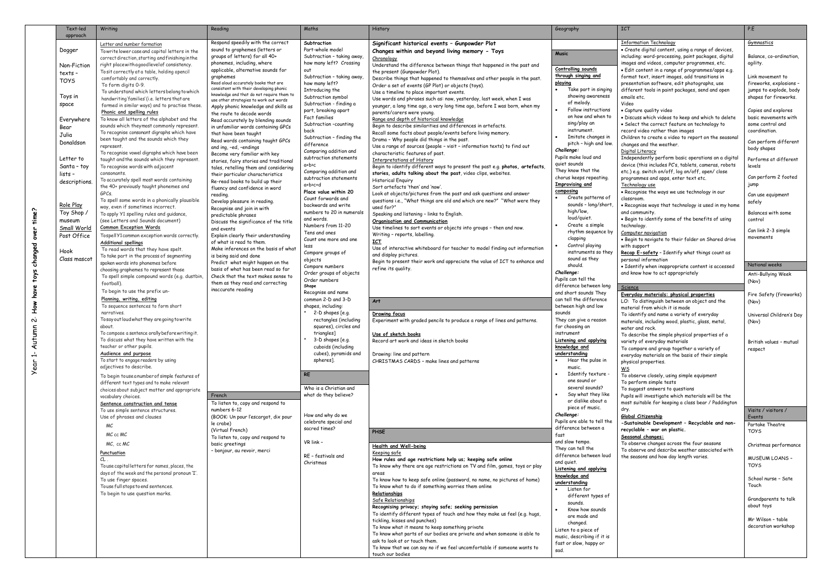| Respond speedily with the correct<br><b>Information Technology</b><br>Subtraction<br>Significant historical events - Gunpowder Plot<br>Gymnastics<br>Letter and number formation<br>Part-whole model<br>sound to graphemes (letters or<br>. Create digital content, using a range of devices,<br>Dogger<br>Changes within and beyond living memory - Toys<br>Towrite lower case and capital letters in the<br><b>Music</b><br>groups of letters) for all 40+<br>Subtraction - taking away,<br>including: word-processing, paint packages, digital<br>Balance, co-ordination,<br>correct direction, starting and finishing in the<br>Chronology<br>phonemes, including, where<br>how many left? Crossing<br>images and videos, computer programmes, etc.<br>agility.<br>right placewithagood level of consistency.<br>Understand the difference between things that happened in the past and<br>Non-Fiction<br>Controlling sounds<br>applicable, alternative sounds for<br>· Edit content in a range of programmes/apps e.g.<br>out<br>To sit correctly at a table, holding apencil<br>the present (Gunpowder Plot).<br>texts -<br>through singing and<br>graphemes<br>format text, insert images, add transitions in<br>Link movement to<br>Subtraction - taking away,<br>comfortably and correctly.<br>Describe things that happened to themselves and other people in the past.<br><b>TOYS</b><br>Read aloud accurately books that are<br>playing<br>presentation software, edit photographs, use<br>how many left?<br>To form digits 0-9.<br>Order a set of events (GP Plot) or objects (toys).<br>consistent with their developing phonic<br>Take part in singing<br>Introducing the<br>different tools in paint packages, send and open<br>To understand which letters belong to which<br>Use a timeline to place important events.<br>knowledge and that do not require them to<br>showing awareness<br>Toys in<br>Subtraction symbol<br>emails etc.<br>shapes for fireworks.<br>handwriting'families' (i.e. letters that are<br>Use words and phrases such as: now, yesterday, last week, when I was<br>use other strategies to work out words<br>of melody.<br>Video<br>Subtraction - finding a<br>space<br>formed in similar ways) and to practise these.<br>younger, a long time ago, a very long time ago, before I was born, when my<br>Apply phonic knowledge and skills as<br>Follow instructions<br>part, breaking apart<br>• Capture quality video<br>Copies and explores<br>Phonic and spelling rules<br>parents/carers were young.<br>the route to decode words<br>on how and when to<br>Fact families<br>. Discuss which videos to keep and which to delete<br>To know all letters of the alphabet and the<br>Range and depth of historical knowledge<br>Everywhere<br>Read accurately by blending sounds<br>sing/play an<br>• Select the correct feature on technology to<br>some control and<br>Subtraction -counting<br>sounds which theymost commonly represent.<br>Begin to describe similarities and differences in artefacts.<br>in unfamiliar words containing GPCs<br>Bear<br>instrument.<br>record video rather than images<br>coordination.<br>back<br>To recognise consonant digraphs which have<br>Recall some facts about people/events before living memory.<br>that have been taught<br>Julia<br>Imitate changes in<br>Children to create a video to report on the seasonal<br>Subtraction - finding the<br>been taught and the sounds which they<br>Drama - Why people did things in the past.<br>Read words containing taught GPCs<br>Donaldson<br>pitch - high and low.<br>changes and the weather.<br>difference<br>Use a range of sources (people - visit - information texts) to find out<br>represent.<br>and ing, -ed, -endings<br>body shapes<br>Challenge:<br>Digital Literacy<br>Comparing addition and<br>To recognise vowel digraphs which have been<br>characteristic features of past.<br>Become very familiar with key<br>Pupils make loud and<br>Independently perform basic operations on a digital<br>subtraction statements<br>Letter to<br>Performs at different<br>taught and the sounds which they represent.<br>Interpretations of History<br>stories, fairy stories and traditional<br>quiet sounds<br>device (this includes PC's, tablets, cameras, robots<br>a+b>c<br>Santa - toy<br>To recognise words with adjacent<br>Begin to identify different ways to present the past e.g. photos, artefacts,<br>levels<br>tales, retelling them and considering<br>They know that the<br>etc.) e.g. switch on/off, log on/off, open/close<br>Comparing addition and<br>stories, adults talking about the past, video clips, websites.<br>consonants.<br>lists -<br>their particular characteristics<br>Can perform 2 footed<br>chorus keeps repeating.<br>programmes and apps, enter text etc.<br>subtraction statements<br>To accurately spell most words containing<br><b>Historical Enguiry</b><br>Re-read books to build up their<br>descriptions<br>jump<br><b>Improvising and</b><br>Technology use<br>a+b>c+d<br>the 40+ previously taught phonemes and<br>Sort artefacts 'then' and 'now'.<br>fluency and confidence in word<br>composing<br>Place value within 20<br>. Recognise the ways we use technology in our<br>GPCs.<br>Look at objects/pictures from the past and ask questions and answer<br>reading.<br>Can use equipment<br>Create patterns of<br>Count forwards and<br>classroom.<br>To spell some words in a phonically plausible<br>questions i.e., "What things are old and which are new?" "What were they<br>Develop pleasure in reading.<br>safely<br>Role Play<br>sounds - long/short,<br>backwards and write<br>. Recognise ways that technology is used in my home<br>way, even if sometimes incorrect.<br>used for?"<br>Recognise and join in with<br>high/low,<br>numbers to 20 in numerals<br>Toy Shop /<br>and community.<br>Balances with some<br>To apply Y1 spelling rules and guidance,<br>Speaking and listening - links to English.<br>predictable phrases<br>loud/quiet.<br>. Begin to identify some of the benefits of using<br>and words.<br>control<br>(see Letters and Sounds document)<br>museum<br>Organisation and Communication<br>Discuss the significance of the title<br>Create a simple<br>Numbers from 11-20<br>technology.<br><b>Common Exception Words</b><br>Use timelines to sort events or objects into groups - then and now.<br>Small World<br>and events<br>Can link 2-3 simple<br>rhythm sequence by<br>Tens and ones<br>Computer navigation<br>Writing - reports, labelling.<br>Post Office<br>Explain clearly their understanding<br>Tospell Y1 common exception words correctly.<br>movements<br>clapping<br>. Begin to navigate to their folder on Shared drive<br>Count one more and one<br><b>ICT</b><br>of what is read to them.<br><b>Additional spellings</b><br>Control playing<br>with support<br>less<br>Use of interactive whiteboard for teacher to model finding out information<br>Make inferences on the basis of what<br>To read words that they have spelt.<br>Hook<br>instruments so they<br>Recap E-safety - Identify what things count as<br>Compare groups of<br>and display pictures.<br>is being said and done<br>To take part in the process of segmenting<br>Class mascot<br>sound as they<br>personal information<br>objects<br>Begin to present their work and appreciate the value of ICT to enhance and<br>Predict what might happen on the<br>spoken words into phonemes before<br>National weeks<br>should.<br>• Identify when inappropriate content is accessed<br>Compare numbers<br>refine its quality.<br>basis of what has been read so far<br>choosing graphemes to represent those<br>Challenge:<br>Order groups of objects<br>and know how to act appropriately<br>Anti-Bullying Week<br>Check that the text makes sense to<br>To spell simple compound words (e.g. dustbin,<br>Pupils can tell the<br>Order numbers<br>(Nov)<br>them as they read and correcting<br>football).<br>difference between long<br>Shape<br>Science<br>inaccurate reading<br>To begin to use the prefix un-<br>Recognise and name<br>and short sounds They<br>Everyday materials: physical properties<br>common 2-D and 3-D<br>can tell the difference<br>Planning, writing, editing<br>LO: To distinguish between an object and the<br>Art<br>(Nov)<br>To sequence sentences to form short<br>shapes, including:<br>between high and low<br>material from which it is made<br>2-D shapes [e.g.<br>narratives.<br>sounds<br>Drawing focus<br>To identify and name a variety of everyday<br>Universal Children's Day<br>Tosayout loud what they are going to write<br>rectangles (including<br>Experiment with graded pencils to produce a range of lines and patterns.<br>They can give a reason<br>materials, including wood, plastic, glass, metal,<br>(Nov)<br>squares), circles and<br>about.<br>for choosing an<br>water and rock.<br>To compose a sentence orally before writing it.<br>triangles]<br>instrument<br>Use of sketch books<br>To describe the simple physical properties of a<br>To discuss what they have written with the<br>3-D shapes [e.g.<br>Record art work and ideas in sketch books<br><b>Listening and applying</b><br>variety of everyday materials<br>British values - mutual<br>teacher or other pupils.<br>cuboids (including<br>knowledge and<br>To compare and group together a variety of<br>respect<br>cubes), pyramids and<br>Audience and purpose<br>understanding<br>Drawing: line and pattern<br>everyday materials on the basis of their simple<br>To start to engage readers by using<br>spheres].<br>Hear the pulse in<br>CHRISTMAS CARDS - make lines and patterns<br>physical properties.<br>adjectives to describe.<br>music.<br>$\underline{\mathsf{w}}$ s<br>Identify texture -<br><b>RE</b><br>To observe closely, using simple equipment<br>To begin touse anumber of simple features of<br>one sound or<br>To perform simple tests<br>different text types and to make relevant<br>several sounds?<br>Who is a Christian and<br>To suggest answers to questions<br>choices about subject matter and appropriate<br>Say what they like<br>what do they believe?<br>French<br>Pupils will investigate which materials will be the<br>vocabulary choices.<br>or dislike about a<br>most suitable for keeping a class bear / Paddington<br>To listen to, copy and respond to<br>Sentence construction and tense<br>piece of music.<br>dry.<br>numbers 6-12<br>To use simple sentence structures.<br>Visits / visitors /<br>Challenge:<br>How and why do we<br>Global Citizenship<br>(BOOK: Un pour l'escargot, dix pour<br>Use of phrases and clauses<br>Events<br>Pupils are able to tell the<br>celebrate special and<br>-Sustainable Development - Recyclable and non-<br>le crabe)<br>Partake Theatre<br>МC<br>difference between a<br>sacred times?<br>recyclable - war on plastic.<br>(Virtual French)<br>PHSE<br><b>TOYS</b><br>MC cc MC<br>fast<br>Seasonal changes:<br>To listen to, copy and respond to<br>and slow tempo.<br>VR link -<br>To observe changes across the four seasons<br>MC, cc MC<br>basic greetings<br>Health and Well-being<br>They can tell the<br>To observe and describe weather associated with<br>- bonjour, au revoir, merci<br>Keeping safe<br>Punctuation<br>difference between loud<br>RE - festivals and<br>the seasons and how day length varies.<br><b>MUSEUM LOANS -</b><br>How rules and age restrictions help us; keeping safe online<br>CL<br>and quiet.<br>Christmas<br><b>TOYS</b><br>To use capital letters for names, places, the<br>To know why there are age restrictions on TV and film, games, toys or play<br><b>Listening and applying</b><br>days of the week and the personal pronoun 'I'.<br>areas<br>knowledge and<br>To know how to keep safe online (password, no name, no pictures of home)<br>To use finger spaces.<br>understanding<br>Touch<br>Touse full stops to end sentences.<br>To know what to do if something worries them online<br>Listen for<br>To begin to use question marks.<br>Relationships<br>different types of<br>Grandparents to talk<br>Safe Relationships<br>sounds.<br>about toys<br>Recognising privacy; staying safe; seeking permission<br>Know how sounds<br>To identify different types of touch and how they make us feel (e.g. hugs,<br>are made and<br>Mr Wilson - table<br>tickling, kisses and punches)<br>changed.<br>To know what it means to keep something private<br>Listen to a piece of<br>To know what parts of our bodies are private and when someone is able to<br>music, describing if it is<br>ask to look at or touch them.<br>fast or slow, happy or<br>To know that we can say no if we feel uncomfortable if someone wants to<br>sad.<br>touch our bodies | Text-led<br>approach | Writing | Reading | Maths | History | Geography | <b>ICT</b> | P.E                     |
|-----------------------------------------------------------------------------------------------------------------------------------------------------------------------------------------------------------------------------------------------------------------------------------------------------------------------------------------------------------------------------------------------------------------------------------------------------------------------------------------------------------------------------------------------------------------------------------------------------------------------------------------------------------------------------------------------------------------------------------------------------------------------------------------------------------------------------------------------------------------------------------------------------------------------------------------------------------------------------------------------------------------------------------------------------------------------------------------------------------------------------------------------------------------------------------------------------------------------------------------------------------------------------------------------------------------------------------------------------------------------------------------------------------------------------------------------------------------------------------------------------------------------------------------------------------------------------------------------------------------------------------------------------------------------------------------------------------------------------------------------------------------------------------------------------------------------------------------------------------------------------------------------------------------------------------------------------------------------------------------------------------------------------------------------------------------------------------------------------------------------------------------------------------------------------------------------------------------------------------------------------------------------------------------------------------------------------------------------------------------------------------------------------------------------------------------------------------------------------------------------------------------------------------------------------------------------------------------------------------------------------------------------------------------------------------------------------------------------------------------------------------------------------------------------------------------------------------------------------------------------------------------------------------------------------------------------------------------------------------------------------------------------------------------------------------------------------------------------------------------------------------------------------------------------------------------------------------------------------------------------------------------------------------------------------------------------------------------------------------------------------------------------------------------------------------------------------------------------------------------------------------------------------------------------------------------------------------------------------------------------------------------------------------------------------------------------------------------------------------------------------------------------------------------------------------------------------------------------------------------------------------------------------------------------------------------------------------------------------------------------------------------------------------------------------------------------------------------------------------------------------------------------------------------------------------------------------------------------------------------------------------------------------------------------------------------------------------------------------------------------------------------------------------------------------------------------------------------------------------------------------------------------------------------------------------------------------------------------------------------------------------------------------------------------------------------------------------------------------------------------------------------------------------------------------------------------------------------------------------------------------------------------------------------------------------------------------------------------------------------------------------------------------------------------------------------------------------------------------------------------------------------------------------------------------------------------------------------------------------------------------------------------------------------------------------------------------------------------------------------------------------------------------------------------------------------------------------------------------------------------------------------------------------------------------------------------------------------------------------------------------------------------------------------------------------------------------------------------------------------------------------------------------------------------------------------------------------------------------------------------------------------------------------------------------------------------------------------------------------------------------------------------------------------------------------------------------------------------------------------------------------------------------------------------------------------------------------------------------------------------------------------------------------------------------------------------------------------------------------------------------------------------------------------------------------------------------------------------------------------------------------------------------------------------------------------------------------------------------------------------------------------------------------------------------------------------------------------------------------------------------------------------------------------------------------------------------------------------------------------------------------------------------------------------------------------------------------------------------------------------------------------------------------------------------------------------------------------------------------------------------------------------------------------------------------------------------------------------------------------------------------------------------------------------------------------------------------------------------------------------------------------------------------------------------------------------------------------------------------------------------------------------------------------------------------------------------------------------------------------------------------------------------------------------------------------------------------------------------------------------------------------------------------------------------------------------------------------------------------------------------------------------------------------------------------------------------------------------------------------------------------------------------------------------------------------------------------------------------------------------------------------------------------------------------------------------------------------------------------------------------------------------------------------------------------------------------------------------------------------------------------------------------------------------------------------------------------------------------------------------------------------------------------------------------------------------------------------------------------------------------------------------------------------------------------------------------------------------------------------------------------------------------------------------------------------------------------------------------------------------------------------------------------------------------------------------------------------------------------------------------------------------------------------------------------------------------------------------------------------------------------------------------------------------------------------------------------------------------------------------------------------------------------------------------------------------------------------------------------------------------------------------------------------------------------------------------------------------------------------------------------------------------------------------------------------------------------------------------------------------------------------------------------------------------------------------------------------------------------------------------------------------------------------------------------------------------------------------------------------------------------------------------------------------------------------------------------------------------------------------------------------------------------------------------------------------------------------------------------------------------------------------------------------------------------------------------------------------------------------------------------------------------------------------------------------------------------------------------------------------------------------------------------------------------------------------------------------------------------------------------------------------------------------------------------------------------------------------------------------------------------------------------------------------------------------------------------------------------------------------------------------------------------------------------------------------------------------------------------------------------------------------------------------------------------------------------------------------------------------------------------------------------------------------------------------------------------------------------------------------------------------------------------------------------------------------------------------------------------------------------------------------------------------------------------------------------------------------------------------------------------------------------------------------------------------------------------------------------------------------------------------------------------------------------------------------------------------------------------------------------------------------------------------------------------------------------------------------------------------------------------------------------------------------------------------------------------------------------------------------------------------------------------------------------------------------------------------------------------------------------------------------------------------------------------------------------------------------------------------------------------------------------------------------------------------------------------------------------------------------------------------------------------------------------------------------------------------------------------------------------------------------------------------------------------------------------------------------------------------------------------------------------------------------------------------------------------------------------------------------------------------------------------------------------------------------------------------------------------------------------------------------------------------------------------------------------------------------------------------------|----------------------|---------|---------|-------|---------|-----------|------------|-------------------------|
|                                                                                                                                                                                                                                                                                                                                                                                                                                                                                                                                                                                                                                                                                                                                                                                                                                                                                                                                                                                                                                                                                                                                                                                                                                                                                                                                                                                                                                                                                                                                                                                                                                                                                                                                                                                                                                                                                                                                                                                                                                                                                                                                                                                                                                                                                                                                                                                                                                                                                                                                                                                                                                                                                                                                                                                                                                                                                                                                                                                                                                                                                                                                                                                                                                                                                                                                                                                                                                                                                                                                                                                                                                                                                                                                                                                                                                                                                                                                                                                                                                                                                                                                                                                                                                                                                                                                                                                                                                                                                                                                                                                                                                                                                                                                                                                                                                                                                                                                                                                                                                                                                                                                                                                                                                                                                                                                                                                                                                                                                                                                                                                                                                                                                                                                                                                                                                                                                                                                                                                                                                                                                                                                                                                                                                                                                                                                                                                                                                                                                                                                                                                                                                                                                                                                                                                                                                                                                                                                                                                                                                                                                                                                                                                                                                                                                                                                                                                                                                                                                                                                                                                                                                                                                                                                                                                                                                                                                                                                                                                                                                                                                                                                                                                                                                                                                                                                                                                                                                                                                                                                                                                                                                                                                                                                                                                                                                                                                                                                                                                                                                                                                                                                                                                                                                                                                                                                                                                                                                                                                                                                                                                                                                                                                                                                                                                                                                                                                                                                                                                                                                                                                                                                                                                                                                                                                                                                                                                                                                                                                                                                                                                                                                                                                                                                                                                                                                                                                                                                                                                                                                                                                                                                                                                                                                                                                                                                                                                                                                                                                                                                                                                                                                                                                                                                                                                                                                                                                                                                                                                                                                                                                                                                                                                                                                                                                                                                                                                                                                                                                                                                                                                                                                                                                                                                                                                                                                                                       |                      |         |         |       |         |           |            |                         |
|                                                                                                                                                                                                                                                                                                                                                                                                                                                                                                                                                                                                                                                                                                                                                                                                                                                                                                                                                                                                                                                                                                                                                                                                                                                                                                                                                                                                                                                                                                                                                                                                                                                                                                                                                                                                                                                                                                                                                                                                                                                                                                                                                                                                                                                                                                                                                                                                                                                                                                                                                                                                                                                                                                                                                                                                                                                                                                                                                                                                                                                                                                                                                                                                                                                                                                                                                                                                                                                                                                                                                                                                                                                                                                                                                                                                                                                                                                                                                                                                                                                                                                                                                                                                                                                                                                                                                                                                                                                                                                                                                                                                                                                                                                                                                                                                                                                                                                                                                                                                                                                                                                                                                                                                                                                                                                                                                                                                                                                                                                                                                                                                                                                                                                                                                                                                                                                                                                                                                                                                                                                                                                                                                                                                                                                                                                                                                                                                                                                                                                                                                                                                                                                                                                                                                                                                                                                                                                                                                                                                                                                                                                                                                                                                                                                                                                                                                                                                                                                                                                                                                                                                                                                                                                                                                                                                                                                                                                                                                                                                                                                                                                                                                                                                                                                                                                                                                                                                                                                                                                                                                                                                                                                                                                                                                                                                                                                                                                                                                                                                                                                                                                                                                                                                                                                                                                                                                                                                                                                                                                                                                                                                                                                                                                                                                                                                                                                                                                                                                                                                                                                                                                                                                                                                                                                                                                                                                                                                                                                                                                                                                                                                                                                                                                                                                                                                                                                                                                                                                                                                                                                                                                                                                                                                                                                                                                                                                                                                                                                                                                                                                                                                                                                                                                                                                                                                                                                                                                                                                                                                                                                                                                                                                                                                                                                                                                                                                                                                                                                                                                                                                                                                                                                                                                                                                                                                                                                                       |                      |         |         |       |         |           |            |                         |
|                                                                                                                                                                                                                                                                                                                                                                                                                                                                                                                                                                                                                                                                                                                                                                                                                                                                                                                                                                                                                                                                                                                                                                                                                                                                                                                                                                                                                                                                                                                                                                                                                                                                                                                                                                                                                                                                                                                                                                                                                                                                                                                                                                                                                                                                                                                                                                                                                                                                                                                                                                                                                                                                                                                                                                                                                                                                                                                                                                                                                                                                                                                                                                                                                                                                                                                                                                                                                                                                                                                                                                                                                                                                                                                                                                                                                                                                                                                                                                                                                                                                                                                                                                                                                                                                                                                                                                                                                                                                                                                                                                                                                                                                                                                                                                                                                                                                                                                                                                                                                                                                                                                                                                                                                                                                                                                                                                                                                                                                                                                                                                                                                                                                                                                                                                                                                                                                                                                                                                                                                                                                                                                                                                                                                                                                                                                                                                                                                                                                                                                                                                                                                                                                                                                                                                                                                                                                                                                                                                                                                                                                                                                                                                                                                                                                                                                                                                                                                                                                                                                                                                                                                                                                                                                                                                                                                                                                                                                                                                                                                                                                                                                                                                                                                                                                                                                                                                                                                                                                                                                                                                                                                                                                                                                                                                                                                                                                                                                                                                                                                                                                                                                                                                                                                                                                                                                                                                                                                                                                                                                                                                                                                                                                                                                                                                                                                                                                                                                                                                                                                                                                                                                                                                                                                                                                                                                                                                                                                                                                                                                                                                                                                                                                                                                                                                                                                                                                                                                                                                                                                                                                                                                                                                                                                                                                                                                                                                                                                                                                                                                                                                                                                                                                                                                                                                                                                                                                                                                                                                                                                                                                                                                                                                                                                                                                                                                                                                                                                                                                                                                                                                                                                                                                                                                                                                                                                                                                       |                      |         |         |       |         |           |            |                         |
|                                                                                                                                                                                                                                                                                                                                                                                                                                                                                                                                                                                                                                                                                                                                                                                                                                                                                                                                                                                                                                                                                                                                                                                                                                                                                                                                                                                                                                                                                                                                                                                                                                                                                                                                                                                                                                                                                                                                                                                                                                                                                                                                                                                                                                                                                                                                                                                                                                                                                                                                                                                                                                                                                                                                                                                                                                                                                                                                                                                                                                                                                                                                                                                                                                                                                                                                                                                                                                                                                                                                                                                                                                                                                                                                                                                                                                                                                                                                                                                                                                                                                                                                                                                                                                                                                                                                                                                                                                                                                                                                                                                                                                                                                                                                                                                                                                                                                                                                                                                                                                                                                                                                                                                                                                                                                                                                                                                                                                                                                                                                                                                                                                                                                                                                                                                                                                                                                                                                                                                                                                                                                                                                                                                                                                                                                                                                                                                                                                                                                                                                                                                                                                                                                                                                                                                                                                                                                                                                                                                                                                                                                                                                                                                                                                                                                                                                                                                                                                                                                                                                                                                                                                                                                                                                                                                                                                                                                                                                                                                                                                                                                                                                                                                                                                                                                                                                                                                                                                                                                                                                                                                                                                                                                                                                                                                                                                                                                                                                                                                                                                                                                                                                                                                                                                                                                                                                                                                                                                                                                                                                                                                                                                                                                                                                                                                                                                                                                                                                                                                                                                                                                                                                                                                                                                                                                                                                                                                                                                                                                                                                                                                                                                                                                                                                                                                                                                                                                                                                                                                                                                                                                                                                                                                                                                                                                                                                                                                                                                                                                                                                                                                                                                                                                                                                                                                                                                                                                                                                                                                                                                                                                                                                                                                                                                                                                                                                                                                                                                                                                                                                                                                                                                                                                                                                                                                                                                                                       |                      |         |         |       |         |           |            |                         |
|                                                                                                                                                                                                                                                                                                                                                                                                                                                                                                                                                                                                                                                                                                                                                                                                                                                                                                                                                                                                                                                                                                                                                                                                                                                                                                                                                                                                                                                                                                                                                                                                                                                                                                                                                                                                                                                                                                                                                                                                                                                                                                                                                                                                                                                                                                                                                                                                                                                                                                                                                                                                                                                                                                                                                                                                                                                                                                                                                                                                                                                                                                                                                                                                                                                                                                                                                                                                                                                                                                                                                                                                                                                                                                                                                                                                                                                                                                                                                                                                                                                                                                                                                                                                                                                                                                                                                                                                                                                                                                                                                                                                                                                                                                                                                                                                                                                                                                                                                                                                                                                                                                                                                                                                                                                                                                                                                                                                                                                                                                                                                                                                                                                                                                                                                                                                                                                                                                                                                                                                                                                                                                                                                                                                                                                                                                                                                                                                                                                                                                                                                                                                                                                                                                                                                                                                                                                                                                                                                                                                                                                                                                                                                                                                                                                                                                                                                                                                                                                                                                                                                                                                                                                                                                                                                                                                                                                                                                                                                                                                                                                                                                                                                                                                                                                                                                                                                                                                                                                                                                                                                                                                                                                                                                                                                                                                                                                                                                                                                                                                                                                                                                                                                                                                                                                                                                                                                                                                                                                                                                                                                                                                                                                                                                                                                                                                                                                                                                                                                                                                                                                                                                                                                                                                                                                                                                                                                                                                                                                                                                                                                                                                                                                                                                                                                                                                                                                                                                                                                                                                                                                                                                                                                                                                                                                                                                                                                                                                                                                                                                                                                                                                                                                                                                                                                                                                                                                                                                                                                                                                                                                                                                                                                                                                                                                                                                                                                                                                                                                                                                                                                                                                                                                                                                                                                                                                                                                                       |                      |         |         |       |         |           |            |                         |
|                                                                                                                                                                                                                                                                                                                                                                                                                                                                                                                                                                                                                                                                                                                                                                                                                                                                                                                                                                                                                                                                                                                                                                                                                                                                                                                                                                                                                                                                                                                                                                                                                                                                                                                                                                                                                                                                                                                                                                                                                                                                                                                                                                                                                                                                                                                                                                                                                                                                                                                                                                                                                                                                                                                                                                                                                                                                                                                                                                                                                                                                                                                                                                                                                                                                                                                                                                                                                                                                                                                                                                                                                                                                                                                                                                                                                                                                                                                                                                                                                                                                                                                                                                                                                                                                                                                                                                                                                                                                                                                                                                                                                                                                                                                                                                                                                                                                                                                                                                                                                                                                                                                                                                                                                                                                                                                                                                                                                                                                                                                                                                                                                                                                                                                                                                                                                                                                                                                                                                                                                                                                                                                                                                                                                                                                                                                                                                                                                                                                                                                                                                                                                                                                                                                                                                                                                                                                                                                                                                                                                                                                                                                                                                                                                                                                                                                                                                                                                                                                                                                                                                                                                                                                                                                                                                                                                                                                                                                                                                                                                                                                                                                                                                                                                                                                                                                                                                                                                                                                                                                                                                                                                                                                                                                                                                                                                                                                                                                                                                                                                                                                                                                                                                                                                                                                                                                                                                                                                                                                                                                                                                                                                                                                                                                                                                                                                                                                                                                                                                                                                                                                                                                                                                                                                                                                                                                                                                                                                                                                                                                                                                                                                                                                                                                                                                                                                                                                                                                                                                                                                                                                                                                                                                                                                                                                                                                                                                                                                                                                                                                                                                                                                                                                                                                                                                                                                                                                                                                                                                                                                                                                                                                                                                                                                                                                                                                                                                                                                                                                                                                                                                                                                                                                                                                                                                                                                                                                       |                      |         |         |       |         |           |            | fireworks, explosions - |
|                                                                                                                                                                                                                                                                                                                                                                                                                                                                                                                                                                                                                                                                                                                                                                                                                                                                                                                                                                                                                                                                                                                                                                                                                                                                                                                                                                                                                                                                                                                                                                                                                                                                                                                                                                                                                                                                                                                                                                                                                                                                                                                                                                                                                                                                                                                                                                                                                                                                                                                                                                                                                                                                                                                                                                                                                                                                                                                                                                                                                                                                                                                                                                                                                                                                                                                                                                                                                                                                                                                                                                                                                                                                                                                                                                                                                                                                                                                                                                                                                                                                                                                                                                                                                                                                                                                                                                                                                                                                                                                                                                                                                                                                                                                                                                                                                                                                                                                                                                                                                                                                                                                                                                                                                                                                                                                                                                                                                                                                                                                                                                                                                                                                                                                                                                                                                                                                                                                                                                                                                                                                                                                                                                                                                                                                                                                                                                                                                                                                                                                                                                                                                                                                                                                                                                                                                                                                                                                                                                                                                                                                                                                                                                                                                                                                                                                                                                                                                                                                                                                                                                                                                                                                                                                                                                                                                                                                                                                                                                                                                                                                                                                                                                                                                                                                                                                                                                                                                                                                                                                                                                                                                                                                                                                                                                                                                                                                                                                                                                                                                                                                                                                                                                                                                                                                                                                                                                                                                                                                                                                                                                                                                                                                                                                                                                                                                                                                                                                                                                                                                                                                                                                                                                                                                                                                                                                                                                                                                                                                                                                                                                                                                                                                                                                                                                                                                                                                                                                                                                                                                                                                                                                                                                                                                                                                                                                                                                                                                                                                                                                                                                                                                                                                                                                                                                                                                                                                                                                                                                                                                                                                                                                                                                                                                                                                                                                                                                                                                                                                                                                                                                                                                                                                                                                                                                                                                                                                       |                      |         |         |       |         |           |            | jumps to explode, body  |
|                                                                                                                                                                                                                                                                                                                                                                                                                                                                                                                                                                                                                                                                                                                                                                                                                                                                                                                                                                                                                                                                                                                                                                                                                                                                                                                                                                                                                                                                                                                                                                                                                                                                                                                                                                                                                                                                                                                                                                                                                                                                                                                                                                                                                                                                                                                                                                                                                                                                                                                                                                                                                                                                                                                                                                                                                                                                                                                                                                                                                                                                                                                                                                                                                                                                                                                                                                                                                                                                                                                                                                                                                                                                                                                                                                                                                                                                                                                                                                                                                                                                                                                                                                                                                                                                                                                                                                                                                                                                                                                                                                                                                                                                                                                                                                                                                                                                                                                                                                                                                                                                                                                                                                                                                                                                                                                                                                                                                                                                                                                                                                                                                                                                                                                                                                                                                                                                                                                                                                                                                                                                                                                                                                                                                                                                                                                                                                                                                                                                                                                                                                                                                                                                                                                                                                                                                                                                                                                                                                                                                                                                                                                                                                                                                                                                                                                                                                                                                                                                                                                                                                                                                                                                                                                                                                                                                                                                                                                                                                                                                                                                                                                                                                                                                                                                                                                                                                                                                                                                                                                                                                                                                                                                                                                                                                                                                                                                                                                                                                                                                                                                                                                                                                                                                                                                                                                                                                                                                                                                                                                                                                                                                                                                                                                                                                                                                                                                                                                                                                                                                                                                                                                                                                                                                                                                                                                                                                                                                                                                                                                                                                                                                                                                                                                                                                                                                                                                                                                                                                                                                                                                                                                                                                                                                                                                                                                                                                                                                                                                                                                                                                                                                                                                                                                                                                                                                                                                                                                                                                                                                                                                                                                                                                                                                                                                                                                                                                                                                                                                                                                                                                                                                                                                                                                                                                                                                                                                       |                      |         |         |       |         |           |            |                         |
|                                                                                                                                                                                                                                                                                                                                                                                                                                                                                                                                                                                                                                                                                                                                                                                                                                                                                                                                                                                                                                                                                                                                                                                                                                                                                                                                                                                                                                                                                                                                                                                                                                                                                                                                                                                                                                                                                                                                                                                                                                                                                                                                                                                                                                                                                                                                                                                                                                                                                                                                                                                                                                                                                                                                                                                                                                                                                                                                                                                                                                                                                                                                                                                                                                                                                                                                                                                                                                                                                                                                                                                                                                                                                                                                                                                                                                                                                                                                                                                                                                                                                                                                                                                                                                                                                                                                                                                                                                                                                                                                                                                                                                                                                                                                                                                                                                                                                                                                                                                                                                                                                                                                                                                                                                                                                                                                                                                                                                                                                                                                                                                                                                                                                                                                                                                                                                                                                                                                                                                                                                                                                                                                                                                                                                                                                                                                                                                                                                                                                                                                                                                                                                                                                                                                                                                                                                                                                                                                                                                                                                                                                                                                                                                                                                                                                                                                                                                                                                                                                                                                                                                                                                                                                                                                                                                                                                                                                                                                                                                                                                                                                                                                                                                                                                                                                                                                                                                                                                                                                                                                                                                                                                                                                                                                                                                                                                                                                                                                                                                                                                                                                                                                                                                                                                                                                                                                                                                                                                                                                                                                                                                                                                                                                                                                                                                                                                                                                                                                                                                                                                                                                                                                                                                                                                                                                                                                                                                                                                                                                                                                                                                                                                                                                                                                                                                                                                                                                                                                                                                                                                                                                                                                                                                                                                                                                                                                                                                                                                                                                                                                                                                                                                                                                                                                                                                                                                                                                                                                                                                                                                                                                                                                                                                                                                                                                                                                                                                                                                                                                                                                                                                                                                                                                                                                                                                                                                                                       |                      |         |         |       |         |           |            |                         |
|                                                                                                                                                                                                                                                                                                                                                                                                                                                                                                                                                                                                                                                                                                                                                                                                                                                                                                                                                                                                                                                                                                                                                                                                                                                                                                                                                                                                                                                                                                                                                                                                                                                                                                                                                                                                                                                                                                                                                                                                                                                                                                                                                                                                                                                                                                                                                                                                                                                                                                                                                                                                                                                                                                                                                                                                                                                                                                                                                                                                                                                                                                                                                                                                                                                                                                                                                                                                                                                                                                                                                                                                                                                                                                                                                                                                                                                                                                                                                                                                                                                                                                                                                                                                                                                                                                                                                                                                                                                                                                                                                                                                                                                                                                                                                                                                                                                                                                                                                                                                                                                                                                                                                                                                                                                                                                                                                                                                                                                                                                                                                                                                                                                                                                                                                                                                                                                                                                                                                                                                                                                                                                                                                                                                                                                                                                                                                                                                                                                                                                                                                                                                                                                                                                                                                                                                                                                                                                                                                                                                                                                                                                                                                                                                                                                                                                                                                                                                                                                                                                                                                                                                                                                                                                                                                                                                                                                                                                                                                                                                                                                                                                                                                                                                                                                                                                                                                                                                                                                                                                                                                                                                                                                                                                                                                                                                                                                                                                                                                                                                                                                                                                                                                                                                                                                                                                                                                                                                                                                                                                                                                                                                                                                                                                                                                                                                                                                                                                                                                                                                                                                                                                                                                                                                                                                                                                                                                                                                                                                                                                                                                                                                                                                                                                                                                                                                                                                                                                                                                                                                                                                                                                                                                                                                                                                                                                                                                                                                                                                                                                                                                                                                                                                                                                                                                                                                                                                                                                                                                                                                                                                                                                                                                                                                                                                                                                                                                                                                                                                                                                                                                                                                                                                                                                                                                                                                                                                                       |                      |         |         |       |         |           |            | basic movements with    |
|                                                                                                                                                                                                                                                                                                                                                                                                                                                                                                                                                                                                                                                                                                                                                                                                                                                                                                                                                                                                                                                                                                                                                                                                                                                                                                                                                                                                                                                                                                                                                                                                                                                                                                                                                                                                                                                                                                                                                                                                                                                                                                                                                                                                                                                                                                                                                                                                                                                                                                                                                                                                                                                                                                                                                                                                                                                                                                                                                                                                                                                                                                                                                                                                                                                                                                                                                                                                                                                                                                                                                                                                                                                                                                                                                                                                                                                                                                                                                                                                                                                                                                                                                                                                                                                                                                                                                                                                                                                                                                                                                                                                                                                                                                                                                                                                                                                                                                                                                                                                                                                                                                                                                                                                                                                                                                                                                                                                                                                                                                                                                                                                                                                                                                                                                                                                                                                                                                                                                                                                                                                                                                                                                                                                                                                                                                                                                                                                                                                                                                                                                                                                                                                                                                                                                                                                                                                                                                                                                                                                                                                                                                                                                                                                                                                                                                                                                                                                                                                                                                                                                                                                                                                                                                                                                                                                                                                                                                                                                                                                                                                                                                                                                                                                                                                                                                                                                                                                                                                                                                                                                                                                                                                                                                                                                                                                                                                                                                                                                                                                                                                                                                                                                                                                                                                                                                                                                                                                                                                                                                                                                                                                                                                                                                                                                                                                                                                                                                                                                                                                                                                                                                                                                                                                                                                                                                                                                                                                                                                                                                                                                                                                                                                                                                                                                                                                                                                                                                                                                                                                                                                                                                                                                                                                                                                                                                                                                                                                                                                                                                                                                                                                                                                                                                                                                                                                                                                                                                                                                                                                                                                                                                                                                                                                                                                                                                                                                                                                                                                                                                                                                                                                                                                                                                                                                                                                                                                                       |                      |         |         |       |         |           |            |                         |
|                                                                                                                                                                                                                                                                                                                                                                                                                                                                                                                                                                                                                                                                                                                                                                                                                                                                                                                                                                                                                                                                                                                                                                                                                                                                                                                                                                                                                                                                                                                                                                                                                                                                                                                                                                                                                                                                                                                                                                                                                                                                                                                                                                                                                                                                                                                                                                                                                                                                                                                                                                                                                                                                                                                                                                                                                                                                                                                                                                                                                                                                                                                                                                                                                                                                                                                                                                                                                                                                                                                                                                                                                                                                                                                                                                                                                                                                                                                                                                                                                                                                                                                                                                                                                                                                                                                                                                                                                                                                                                                                                                                                                                                                                                                                                                                                                                                                                                                                                                                                                                                                                                                                                                                                                                                                                                                                                                                                                                                                                                                                                                                                                                                                                                                                                                                                                                                                                                                                                                                                                                                                                                                                                                                                                                                                                                                                                                                                                                                                                                                                                                                                                                                                                                                                                                                                                                                                                                                                                                                                                                                                                                                                                                                                                                                                                                                                                                                                                                                                                                                                                                                                                                                                                                                                                                                                                                                                                                                                                                                                                                                                                                                                                                                                                                                                                                                                                                                                                                                                                                                                                                                                                                                                                                                                                                                                                                                                                                                                                                                                                                                                                                                                                                                                                                                                                                                                                                                                                                                                                                                                                                                                                                                                                                                                                                                                                                                                                                                                                                                                                                                                                                                                                                                                                                                                                                                                                                                                                                                                                                                                                                                                                                                                                                                                                                                                                                                                                                                                                                                                                                                                                                                                                                                                                                                                                                                                                                                                                                                                                                                                                                                                                                                                                                                                                                                                                                                                                                                                                                                                                                                                                                                                                                                                                                                                                                                                                                                                                                                                                                                                                                                                                                                                                                                                                                                                                                                                       |                      |         |         |       |         |           |            |                         |
|                                                                                                                                                                                                                                                                                                                                                                                                                                                                                                                                                                                                                                                                                                                                                                                                                                                                                                                                                                                                                                                                                                                                                                                                                                                                                                                                                                                                                                                                                                                                                                                                                                                                                                                                                                                                                                                                                                                                                                                                                                                                                                                                                                                                                                                                                                                                                                                                                                                                                                                                                                                                                                                                                                                                                                                                                                                                                                                                                                                                                                                                                                                                                                                                                                                                                                                                                                                                                                                                                                                                                                                                                                                                                                                                                                                                                                                                                                                                                                                                                                                                                                                                                                                                                                                                                                                                                                                                                                                                                                                                                                                                                                                                                                                                                                                                                                                                                                                                                                                                                                                                                                                                                                                                                                                                                                                                                                                                                                                                                                                                                                                                                                                                                                                                                                                                                                                                                                                                                                                                                                                                                                                                                                                                                                                                                                                                                                                                                                                                                                                                                                                                                                                                                                                                                                                                                                                                                                                                                                                                                                                                                                                                                                                                                                                                                                                                                                                                                                                                                                                                                                                                                                                                                                                                                                                                                                                                                                                                                                                                                                                                                                                                                                                                                                                                                                                                                                                                                                                                                                                                                                                                                                                                                                                                                                                                                                                                                                                                                                                                                                                                                                                                                                                                                                                                                                                                                                                                                                                                                                                                                                                                                                                                                                                                                                                                                                                                                                                                                                                                                                                                                                                                                                                                                                                                                                                                                                                                                                                                                                                                                                                                                                                                                                                                                                                                                                                                                                                                                                                                                                                                                                                                                                                                                                                                                                                                                                                                                                                                                                                                                                                                                                                                                                                                                                                                                                                                                                                                                                                                                                                                                                                                                                                                                                                                                                                                                                                                                                                                                                                                                                                                                                                                                                                                                                                                                                                                       |                      |         |         |       |         |           |            | Can perform different   |
|                                                                                                                                                                                                                                                                                                                                                                                                                                                                                                                                                                                                                                                                                                                                                                                                                                                                                                                                                                                                                                                                                                                                                                                                                                                                                                                                                                                                                                                                                                                                                                                                                                                                                                                                                                                                                                                                                                                                                                                                                                                                                                                                                                                                                                                                                                                                                                                                                                                                                                                                                                                                                                                                                                                                                                                                                                                                                                                                                                                                                                                                                                                                                                                                                                                                                                                                                                                                                                                                                                                                                                                                                                                                                                                                                                                                                                                                                                                                                                                                                                                                                                                                                                                                                                                                                                                                                                                                                                                                                                                                                                                                                                                                                                                                                                                                                                                                                                                                                                                                                                                                                                                                                                                                                                                                                                                                                                                                                                                                                                                                                                                                                                                                                                                                                                                                                                                                                                                                                                                                                                                                                                                                                                                                                                                                                                                                                                                                                                                                                                                                                                                                                                                                                                                                                                                                                                                                                                                                                                                                                                                                                                                                                                                                                                                                                                                                                                                                                                                                                                                                                                                                                                                                                                                                                                                                                                                                                                                                                                                                                                                                                                                                                                                                                                                                                                                                                                                                                                                                                                                                                                                                                                                                                                                                                                                                                                                                                                                                                                                                                                                                                                                                                                                                                                                                                                                                                                                                                                                                                                                                                                                                                                                                                                                                                                                                                                                                                                                                                                                                                                                                                                                                                                                                                                                                                                                                                                                                                                                                                                                                                                                                                                                                                                                                                                                                                                                                                                                                                                                                                                                                                                                                                                                                                                                                                                                                                                                                                                                                                                                                                                                                                                                                                                                                                                                                                                                                                                                                                                                                                                                                                                                                                                                                                                                                                                                                                                                                                                                                                                                                                                                                                                                                                                                                                                                                                                                                       |                      |         |         |       |         |           |            |                         |
|                                                                                                                                                                                                                                                                                                                                                                                                                                                                                                                                                                                                                                                                                                                                                                                                                                                                                                                                                                                                                                                                                                                                                                                                                                                                                                                                                                                                                                                                                                                                                                                                                                                                                                                                                                                                                                                                                                                                                                                                                                                                                                                                                                                                                                                                                                                                                                                                                                                                                                                                                                                                                                                                                                                                                                                                                                                                                                                                                                                                                                                                                                                                                                                                                                                                                                                                                                                                                                                                                                                                                                                                                                                                                                                                                                                                                                                                                                                                                                                                                                                                                                                                                                                                                                                                                                                                                                                                                                                                                                                                                                                                                                                                                                                                                                                                                                                                                                                                                                                                                                                                                                                                                                                                                                                                                                                                                                                                                                                                                                                                                                                                                                                                                                                                                                                                                                                                                                                                                                                                                                                                                                                                                                                                                                                                                                                                                                                                                                                                                                                                                                                                                                                                                                                                                                                                                                                                                                                                                                                                                                                                                                                                                                                                                                                                                                                                                                                                                                                                                                                                                                                                                                                                                                                                                                                                                                                                                                                                                                                                                                                                                                                                                                                                                                                                                                                                                                                                                                                                                                                                                                                                                                                                                                                                                                                                                                                                                                                                                                                                                                                                                                                                                                                                                                                                                                                                                                                                                                                                                                                                                                                                                                                                                                                                                                                                                                                                                                                                                                                                                                                                                                                                                                                                                                                                                                                                                                                                                                                                                                                                                                                                                                                                                                                                                                                                                                                                                                                                                                                                                                                                                                                                                                                                                                                                                                                                                                                                                                                                                                                                                                                                                                                                                                                                                                                                                                                                                                                                                                                                                                                                                                                                                                                                                                                                                                                                                                                                                                                                                                                                                                                                                                                                                                                                                                                                                                                                       |                      |         |         |       |         |           |            |                         |
|                                                                                                                                                                                                                                                                                                                                                                                                                                                                                                                                                                                                                                                                                                                                                                                                                                                                                                                                                                                                                                                                                                                                                                                                                                                                                                                                                                                                                                                                                                                                                                                                                                                                                                                                                                                                                                                                                                                                                                                                                                                                                                                                                                                                                                                                                                                                                                                                                                                                                                                                                                                                                                                                                                                                                                                                                                                                                                                                                                                                                                                                                                                                                                                                                                                                                                                                                                                                                                                                                                                                                                                                                                                                                                                                                                                                                                                                                                                                                                                                                                                                                                                                                                                                                                                                                                                                                                                                                                                                                                                                                                                                                                                                                                                                                                                                                                                                                                                                                                                                                                                                                                                                                                                                                                                                                                                                                                                                                                                                                                                                                                                                                                                                                                                                                                                                                                                                                                                                                                                                                                                                                                                                                                                                                                                                                                                                                                                                                                                                                                                                                                                                                                                                                                                                                                                                                                                                                                                                                                                                                                                                                                                                                                                                                                                                                                                                                                                                                                                                                                                                                                                                                                                                                                                                                                                                                                                                                                                                                                                                                                                                                                                                                                                                                                                                                                                                                                                                                                                                                                                                                                                                                                                                                                                                                                                                                                                                                                                                                                                                                                                                                                                                                                                                                                                                                                                                                                                                                                                                                                                                                                                                                                                                                                                                                                                                                                                                                                                                                                                                                                                                                                                                                                                                                                                                                                                                                                                                                                                                                                                                                                                                                                                                                                                                                                                                                                                                                                                                                                                                                                                                                                                                                                                                                                                                                                                                                                                                                                                                                                                                                                                                                                                                                                                                                                                                                                                                                                                                                                                                                                                                                                                                                                                                                                                                                                                                                                                                                                                                                                                                                                                                                                                                                                                                                                                                                                                                       |                      |         |         |       |         |           |            |                         |
|                                                                                                                                                                                                                                                                                                                                                                                                                                                                                                                                                                                                                                                                                                                                                                                                                                                                                                                                                                                                                                                                                                                                                                                                                                                                                                                                                                                                                                                                                                                                                                                                                                                                                                                                                                                                                                                                                                                                                                                                                                                                                                                                                                                                                                                                                                                                                                                                                                                                                                                                                                                                                                                                                                                                                                                                                                                                                                                                                                                                                                                                                                                                                                                                                                                                                                                                                                                                                                                                                                                                                                                                                                                                                                                                                                                                                                                                                                                                                                                                                                                                                                                                                                                                                                                                                                                                                                                                                                                                                                                                                                                                                                                                                                                                                                                                                                                                                                                                                                                                                                                                                                                                                                                                                                                                                                                                                                                                                                                                                                                                                                                                                                                                                                                                                                                                                                                                                                                                                                                                                                                                                                                                                                                                                                                                                                                                                                                                                                                                                                                                                                                                                                                                                                                                                                                                                                                                                                                                                                                                                                                                                                                                                                                                                                                                                                                                                                                                                                                                                                                                                                                                                                                                                                                                                                                                                                                                                                                                                                                                                                                                                                                                                                                                                                                                                                                                                                                                                                                                                                                                                                                                                                                                                                                                                                                                                                                                                                                                                                                                                                                                                                                                                                                                                                                                                                                                                                                                                                                                                                                                                                                                                                                                                                                                                                                                                                                                                                                                                                                                                                                                                                                                                                                                                                                                                                                                                                                                                                                                                                                                                                                                                                                                                                                                                                                                                                                                                                                                                                                                                                                                                                                                                                                                                                                                                                                                                                                                                                                                                                                                                                                                                                                                                                                                                                                                                                                                                                                                                                                                                                                                                                                                                                                                                                                                                                                                                                                                                                                                                                                                                                                                                                                                                                                                                                                                                                                                       |                      |         |         |       |         |           |            |                         |
|                                                                                                                                                                                                                                                                                                                                                                                                                                                                                                                                                                                                                                                                                                                                                                                                                                                                                                                                                                                                                                                                                                                                                                                                                                                                                                                                                                                                                                                                                                                                                                                                                                                                                                                                                                                                                                                                                                                                                                                                                                                                                                                                                                                                                                                                                                                                                                                                                                                                                                                                                                                                                                                                                                                                                                                                                                                                                                                                                                                                                                                                                                                                                                                                                                                                                                                                                                                                                                                                                                                                                                                                                                                                                                                                                                                                                                                                                                                                                                                                                                                                                                                                                                                                                                                                                                                                                                                                                                                                                                                                                                                                                                                                                                                                                                                                                                                                                                                                                                                                                                                                                                                                                                                                                                                                                                                                                                                                                                                                                                                                                                                                                                                                                                                                                                                                                                                                                                                                                                                                                                                                                                                                                                                                                                                                                                                                                                                                                                                                                                                                                                                                                                                                                                                                                                                                                                                                                                                                                                                                                                                                                                                                                                                                                                                                                                                                                                                                                                                                                                                                                                                                                                                                                                                                                                                                                                                                                                                                                                                                                                                                                                                                                                                                                                                                                                                                                                                                                                                                                                                                                                                                                                                                                                                                                                                                                                                                                                                                                                                                                                                                                                                                                                                                                                                                                                                                                                                                                                                                                                                                                                                                                                                                                                                                                                                                                                                                                                                                                                                                                                                                                                                                                                                                                                                                                                                                                                                                                                                                                                                                                                                                                                                                                                                                                                                                                                                                                                                                                                                                                                                                                                                                                                                                                                                                                                                                                                                                                                                                                                                                                                                                                                                                                                                                                                                                                                                                                                                                                                                                                                                                                                                                                                                                                                                                                                                                                                                                                                                                                                                                                                                                                                                                                                                                                                                                                                                                       |                      |         |         |       |         |           |            |                         |
|                                                                                                                                                                                                                                                                                                                                                                                                                                                                                                                                                                                                                                                                                                                                                                                                                                                                                                                                                                                                                                                                                                                                                                                                                                                                                                                                                                                                                                                                                                                                                                                                                                                                                                                                                                                                                                                                                                                                                                                                                                                                                                                                                                                                                                                                                                                                                                                                                                                                                                                                                                                                                                                                                                                                                                                                                                                                                                                                                                                                                                                                                                                                                                                                                                                                                                                                                                                                                                                                                                                                                                                                                                                                                                                                                                                                                                                                                                                                                                                                                                                                                                                                                                                                                                                                                                                                                                                                                                                                                                                                                                                                                                                                                                                                                                                                                                                                                                                                                                                                                                                                                                                                                                                                                                                                                                                                                                                                                                                                                                                                                                                                                                                                                                                                                                                                                                                                                                                                                                                                                                                                                                                                                                                                                                                                                                                                                                                                                                                                                                                                                                                                                                                                                                                                                                                                                                                                                                                                                                                                                                                                                                                                                                                                                                                                                                                                                                                                                                                                                                                                                                                                                                                                                                                                                                                                                                                                                                                                                                                                                                                                                                                                                                                                                                                                                                                                                                                                                                                                                                                                                                                                                                                                                                                                                                                                                                                                                                                                                                                                                                                                                                                                                                                                                                                                                                                                                                                                                                                                                                                                                                                                                                                                                                                                                                                                                                                                                                                                                                                                                                                                                                                                                                                                                                                                                                                                                                                                                                                                                                                                                                                                                                                                                                                                                                                                                                                                                                                                                                                                                                                                                                                                                                                                                                                                                                                                                                                                                                                                                                                                                                                                                                                                                                                                                                                                                                                                                                                                                                                                                                                                                                                                                                                                                                                                                                                                                                                                                                                                                                                                                                                                                                                                                                                                                                                                                                                                       |                      |         |         |       |         |           |            |                         |
|                                                                                                                                                                                                                                                                                                                                                                                                                                                                                                                                                                                                                                                                                                                                                                                                                                                                                                                                                                                                                                                                                                                                                                                                                                                                                                                                                                                                                                                                                                                                                                                                                                                                                                                                                                                                                                                                                                                                                                                                                                                                                                                                                                                                                                                                                                                                                                                                                                                                                                                                                                                                                                                                                                                                                                                                                                                                                                                                                                                                                                                                                                                                                                                                                                                                                                                                                                                                                                                                                                                                                                                                                                                                                                                                                                                                                                                                                                                                                                                                                                                                                                                                                                                                                                                                                                                                                                                                                                                                                                                                                                                                                                                                                                                                                                                                                                                                                                                                                                                                                                                                                                                                                                                                                                                                                                                                                                                                                                                                                                                                                                                                                                                                                                                                                                                                                                                                                                                                                                                                                                                                                                                                                                                                                                                                                                                                                                                                                                                                                                                                                                                                                                                                                                                                                                                                                                                                                                                                                                                                                                                                                                                                                                                                                                                                                                                                                                                                                                                                                                                                                                                                                                                                                                                                                                                                                                                                                                                                                                                                                                                                                                                                                                                                                                                                                                                                                                                                                                                                                                                                                                                                                                                                                                                                                                                                                                                                                                                                                                                                                                                                                                                                                                                                                                                                                                                                                                                                                                                                                                                                                                                                                                                                                                                                                                                                                                                                                                                                                                                                                                                                                                                                                                                                                                                                                                                                                                                                                                                                                                                                                                                                                                                                                                                                                                                                                                                                                                                                                                                                                                                                                                                                                                                                                                                                                                                                                                                                                                                                                                                                                                                                                                                                                                                                                                                                                                                                                                                                                                                                                                                                                                                                                                                                                                                                                                                                                                                                                                                                                                                                                                                                                                                                                                                                                                                                                                                                       |                      |         |         |       |         |           |            |                         |
|                                                                                                                                                                                                                                                                                                                                                                                                                                                                                                                                                                                                                                                                                                                                                                                                                                                                                                                                                                                                                                                                                                                                                                                                                                                                                                                                                                                                                                                                                                                                                                                                                                                                                                                                                                                                                                                                                                                                                                                                                                                                                                                                                                                                                                                                                                                                                                                                                                                                                                                                                                                                                                                                                                                                                                                                                                                                                                                                                                                                                                                                                                                                                                                                                                                                                                                                                                                                                                                                                                                                                                                                                                                                                                                                                                                                                                                                                                                                                                                                                                                                                                                                                                                                                                                                                                                                                                                                                                                                                                                                                                                                                                                                                                                                                                                                                                                                                                                                                                                                                                                                                                                                                                                                                                                                                                                                                                                                                                                                                                                                                                                                                                                                                                                                                                                                                                                                                                                                                                                                                                                                                                                                                                                                                                                                                                                                                                                                                                                                                                                                                                                                                                                                                                                                                                                                                                                                                                                                                                                                                                                                                                                                                                                                                                                                                                                                                                                                                                                                                                                                                                                                                                                                                                                                                                                                                                                                                                                                                                                                                                                                                                                                                                                                                                                                                                                                                                                                                                                                                                                                                                                                                                                                                                                                                                                                                                                                                                                                                                                                                                                                                                                                                                                                                                                                                                                                                                                                                                                                                                                                                                                                                                                                                                                                                                                                                                                                                                                                                                                                                                                                                                                                                                                                                                                                                                                                                                                                                                                                                                                                                                                                                                                                                                                                                                                                                                                                                                                                                                                                                                                                                                                                                                                                                                                                                                                                                                                                                                                                                                                                                                                                                                                                                                                                                                                                                                                                                                                                                                                                                                                                                                                                                                                                                                                                                                                                                                                                                                                                                                                                                                                                                                                                                                                                                                                                                                                                       |                      |         |         |       |         |           |            |                         |
|                                                                                                                                                                                                                                                                                                                                                                                                                                                                                                                                                                                                                                                                                                                                                                                                                                                                                                                                                                                                                                                                                                                                                                                                                                                                                                                                                                                                                                                                                                                                                                                                                                                                                                                                                                                                                                                                                                                                                                                                                                                                                                                                                                                                                                                                                                                                                                                                                                                                                                                                                                                                                                                                                                                                                                                                                                                                                                                                                                                                                                                                                                                                                                                                                                                                                                                                                                                                                                                                                                                                                                                                                                                                                                                                                                                                                                                                                                                                                                                                                                                                                                                                                                                                                                                                                                                                                                                                                                                                                                                                                                                                                                                                                                                                                                                                                                                                                                                                                                                                                                                                                                                                                                                                                                                                                                                                                                                                                                                                                                                                                                                                                                                                                                                                                                                                                                                                                                                                                                                                                                                                                                                                                                                                                                                                                                                                                                                                                                                                                                                                                                                                                                                                                                                                                                                                                                                                                                                                                                                                                                                                                                                                                                                                                                                                                                                                                                                                                                                                                                                                                                                                                                                                                                                                                                                                                                                                                                                                                                                                                                                                                                                                                                                                                                                                                                                                                                                                                                                                                                                                                                                                                                                                                                                                                                                                                                                                                                                                                                                                                                                                                                                                                                                                                                                                                                                                                                                                                                                                                                                                                                                                                                                                                                                                                                                                                                                                                                                                                                                                                                                                                                                                                                                                                                                                                                                                                                                                                                                                                                                                                                                                                                                                                                                                                                                                                                                                                                                                                                                                                                                                                                                                                                                                                                                                                                                                                                                                                                                                                                                                                                                                                                                                                                                                                                                                                                                                                                                                                                                                                                                                                                                                                                                                                                                                                                                                                                                                                                                                                                                                                                                                                                                                                                                                                                                                                                                                       |                      |         |         |       |         |           |            |                         |
|                                                                                                                                                                                                                                                                                                                                                                                                                                                                                                                                                                                                                                                                                                                                                                                                                                                                                                                                                                                                                                                                                                                                                                                                                                                                                                                                                                                                                                                                                                                                                                                                                                                                                                                                                                                                                                                                                                                                                                                                                                                                                                                                                                                                                                                                                                                                                                                                                                                                                                                                                                                                                                                                                                                                                                                                                                                                                                                                                                                                                                                                                                                                                                                                                                                                                                                                                                                                                                                                                                                                                                                                                                                                                                                                                                                                                                                                                                                                                                                                                                                                                                                                                                                                                                                                                                                                                                                                                                                                                                                                                                                                                                                                                                                                                                                                                                                                                                                                                                                                                                                                                                                                                                                                                                                                                                                                                                                                                                                                                                                                                                                                                                                                                                                                                                                                                                                                                                                                                                                                                                                                                                                                                                                                                                                                                                                                                                                                                                                                                                                                                                                                                                                                                                                                                                                                                                                                                                                                                                                                                                                                                                                                                                                                                                                                                                                                                                                                                                                                                                                                                                                                                                                                                                                                                                                                                                                                                                                                                                                                                                                                                                                                                                                                                                                                                                                                                                                                                                                                                                                                                                                                                                                                                                                                                                                                                                                                                                                                                                                                                                                                                                                                                                                                                                                                                                                                                                                                                                                                                                                                                                                                                                                                                                                                                                                                                                                                                                                                                                                                                                                                                                                                                                                                                                                                                                                                                                                                                                                                                                                                                                                                                                                                                                                                                                                                                                                                                                                                                                                                                                                                                                                                                                                                                                                                                                                                                                                                                                                                                                                                                                                                                                                                                                                                                                                                                                                                                                                                                                                                                                                                                                                                                                                                                                                                                                                                                                                                                                                                                                                                                                                                                                                                                                                                                                                                                                                                       |                      |         |         |       |         |           |            |                         |
|                                                                                                                                                                                                                                                                                                                                                                                                                                                                                                                                                                                                                                                                                                                                                                                                                                                                                                                                                                                                                                                                                                                                                                                                                                                                                                                                                                                                                                                                                                                                                                                                                                                                                                                                                                                                                                                                                                                                                                                                                                                                                                                                                                                                                                                                                                                                                                                                                                                                                                                                                                                                                                                                                                                                                                                                                                                                                                                                                                                                                                                                                                                                                                                                                                                                                                                                                                                                                                                                                                                                                                                                                                                                                                                                                                                                                                                                                                                                                                                                                                                                                                                                                                                                                                                                                                                                                                                                                                                                                                                                                                                                                                                                                                                                                                                                                                                                                                                                                                                                                                                                                                                                                                                                                                                                                                                                                                                                                                                                                                                                                                                                                                                                                                                                                                                                                                                                                                                                                                                                                                                                                                                                                                                                                                                                                                                                                                                                                                                                                                                                                                                                                                                                                                                                                                                                                                                                                                                                                                                                                                                                                                                                                                                                                                                                                                                                                                                                                                                                                                                                                                                                                                                                                                                                                                                                                                                                                                                                                                                                                                                                                                                                                                                                                                                                                                                                                                                                                                                                                                                                                                                                                                                                                                                                                                                                                                                                                                                                                                                                                                                                                                                                                                                                                                                                                                                                                                                                                                                                                                                                                                                                                                                                                                                                                                                                                                                                                                                                                                                                                                                                                                                                                                                                                                                                                                                                                                                                                                                                                                                                                                                                                                                                                                                                                                                                                                                                                                                                                                                                                                                                                                                                                                                                                                                                                                                                                                                                                                                                                                                                                                                                                                                                                                                                                                                                                                                                                                                                                                                                                                                                                                                                                                                                                                                                                                                                                                                                                                                                                                                                                                                                                                                                                                                                                                                                                                                                       |                      |         |         |       |         |           |            |                         |
|                                                                                                                                                                                                                                                                                                                                                                                                                                                                                                                                                                                                                                                                                                                                                                                                                                                                                                                                                                                                                                                                                                                                                                                                                                                                                                                                                                                                                                                                                                                                                                                                                                                                                                                                                                                                                                                                                                                                                                                                                                                                                                                                                                                                                                                                                                                                                                                                                                                                                                                                                                                                                                                                                                                                                                                                                                                                                                                                                                                                                                                                                                                                                                                                                                                                                                                                                                                                                                                                                                                                                                                                                                                                                                                                                                                                                                                                                                                                                                                                                                                                                                                                                                                                                                                                                                                                                                                                                                                                                                                                                                                                                                                                                                                                                                                                                                                                                                                                                                                                                                                                                                                                                                                                                                                                                                                                                                                                                                                                                                                                                                                                                                                                                                                                                                                                                                                                                                                                                                                                                                                                                                                                                                                                                                                                                                                                                                                                                                                                                                                                                                                                                                                                                                                                                                                                                                                                                                                                                                                                                                                                                                                                                                                                                                                                                                                                                                                                                                                                                                                                                                                                                                                                                                                                                                                                                                                                                                                                                                                                                                                                                                                                                                                                                                                                                                                                                                                                                                                                                                                                                                                                                                                                                                                                                                                                                                                                                                                                                                                                                                                                                                                                                                                                                                                                                                                                                                                                                                                                                                                                                                                                                                                                                                                                                                                                                                                                                                                                                                                                                                                                                                                                                                                                                                                                                                                                                                                                                                                                                                                                                                                                                                                                                                                                                                                                                                                                                                                                                                                                                                                                                                                                                                                                                                                                                                                                                                                                                                                                                                                                                                                                                                                                                                                                                                                                                                                                                                                                                                                                                                                                                                                                                                                                                                                                                                                                                                                                                                                                                                                                                                                                                                                                                                                                                                                                                                                                       |                      |         |         |       |         |           |            |                         |
|                                                                                                                                                                                                                                                                                                                                                                                                                                                                                                                                                                                                                                                                                                                                                                                                                                                                                                                                                                                                                                                                                                                                                                                                                                                                                                                                                                                                                                                                                                                                                                                                                                                                                                                                                                                                                                                                                                                                                                                                                                                                                                                                                                                                                                                                                                                                                                                                                                                                                                                                                                                                                                                                                                                                                                                                                                                                                                                                                                                                                                                                                                                                                                                                                                                                                                                                                                                                                                                                                                                                                                                                                                                                                                                                                                                                                                                                                                                                                                                                                                                                                                                                                                                                                                                                                                                                                                                                                                                                                                                                                                                                                                                                                                                                                                                                                                                                                                                                                                                                                                                                                                                                                                                                                                                                                                                                                                                                                                                                                                                                                                                                                                                                                                                                                                                                                                                                                                                                                                                                                                                                                                                                                                                                                                                                                                                                                                                                                                                                                                                                                                                                                                                                                                                                                                                                                                                                                                                                                                                                                                                                                                                                                                                                                                                                                                                                                                                                                                                                                                                                                                                                                                                                                                                                                                                                                                                                                                                                                                                                                                                                                                                                                                                                                                                                                                                                                                                                                                                                                                                                                                                                                                                                                                                                                                                                                                                                                                                                                                                                                                                                                                                                                                                                                                                                                                                                                                                                                                                                                                                                                                                                                                                                                                                                                                                                                                                                                                                                                                                                                                                                                                                                                                                                                                                                                                                                                                                                                                                                                                                                                                                                                                                                                                                                                                                                                                                                                                                                                                                                                                                                                                                                                                                                                                                                                                                                                                                                                                                                                                                                                                                                                                                                                                                                                                                                                                                                                                                                                                                                                                                                                                                                                                                                                                                                                                                                                                                                                                                                                                                                                                                                                                                                                                                                                                                                                                                                       |                      |         |         |       |         |           |            |                         |
|                                                                                                                                                                                                                                                                                                                                                                                                                                                                                                                                                                                                                                                                                                                                                                                                                                                                                                                                                                                                                                                                                                                                                                                                                                                                                                                                                                                                                                                                                                                                                                                                                                                                                                                                                                                                                                                                                                                                                                                                                                                                                                                                                                                                                                                                                                                                                                                                                                                                                                                                                                                                                                                                                                                                                                                                                                                                                                                                                                                                                                                                                                                                                                                                                                                                                                                                                                                                                                                                                                                                                                                                                                                                                                                                                                                                                                                                                                                                                                                                                                                                                                                                                                                                                                                                                                                                                                                                                                                                                                                                                                                                                                                                                                                                                                                                                                                                                                                                                                                                                                                                                                                                                                                                                                                                                                                                                                                                                                                                                                                                                                                                                                                                                                                                                                                                                                                                                                                                                                                                                                                                                                                                                                                                                                                                                                                                                                                                                                                                                                                                                                                                                                                                                                                                                                                                                                                                                                                                                                                                                                                                                                                                                                                                                                                                                                                                                                                                                                                                                                                                                                                                                                                                                                                                                                                                                                                                                                                                                                                                                                                                                                                                                                                                                                                                                                                                                                                                                                                                                                                                                                                                                                                                                                                                                                                                                                                                                                                                                                                                                                                                                                                                                                                                                                                                                                                                                                                                                                                                                                                                                                                                                                                                                                                                                                                                                                                                                                                                                                                                                                                                                                                                                                                                                                                                                                                                                                                                                                                                                                                                                                                                                                                                                                                                                                                                                                                                                                                                                                                                                                                                                                                                                                                                                                                                                                                                                                                                                                                                                                                                                                                                                                                                                                                                                                                                                                                                                                                                                                                                                                                                                                                                                                                                                                                                                                                                                                                                                                                                                                                                                                                                                                                                                                                                                                                                                                                                       |                      |         |         |       |         |           |            |                         |
|                                                                                                                                                                                                                                                                                                                                                                                                                                                                                                                                                                                                                                                                                                                                                                                                                                                                                                                                                                                                                                                                                                                                                                                                                                                                                                                                                                                                                                                                                                                                                                                                                                                                                                                                                                                                                                                                                                                                                                                                                                                                                                                                                                                                                                                                                                                                                                                                                                                                                                                                                                                                                                                                                                                                                                                                                                                                                                                                                                                                                                                                                                                                                                                                                                                                                                                                                                                                                                                                                                                                                                                                                                                                                                                                                                                                                                                                                                                                                                                                                                                                                                                                                                                                                                                                                                                                                                                                                                                                                                                                                                                                                                                                                                                                                                                                                                                                                                                                                                                                                                                                                                                                                                                                                                                                                                                                                                                                                                                                                                                                                                                                                                                                                                                                                                                                                                                                                                                                                                                                                                                                                                                                                                                                                                                                                                                                                                                                                                                                                                                                                                                                                                                                                                                                                                                                                                                                                                                                                                                                                                                                                                                                                                                                                                                                                                                                                                                                                                                                                                                                                                                                                                                                                                                                                                                                                                                                                                                                                                                                                                                                                                                                                                                                                                                                                                                                                                                                                                                                                                                                                                                                                                                                                                                                                                                                                                                                                                                                                                                                                                                                                                                                                                                                                                                                                                                                                                                                                                                                                                                                                                                                                                                                                                                                                                                                                                                                                                                                                                                                                                                                                                                                                                                                                                                                                                                                                                                                                                                                                                                                                                                                                                                                                                                                                                                                                                                                                                                                                                                                                                                                                                                                                                                                                                                                                                                                                                                                                                                                                                                                                                                                                                                                                                                                                                                                                                                                                                                                                                                                                                                                                                                                                                                                                                                                                                                                                                                                                                                                                                                                                                                                                                                                                                                                                                                                                                                                       |                      |         |         |       |         |           |            |                         |
|                                                                                                                                                                                                                                                                                                                                                                                                                                                                                                                                                                                                                                                                                                                                                                                                                                                                                                                                                                                                                                                                                                                                                                                                                                                                                                                                                                                                                                                                                                                                                                                                                                                                                                                                                                                                                                                                                                                                                                                                                                                                                                                                                                                                                                                                                                                                                                                                                                                                                                                                                                                                                                                                                                                                                                                                                                                                                                                                                                                                                                                                                                                                                                                                                                                                                                                                                                                                                                                                                                                                                                                                                                                                                                                                                                                                                                                                                                                                                                                                                                                                                                                                                                                                                                                                                                                                                                                                                                                                                                                                                                                                                                                                                                                                                                                                                                                                                                                                                                                                                                                                                                                                                                                                                                                                                                                                                                                                                                                                                                                                                                                                                                                                                                                                                                                                                                                                                                                                                                                                                                                                                                                                                                                                                                                                                                                                                                                                                                                                                                                                                                                                                                                                                                                                                                                                                                                                                                                                                                                                                                                                                                                                                                                                                                                                                                                                                                                                                                                                                                                                                                                                                                                                                                                                                                                                                                                                                                                                                                                                                                                                                                                                                                                                                                                                                                                                                                                                                                                                                                                                                                                                                                                                                                                                                                                                                                                                                                                                                                                                                                                                                                                                                                                                                                                                                                                                                                                                                                                                                                                                                                                                                                                                                                                                                                                                                                                                                                                                                                                                                                                                                                                                                                                                                                                                                                                                                                                                                                                                                                                                                                                                                                                                                                                                                                                                                                                                                                                                                                                                                                                                                                                                                                                                                                                                                                                                                                                                                                                                                                                                                                                                                                                                                                                                                                                                                                                                                                                                                                                                                                                                                                                                                                                                                                                                                                                                                                                                                                                                                                                                                                                                                                                                                                                                                                                                                                                                       |                      |         |         |       |         |           |            |                         |
|                                                                                                                                                                                                                                                                                                                                                                                                                                                                                                                                                                                                                                                                                                                                                                                                                                                                                                                                                                                                                                                                                                                                                                                                                                                                                                                                                                                                                                                                                                                                                                                                                                                                                                                                                                                                                                                                                                                                                                                                                                                                                                                                                                                                                                                                                                                                                                                                                                                                                                                                                                                                                                                                                                                                                                                                                                                                                                                                                                                                                                                                                                                                                                                                                                                                                                                                                                                                                                                                                                                                                                                                                                                                                                                                                                                                                                                                                                                                                                                                                                                                                                                                                                                                                                                                                                                                                                                                                                                                                                                                                                                                                                                                                                                                                                                                                                                                                                                                                                                                                                                                                                                                                                                                                                                                                                                                                                                                                                                                                                                                                                                                                                                                                                                                                                                                                                                                                                                                                                                                                                                                                                                                                                                                                                                                                                                                                                                                                                                                                                                                                                                                                                                                                                                                                                                                                                                                                                                                                                                                                                                                                                                                                                                                                                                                                                                                                                                                                                                                                                                                                                                                                                                                                                                                                                                                                                                                                                                                                                                                                                                                                                                                                                                                                                                                                                                                                                                                                                                                                                                                                                                                                                                                                                                                                                                                                                                                                                                                                                                                                                                                                                                                                                                                                                                                                                                                                                                                                                                                                                                                                                                                                                                                                                                                                                                                                                                                                                                                                                                                                                                                                                                                                                                                                                                                                                                                                                                                                                                                                                                                                                                                                                                                                                                                                                                                                                                                                                                                                                                                                                                                                                                                                                                                                                                                                                                                                                                                                                                                                                                                                                                                                                                                                                                                                                                                                                                                                                                                                                                                                                                                                                                                                                                                                                                                                                                                                                                                                                                                                                                                                                                                                                                                                                                                                                                                                                                                       |                      |         |         |       |         |           |            |                         |
|                                                                                                                                                                                                                                                                                                                                                                                                                                                                                                                                                                                                                                                                                                                                                                                                                                                                                                                                                                                                                                                                                                                                                                                                                                                                                                                                                                                                                                                                                                                                                                                                                                                                                                                                                                                                                                                                                                                                                                                                                                                                                                                                                                                                                                                                                                                                                                                                                                                                                                                                                                                                                                                                                                                                                                                                                                                                                                                                                                                                                                                                                                                                                                                                                                                                                                                                                                                                                                                                                                                                                                                                                                                                                                                                                                                                                                                                                                                                                                                                                                                                                                                                                                                                                                                                                                                                                                                                                                                                                                                                                                                                                                                                                                                                                                                                                                                                                                                                                                                                                                                                                                                                                                                                                                                                                                                                                                                                                                                                                                                                                                                                                                                                                                                                                                                                                                                                                                                                                                                                                                                                                                                                                                                                                                                                                                                                                                                                                                                                                                                                                                                                                                                                                                                                                                                                                                                                                                                                                                                                                                                                                                                                                                                                                                                                                                                                                                                                                                                                                                                                                                                                                                                                                                                                                                                                                                                                                                                                                                                                                                                                                                                                                                                                                                                                                                                                                                                                                                                                                                                                                                                                                                                                                                                                                                                                                                                                                                                                                                                                                                                                                                                                                                                                                                                                                                                                                                                                                                                                                                                                                                                                                                                                                                                                                                                                                                                                                                                                                                                                                                                                                                                                                                                                                                                                                                                                                                                                                                                                                                                                                                                                                                                                                                                                                                                                                                                                                                                                                                                                                                                                                                                                                                                                                                                                                                                                                                                                                                                                                                                                                                                                                                                                                                                                                                                                                                                                                                                                                                                                                                                                                                                                                                                                                                                                                                                                                                                                                                                                                                                                                                                                                                                                                                                                                                                                                                                                       |                      |         |         |       |         |           |            |                         |
|                                                                                                                                                                                                                                                                                                                                                                                                                                                                                                                                                                                                                                                                                                                                                                                                                                                                                                                                                                                                                                                                                                                                                                                                                                                                                                                                                                                                                                                                                                                                                                                                                                                                                                                                                                                                                                                                                                                                                                                                                                                                                                                                                                                                                                                                                                                                                                                                                                                                                                                                                                                                                                                                                                                                                                                                                                                                                                                                                                                                                                                                                                                                                                                                                                                                                                                                                                                                                                                                                                                                                                                                                                                                                                                                                                                                                                                                                                                                                                                                                                                                                                                                                                                                                                                                                                                                                                                                                                                                                                                                                                                                                                                                                                                                                                                                                                                                                                                                                                                                                                                                                                                                                                                                                                                                                                                                                                                                                                                                                                                                                                                                                                                                                                                                                                                                                                                                                                                                                                                                                                                                                                                                                                                                                                                                                                                                                                                                                                                                                                                                                                                                                                                                                                                                                                                                                                                                                                                                                                                                                                                                                                                                                                                                                                                                                                                                                                                                                                                                                                                                                                                                                                                                                                                                                                                                                                                                                                                                                                                                                                                                                                                                                                                                                                                                                                                                                                                                                                                                                                                                                                                                                                                                                                                                                                                                                                                                                                                                                                                                                                                                                                                                                                                                                                                                                                                                                                                                                                                                                                                                                                                                                                                                                                                                                                                                                                                                                                                                                                                                                                                                                                                                                                                                                                                                                                                                                                                                                                                                                                                                                                                                                                                                                                                                                                                                                                                                                                                                                                                                                                                                                                                                                                                                                                                                                                                                                                                                                                                                                                                                                                                                                                                                                                                                                                                                                                                                                                                                                                                                                                                                                                                                                                                                                                                                                                                                                                                                                                                                                                                                                                                                                                                                                                                                                                                                                                                                       |                      |         |         |       |         |           |            | Fire Safety (fireworks) |
|                                                                                                                                                                                                                                                                                                                                                                                                                                                                                                                                                                                                                                                                                                                                                                                                                                                                                                                                                                                                                                                                                                                                                                                                                                                                                                                                                                                                                                                                                                                                                                                                                                                                                                                                                                                                                                                                                                                                                                                                                                                                                                                                                                                                                                                                                                                                                                                                                                                                                                                                                                                                                                                                                                                                                                                                                                                                                                                                                                                                                                                                                                                                                                                                                                                                                                                                                                                                                                                                                                                                                                                                                                                                                                                                                                                                                                                                                                                                                                                                                                                                                                                                                                                                                                                                                                                                                                                                                                                                                                                                                                                                                                                                                                                                                                                                                                                                                                                                                                                                                                                                                                                                                                                                                                                                                                                                                                                                                                                                                                                                                                                                                                                                                                                                                                                                                                                                                                                                                                                                                                                                                                                                                                                                                                                                                                                                                                                                                                                                                                                                                                                                                                                                                                                                                                                                                                                                                                                                                                                                                                                                                                                                                                                                                                                                                                                                                                                                                                                                                                                                                                                                                                                                                                                                                                                                                                                                                                                                                                                                                                                                                                                                                                                                                                                                                                                                                                                                                                                                                                                                                                                                                                                                                                                                                                                                                                                                                                                                                                                                                                                                                                                                                                                                                                                                                                                                                                                                                                                                                                                                                                                                                                                                                                                                                                                                                                                                                                                                                                                                                                                                                                                                                                                                                                                                                                                                                                                                                                                                                                                                                                                                                                                                                                                                                                                                                                                                                                                                                                                                                                                                                                                                                                                                                                                                                                                                                                                                                                                                                                                                                                                                                                                                                                                                                                                                                                                                                                                                                                                                                                                                                                                                                                                                                                                                                                                                                                                                                                                                                                                                                                                                                                                                                                                                                                                                                                                                       |                      |         |         |       |         |           |            |                         |
|                                                                                                                                                                                                                                                                                                                                                                                                                                                                                                                                                                                                                                                                                                                                                                                                                                                                                                                                                                                                                                                                                                                                                                                                                                                                                                                                                                                                                                                                                                                                                                                                                                                                                                                                                                                                                                                                                                                                                                                                                                                                                                                                                                                                                                                                                                                                                                                                                                                                                                                                                                                                                                                                                                                                                                                                                                                                                                                                                                                                                                                                                                                                                                                                                                                                                                                                                                                                                                                                                                                                                                                                                                                                                                                                                                                                                                                                                                                                                                                                                                                                                                                                                                                                                                                                                                                                                                                                                                                                                                                                                                                                                                                                                                                                                                                                                                                                                                                                                                                                                                                                                                                                                                                                                                                                                                                                                                                                                                                                                                                                                                                                                                                                                                                                                                                                                                                                                                                                                                                                                                                                                                                                                                                                                                                                                                                                                                                                                                                                                                                                                                                                                                                                                                                                                                                                                                                                                                                                                                                                                                                                                                                                                                                                                                                                                                                                                                                                                                                                                                                                                                                                                                                                                                                                                                                                                                                                                                                                                                                                                                                                                                                                                                                                                                                                                                                                                                                                                                                                                                                                                                                                                                                                                                                                                                                                                                                                                                                                                                                                                                                                                                                                                                                                                                                                                                                                                                                                                                                                                                                                                                                                                                                                                                                                                                                                                                                                                                                                                                                                                                                                                                                                                                                                                                                                                                                                                                                                                                                                                                                                                                                                                                                                                                                                                                                                                                                                                                                                                                                                                                                                                                                                                                                                                                                                                                                                                                                                                                                                                                                                                                                                                                                                                                                                                                                                                                                                                                                                                                                                                                                                                                                                                                                                                                                                                                                                                                                                                                                                                                                                                                                                                                                                                                                                                                                                                                                                       |                      |         |         |       |         |           |            |                         |
|                                                                                                                                                                                                                                                                                                                                                                                                                                                                                                                                                                                                                                                                                                                                                                                                                                                                                                                                                                                                                                                                                                                                                                                                                                                                                                                                                                                                                                                                                                                                                                                                                                                                                                                                                                                                                                                                                                                                                                                                                                                                                                                                                                                                                                                                                                                                                                                                                                                                                                                                                                                                                                                                                                                                                                                                                                                                                                                                                                                                                                                                                                                                                                                                                                                                                                                                                                                                                                                                                                                                                                                                                                                                                                                                                                                                                                                                                                                                                                                                                                                                                                                                                                                                                                                                                                                                                                                                                                                                                                                                                                                                                                                                                                                                                                                                                                                                                                                                                                                                                                                                                                                                                                                                                                                                                                                                                                                                                                                                                                                                                                                                                                                                                                                                                                                                                                                                                                                                                                                                                                                                                                                                                                                                                                                                                                                                                                                                                                                                                                                                                                                                                                                                                                                                                                                                                                                                                                                                                                                                                                                                                                                                                                                                                                                                                                                                                                                                                                                                                                                                                                                                                                                                                                                                                                                                                                                                                                                                                                                                                                                                                                                                                                                                                                                                                                                                                                                                                                                                                                                                                                                                                                                                                                                                                                                                                                                                                                                                                                                                                                                                                                                                                                                                                                                                                                                                                                                                                                                                                                                                                                                                                                                                                                                                                                                                                                                                                                                                                                                                                                                                                                                                                                                                                                                                                                                                                                                                                                                                                                                                                                                                                                                                                                                                                                                                                                                                                                                                                                                                                                                                                                                                                                                                                                                                                                                                                                                                                                                                                                                                                                                                                                                                                                                                                                                                                                                                                                                                                                                                                                                                                                                                                                                                                                                                                                                                                                                                                                                                                                                                                                                                                                                                                                                                                                                                                                                                       |                      |         |         |       |         |           |            |                         |
|                                                                                                                                                                                                                                                                                                                                                                                                                                                                                                                                                                                                                                                                                                                                                                                                                                                                                                                                                                                                                                                                                                                                                                                                                                                                                                                                                                                                                                                                                                                                                                                                                                                                                                                                                                                                                                                                                                                                                                                                                                                                                                                                                                                                                                                                                                                                                                                                                                                                                                                                                                                                                                                                                                                                                                                                                                                                                                                                                                                                                                                                                                                                                                                                                                                                                                                                                                                                                                                                                                                                                                                                                                                                                                                                                                                                                                                                                                                                                                                                                                                                                                                                                                                                                                                                                                                                                                                                                                                                                                                                                                                                                                                                                                                                                                                                                                                                                                                                                                                                                                                                                                                                                                                                                                                                                                                                                                                                                                                                                                                                                                                                                                                                                                                                                                                                                                                                                                                                                                                                                                                                                                                                                                                                                                                                                                                                                                                                                                                                                                                                                                                                                                                                                                                                                                                                                                                                                                                                                                                                                                                                                                                                                                                                                                                                                                                                                                                                                                                                                                                                                                                                                                                                                                                                                                                                                                                                                                                                                                                                                                                                                                                                                                                                                                                                                                                                                                                                                                                                                                                                                                                                                                                                                                                                                                                                                                                                                                                                                                                                                                                                                                                                                                                                                                                                                                                                                                                                                                                                                                                                                                                                                                                                                                                                                                                                                                                                                                                                                                                                                                                                                                                                                                                                                                                                                                                                                                                                                                                                                                                                                                                                                                                                                                                                                                                                                                                                                                                                                                                                                                                                                                                                                                                                                                                                                                                                                                                                                                                                                                                                                                                                                                                                                                                                                                                                                                                                                                                                                                                                                                                                                                                                                                                                                                                                                                                                                                                                                                                                                                                                                                                                                                                                                                                                                                                                                                                                       |                      |         |         |       |         |           |            |                         |
|                                                                                                                                                                                                                                                                                                                                                                                                                                                                                                                                                                                                                                                                                                                                                                                                                                                                                                                                                                                                                                                                                                                                                                                                                                                                                                                                                                                                                                                                                                                                                                                                                                                                                                                                                                                                                                                                                                                                                                                                                                                                                                                                                                                                                                                                                                                                                                                                                                                                                                                                                                                                                                                                                                                                                                                                                                                                                                                                                                                                                                                                                                                                                                                                                                                                                                                                                                                                                                                                                                                                                                                                                                                                                                                                                                                                                                                                                                                                                                                                                                                                                                                                                                                                                                                                                                                                                                                                                                                                                                                                                                                                                                                                                                                                                                                                                                                                                                                                                                                                                                                                                                                                                                                                                                                                                                                                                                                                                                                                                                                                                                                                                                                                                                                                                                                                                                                                                                                                                                                                                                                                                                                                                                                                                                                                                                                                                                                                                                                                                                                                                                                                                                                                                                                                                                                                                                                                                                                                                                                                                                                                                                                                                                                                                                                                                                                                                                                                                                                                                                                                                                                                                                                                                                                                                                                                                                                                                                                                                                                                                                                                                                                                                                                                                                                                                                                                                                                                                                                                                                                                                                                                                                                                                                                                                                                                                                                                                                                                                                                                                                                                                                                                                                                                                                                                                                                                                                                                                                                                                                                                                                                                                                                                                                                                                                                                                                                                                                                                                                                                                                                                                                                                                                                                                                                                                                                                                                                                                                                                                                                                                                                                                                                                                                                                                                                                                                                                                                                                                                                                                                                                                                                                                                                                                                                                                                                                                                                                                                                                                                                                                                                                                                                                                                                                                                                                                                                                                                                                                                                                                                                                                                                                                                                                                                                                                                                                                                                                                                                                                                                                                                                                                                                                                                                                                                                                                                                                       |                      |         |         |       |         |           |            |                         |
|                                                                                                                                                                                                                                                                                                                                                                                                                                                                                                                                                                                                                                                                                                                                                                                                                                                                                                                                                                                                                                                                                                                                                                                                                                                                                                                                                                                                                                                                                                                                                                                                                                                                                                                                                                                                                                                                                                                                                                                                                                                                                                                                                                                                                                                                                                                                                                                                                                                                                                                                                                                                                                                                                                                                                                                                                                                                                                                                                                                                                                                                                                                                                                                                                                                                                                                                                                                                                                                                                                                                                                                                                                                                                                                                                                                                                                                                                                                                                                                                                                                                                                                                                                                                                                                                                                                                                                                                                                                                                                                                                                                                                                                                                                                                                                                                                                                                                                                                                                                                                                                                                                                                                                                                                                                                                                                                                                                                                                                                                                                                                                                                                                                                                                                                                                                                                                                                                                                                                                                                                                                                                                                                                                                                                                                                                                                                                                                                                                                                                                                                                                                                                                                                                                                                                                                                                                                                                                                                                                                                                                                                                                                                                                                                                                                                                                                                                                                                                                                                                                                                                                                                                                                                                                                                                                                                                                                                                                                                                                                                                                                                                                                                                                                                                                                                                                                                                                                                                                                                                                                                                                                                                                                                                                                                                                                                                                                                                                                                                                                                                                                                                                                                                                                                                                                                                                                                                                                                                                                                                                                                                                                                                                                                                                                                                                                                                                                                                                                                                                                                                                                                                                                                                                                                                                                                                                                                                                                                                                                                                                                                                                                                                                                                                                                                                                                                                                                                                                                                                                                                                                                                                                                                                                                                                                                                                                                                                                                                                                                                                                                                                                                                                                                                                                                                                                                                                                                                                                                                                                                                                                                                                                                                                                                                                                                                                                                                                                                                                                                                                                                                                                                                                                                                                                                                                                                                                                                                       |                      |         |         |       |         |           |            |                         |
|                                                                                                                                                                                                                                                                                                                                                                                                                                                                                                                                                                                                                                                                                                                                                                                                                                                                                                                                                                                                                                                                                                                                                                                                                                                                                                                                                                                                                                                                                                                                                                                                                                                                                                                                                                                                                                                                                                                                                                                                                                                                                                                                                                                                                                                                                                                                                                                                                                                                                                                                                                                                                                                                                                                                                                                                                                                                                                                                                                                                                                                                                                                                                                                                                                                                                                                                                                                                                                                                                                                                                                                                                                                                                                                                                                                                                                                                                                                                                                                                                                                                                                                                                                                                                                                                                                                                                                                                                                                                                                                                                                                                                                                                                                                                                                                                                                                                                                                                                                                                                                                                                                                                                                                                                                                                                                                                                                                                                                                                                                                                                                                                                                                                                                                                                                                                                                                                                                                                                                                                                                                                                                                                                                                                                                                                                                                                                                                                                                                                                                                                                                                                                                                                                                                                                                                                                                                                                                                                                                                                                                                                                                                                                                                                                                                                                                                                                                                                                                                                                                                                                                                                                                                                                                                                                                                                                                                                                                                                                                                                                                                                                                                                                                                                                                                                                                                                                                                                                                                                                                                                                                                                                                                                                                                                                                                                                                                                                                                                                                                                                                                                                                                                                                                                                                                                                                                                                                                                                                                                                                                                                                                                                                                                                                                                                                                                                                                                                                                                                                                                                                                                                                                                                                                                                                                                                                                                                                                                                                                                                                                                                                                                                                                                                                                                                                                                                                                                                                                                                                                                                                                                                                                                                                                                                                                                                                                                                                                                                                                                                                                                                                                                                                                                                                                                                                                                                                                                                                                                                                                                                                                                                                                                                                                                                                                                                                                                                                                                                                                                                                                                                                                                                                                                                                                                                                                                                                                                       |                      |         |         |       |         |           |            |                         |
|                                                                                                                                                                                                                                                                                                                                                                                                                                                                                                                                                                                                                                                                                                                                                                                                                                                                                                                                                                                                                                                                                                                                                                                                                                                                                                                                                                                                                                                                                                                                                                                                                                                                                                                                                                                                                                                                                                                                                                                                                                                                                                                                                                                                                                                                                                                                                                                                                                                                                                                                                                                                                                                                                                                                                                                                                                                                                                                                                                                                                                                                                                                                                                                                                                                                                                                                                                                                                                                                                                                                                                                                                                                                                                                                                                                                                                                                                                                                                                                                                                                                                                                                                                                                                                                                                                                                                                                                                                                                                                                                                                                                                                                                                                                                                                                                                                                                                                                                                                                                                                                                                                                                                                                                                                                                                                                                                                                                                                                                                                                                                                                                                                                                                                                                                                                                                                                                                                                                                                                                                                                                                                                                                                                                                                                                                                                                                                                                                                                                                                                                                                                                                                                                                                                                                                                                                                                                                                                                                                                                                                                                                                                                                                                                                                                                                                                                                                                                                                                                                                                                                                                                                                                                                                                                                                                                                                                                                                                                                                                                                                                                                                                                                                                                                                                                                                                                                                                                                                                                                                                                                                                                                                                                                                                                                                                                                                                                                                                                                                                                                                                                                                                                                                                                                                                                                                                                                                                                                                                                                                                                                                                                                                                                                                                                                                                                                                                                                                                                                                                                                                                                                                                                                                                                                                                                                                                                                                                                                                                                                                                                                                                                                                                                                                                                                                                                                                                                                                                                                                                                                                                                                                                                                                                                                                                                                                                                                                                                                                                                                                                                                                                                                                                                                                                                                                                                                                                                                                                                                                                                                                                                                                                                                                                                                                                                                                                                                                                                                                                                                                                                                                                                                                                                                                                                                                                                                                                                       |                      |         |         |       |         |           |            |                         |
|                                                                                                                                                                                                                                                                                                                                                                                                                                                                                                                                                                                                                                                                                                                                                                                                                                                                                                                                                                                                                                                                                                                                                                                                                                                                                                                                                                                                                                                                                                                                                                                                                                                                                                                                                                                                                                                                                                                                                                                                                                                                                                                                                                                                                                                                                                                                                                                                                                                                                                                                                                                                                                                                                                                                                                                                                                                                                                                                                                                                                                                                                                                                                                                                                                                                                                                                                                                                                                                                                                                                                                                                                                                                                                                                                                                                                                                                                                                                                                                                                                                                                                                                                                                                                                                                                                                                                                                                                                                                                                                                                                                                                                                                                                                                                                                                                                                                                                                                                                                                                                                                                                                                                                                                                                                                                                                                                                                                                                                                                                                                                                                                                                                                                                                                                                                                                                                                                                                                                                                                                                                                                                                                                                                                                                                                                                                                                                                                                                                                                                                                                                                                                                                                                                                                                                                                                                                                                                                                                                                                                                                                                                                                                                                                                                                                                                                                                                                                                                                                                                                                                                                                                                                                                                                                                                                                                                                                                                                                                                                                                                                                                                                                                                                                                                                                                                                                                                                                                                                                                                                                                                                                                                                                                                                                                                                                                                                                                                                                                                                                                                                                                                                                                                                                                                                                                                                                                                                                                                                                                                                                                                                                                                                                                                                                                                                                                                                                                                                                                                                                                                                                                                                                                                                                                                                                                                                                                                                                                                                                                                                                                                                                                                                                                                                                                                                                                                                                                                                                                                                                                                                                                                                                                                                                                                                                                                                                                                                                                                                                                                                                                                                                                                                                                                                                                                                                                                                                                                                                                                                                                                                                                                                                                                                                                                                                                                                                                                                                                                                                                                                                                                                                                                                                                                                                                                                                                                                                       |                      |         |         |       |         |           |            |                         |
|                                                                                                                                                                                                                                                                                                                                                                                                                                                                                                                                                                                                                                                                                                                                                                                                                                                                                                                                                                                                                                                                                                                                                                                                                                                                                                                                                                                                                                                                                                                                                                                                                                                                                                                                                                                                                                                                                                                                                                                                                                                                                                                                                                                                                                                                                                                                                                                                                                                                                                                                                                                                                                                                                                                                                                                                                                                                                                                                                                                                                                                                                                                                                                                                                                                                                                                                                                                                                                                                                                                                                                                                                                                                                                                                                                                                                                                                                                                                                                                                                                                                                                                                                                                                                                                                                                                                                                                                                                                                                                                                                                                                                                                                                                                                                                                                                                                                                                                                                                                                                                                                                                                                                                                                                                                                                                                                                                                                                                                                                                                                                                                                                                                                                                                                                                                                                                                                                                                                                                                                                                                                                                                                                                                                                                                                                                                                                                                                                                                                                                                                                                                                                                                                                                                                                                                                                                                                                                                                                                                                                                                                                                                                                                                                                                                                                                                                                                                                                                                                                                                                                                                                                                                                                                                                                                                                                                                                                                                                                                                                                                                                                                                                                                                                                                                                                                                                                                                                                                                                                                                                                                                                                                                                                                                                                                                                                                                                                                                                                                                                                                                                                                                                                                                                                                                                                                                                                                                                                                                                                                                                                                                                                                                                                                                                                                                                                                                                                                                                                                                                                                                                                                                                                                                                                                                                                                                                                                                                                                                                                                                                                                                                                                                                                                                                                                                                                                                                                                                                                                                                                                                                                                                                                                                                                                                                                                                                                                                                                                                                                                                                                                                                                                                                                                                                                                                                                                                                                                                                                                                                                                                                                                                                                                                                                                                                                                                                                                                                                                                                                                                                                                                                                                                                                                                                                                                                                                                                       |                      |         |         |       |         |           |            |                         |
|                                                                                                                                                                                                                                                                                                                                                                                                                                                                                                                                                                                                                                                                                                                                                                                                                                                                                                                                                                                                                                                                                                                                                                                                                                                                                                                                                                                                                                                                                                                                                                                                                                                                                                                                                                                                                                                                                                                                                                                                                                                                                                                                                                                                                                                                                                                                                                                                                                                                                                                                                                                                                                                                                                                                                                                                                                                                                                                                                                                                                                                                                                                                                                                                                                                                                                                                                                                                                                                                                                                                                                                                                                                                                                                                                                                                                                                                                                                                                                                                                                                                                                                                                                                                                                                                                                                                                                                                                                                                                                                                                                                                                                                                                                                                                                                                                                                                                                                                                                                                                                                                                                                                                                                                                                                                                                                                                                                                                                                                                                                                                                                                                                                                                                                                                                                                                                                                                                                                                                                                                                                                                                                                                                                                                                                                                                                                                                                                                                                                                                                                                                                                                                                                                                                                                                                                                                                                                                                                                                                                                                                                                                                                                                                                                                                                                                                                                                                                                                                                                                                                                                                                                                                                                                                                                                                                                                                                                                                                                                                                                                                                                                                                                                                                                                                                                                                                                                                                                                                                                                                                                                                                                                                                                                                                                                                                                                                                                                                                                                                                                                                                                                                                                                                                                                                                                                                                                                                                                                                                                                                                                                                                                                                                                                                                                                                                                                                                                                                                                                                                                                                                                                                                                                                                                                                                                                                                                                                                                                                                                                                                                                                                                                                                                                                                                                                                                                                                                                                                                                                                                                                                                                                                                                                                                                                                                                                                                                                                                                                                                                                                                                                                                                                                                                                                                                                                                                                                                                                                                                                                                                                                                                                                                                                                                                                                                                                                                                                                                                                                                                                                                                                                                                                                                                                                                                                                                                                                       |                      |         |         |       |         |           |            |                         |
|                                                                                                                                                                                                                                                                                                                                                                                                                                                                                                                                                                                                                                                                                                                                                                                                                                                                                                                                                                                                                                                                                                                                                                                                                                                                                                                                                                                                                                                                                                                                                                                                                                                                                                                                                                                                                                                                                                                                                                                                                                                                                                                                                                                                                                                                                                                                                                                                                                                                                                                                                                                                                                                                                                                                                                                                                                                                                                                                                                                                                                                                                                                                                                                                                                                                                                                                                                                                                                                                                                                                                                                                                                                                                                                                                                                                                                                                                                                                                                                                                                                                                                                                                                                                                                                                                                                                                                                                                                                                                                                                                                                                                                                                                                                                                                                                                                                                                                                                                                                                                                                                                                                                                                                                                                                                                                                                                                                                                                                                                                                                                                                                                                                                                                                                                                                                                                                                                                                                                                                                                                                                                                                                                                                                                                                                                                                                                                                                                                                                                                                                                                                                                                                                                                                                                                                                                                                                                                                                                                                                                                                                                                                                                                                                                                                                                                                                                                                                                                                                                                                                                                                                                                                                                                                                                                                                                                                                                                                                                                                                                                                                                                                                                                                                                                                                                                                                                                                                                                                                                                                                                                                                                                                                                                                                                                                                                                                                                                                                                                                                                                                                                                                                                                                                                                                                                                                                                                                                                                                                                                                                                                                                                                                                                                                                                                                                                                                                                                                                                                                                                                                                                                                                                                                                                                                                                                                                                                                                                                                                                                                                                                                                                                                                                                                                                                                                                                                                                                                                                                                                                                                                                                                                                                                                                                                                                                                                                                                                                                                                                                                                                                                                                                                                                                                                                                                                                                                                                                                                                                                                                                                                                                                                                                                                                                                                                                                                                                                                                                                                                                                                                                                                                                                                                                                                                                                                                                                                       |                      |         |         |       |         |           |            |                         |
|                                                                                                                                                                                                                                                                                                                                                                                                                                                                                                                                                                                                                                                                                                                                                                                                                                                                                                                                                                                                                                                                                                                                                                                                                                                                                                                                                                                                                                                                                                                                                                                                                                                                                                                                                                                                                                                                                                                                                                                                                                                                                                                                                                                                                                                                                                                                                                                                                                                                                                                                                                                                                                                                                                                                                                                                                                                                                                                                                                                                                                                                                                                                                                                                                                                                                                                                                                                                                                                                                                                                                                                                                                                                                                                                                                                                                                                                                                                                                                                                                                                                                                                                                                                                                                                                                                                                                                                                                                                                                                                                                                                                                                                                                                                                                                                                                                                                                                                                                                                                                                                                                                                                                                                                                                                                                                                                                                                                                                                                                                                                                                                                                                                                                                                                                                                                                                                                                                                                                                                                                                                                                                                                                                                                                                                                                                                                                                                                                                                                                                                                                                                                                                                                                                                                                                                                                                                                                                                                                                                                                                                                                                                                                                                                                                                                                                                                                                                                                                                                                                                                                                                                                                                                                                                                                                                                                                                                                                                                                                                                                                                                                                                                                                                                                                                                                                                                                                                                                                                                                                                                                                                                                                                                                                                                                                                                                                                                                                                                                                                                                                                                                                                                                                                                                                                                                                                                                                                                                                                                                                                                                                                                                                                                                                                                                                                                                                                                                                                                                                                                                                                                                                                                                                                                                                                                                                                                                                                                                                                                                                                                                                                                                                                                                                                                                                                                                                                                                                                                                                                                                                                                                                                                                                                                                                                                                                                                                                                                                                                                                                                                                                                                                                                                                                                                                                                                                                                                                                                                                                                                                                                                                                                                                                                                                                                                                                                                                                                                                                                                                                                                                                                                                                                                                                                                                                                                                                                                       |                      |         |         |       |         |           |            |                         |
|                                                                                                                                                                                                                                                                                                                                                                                                                                                                                                                                                                                                                                                                                                                                                                                                                                                                                                                                                                                                                                                                                                                                                                                                                                                                                                                                                                                                                                                                                                                                                                                                                                                                                                                                                                                                                                                                                                                                                                                                                                                                                                                                                                                                                                                                                                                                                                                                                                                                                                                                                                                                                                                                                                                                                                                                                                                                                                                                                                                                                                                                                                                                                                                                                                                                                                                                                                                                                                                                                                                                                                                                                                                                                                                                                                                                                                                                                                                                                                                                                                                                                                                                                                                                                                                                                                                                                                                                                                                                                                                                                                                                                                                                                                                                                                                                                                                                                                                                                                                                                                                                                                                                                                                                                                                                                                                                                                                                                                                                                                                                                                                                                                                                                                                                                                                                                                                                                                                                                                                                                                                                                                                                                                                                                                                                                                                                                                                                                                                                                                                                                                                                                                                                                                                                                                                                                                                                                                                                                                                                                                                                                                                                                                                                                                                                                                                                                                                                                                                                                                                                                                                                                                                                                                                                                                                                                                                                                                                                                                                                                                                                                                                                                                                                                                                                                                                                                                                                                                                                                                                                                                                                                                                                                                                                                                                                                                                                                                                                                                                                                                                                                                                                                                                                                                                                                                                                                                                                                                                                                                                                                                                                                                                                                                                                                                                                                                                                                                                                                                                                                                                                                                                                                                                                                                                                                                                                                                                                                                                                                                                                                                                                                                                                                                                                                                                                                                                                                                                                                                                                                                                                                                                                                                                                                                                                                                                                                                                                                                                                                                                                                                                                                                                                                                                                                                                                                                                                                                                                                                                                                                                                                                                                                                                                                                                                                                                                                                                                                                                                                                                                                                                                                                                                                                                                                                                                                                                                       |                      |         |         |       |         |           |            |                         |
|                                                                                                                                                                                                                                                                                                                                                                                                                                                                                                                                                                                                                                                                                                                                                                                                                                                                                                                                                                                                                                                                                                                                                                                                                                                                                                                                                                                                                                                                                                                                                                                                                                                                                                                                                                                                                                                                                                                                                                                                                                                                                                                                                                                                                                                                                                                                                                                                                                                                                                                                                                                                                                                                                                                                                                                                                                                                                                                                                                                                                                                                                                                                                                                                                                                                                                                                                                                                                                                                                                                                                                                                                                                                                                                                                                                                                                                                                                                                                                                                                                                                                                                                                                                                                                                                                                                                                                                                                                                                                                                                                                                                                                                                                                                                                                                                                                                                                                                                                                                                                                                                                                                                                                                                                                                                                                                                                                                                                                                                                                                                                                                                                                                                                                                                                                                                                                                                                                                                                                                                                                                                                                                                                                                                                                                                                                                                                                                                                                                                                                                                                                                                                                                                                                                                                                                                                                                                                                                                                                                                                                                                                                                                                                                                                                                                                                                                                                                                                                                                                                                                                                                                                                                                                                                                                                                                                                                                                                                                                                                                                                                                                                                                                                                                                                                                                                                                                                                                                                                                                                                                                                                                                                                                                                                                                                                                                                                                                                                                                                                                                                                                                                                                                                                                                                                                                                                                                                                                                                                                                                                                                                                                                                                                                                                                                                                                                                                                                                                                                                                                                                                                                                                                                                                                                                                                                                                                                                                                                                                                                                                                                                                                                                                                                                                                                                                                                                                                                                                                                                                                                                                                                                                                                                                                                                                                                                                                                                                                                                                                                                                                                                                                                                                                                                                                                                                                                                                                                                                                                                                                                                                                                                                                                                                                                                                                                                                                                                                                                                                                                                                                                                                                                                                                                                                                                                                                                                                                       |                      |         |         |       |         |           |            |                         |
|                                                                                                                                                                                                                                                                                                                                                                                                                                                                                                                                                                                                                                                                                                                                                                                                                                                                                                                                                                                                                                                                                                                                                                                                                                                                                                                                                                                                                                                                                                                                                                                                                                                                                                                                                                                                                                                                                                                                                                                                                                                                                                                                                                                                                                                                                                                                                                                                                                                                                                                                                                                                                                                                                                                                                                                                                                                                                                                                                                                                                                                                                                                                                                                                                                                                                                                                                                                                                                                                                                                                                                                                                                                                                                                                                                                                                                                                                                                                                                                                                                                                                                                                                                                                                                                                                                                                                                                                                                                                                                                                                                                                                                                                                                                                                                                                                                                                                                                                                                                                                                                                                                                                                                                                                                                                                                                                                                                                                                                                                                                                                                                                                                                                                                                                                                                                                                                                                                                                                                                                                                                                                                                                                                                                                                                                                                                                                                                                                                                                                                                                                                                                                                                                                                                                                                                                                                                                                                                                                                                                                                                                                                                                                                                                                                                                                                                                                                                                                                                                                                                                                                                                                                                                                                                                                                                                                                                                                                                                                                                                                                                                                                                                                                                                                                                                                                                                                                                                                                                                                                                                                                                                                                                                                                                                                                                                                                                                                                                                                                                                                                                                                                                                                                                                                                                                                                                                                                                                                                                                                                                                                                                                                                                                                                                                                                                                                                                                                                                                                                                                                                                                                                                                                                                                                                                                                                                                                                                                                                                                                                                                                                                                                                                                                                                                                                                                                                                                                                                                                                                                                                                                                                                                                                                                                                                                                                                                                                                                                                                                                                                                                                                                                                                                                                                                                                                                                                                                                                                                                                                                                                                                                                                                                                                                                                                                                                                                                                                                                                                                                                                                                                                                                                                                                                                                                                                                                                                                       |                      |         |         |       |         |           |            |                         |
|                                                                                                                                                                                                                                                                                                                                                                                                                                                                                                                                                                                                                                                                                                                                                                                                                                                                                                                                                                                                                                                                                                                                                                                                                                                                                                                                                                                                                                                                                                                                                                                                                                                                                                                                                                                                                                                                                                                                                                                                                                                                                                                                                                                                                                                                                                                                                                                                                                                                                                                                                                                                                                                                                                                                                                                                                                                                                                                                                                                                                                                                                                                                                                                                                                                                                                                                                                                                                                                                                                                                                                                                                                                                                                                                                                                                                                                                                                                                                                                                                                                                                                                                                                                                                                                                                                                                                                                                                                                                                                                                                                                                                                                                                                                                                                                                                                                                                                                                                                                                                                                                                                                                                                                                                                                                                                                                                                                                                                                                                                                                                                                                                                                                                                                                                                                                                                                                                                                                                                                                                                                                                                                                                                                                                                                                                                                                                                                                                                                                                                                                                                                                                                                                                                                                                                                                                                                                                                                                                                                                                                                                                                                                                                                                                                                                                                                                                                                                                                                                                                                                                                                                                                                                                                                                                                                                                                                                                                                                                                                                                                                                                                                                                                                                                                                                                                                                                                                                                                                                                                                                                                                                                                                                                                                                                                                                                                                                                                                                                                                                                                                                                                                                                                                                                                                                                                                                                                                                                                                                                                                                                                                                                                                                                                                                                                                                                                                                                                                                                                                                                                                                                                                                                                                                                                                                                                                                                                                                                                                                                                                                                                                                                                                                                                                                                                                                                                                                                                                                                                                                                                                                                                                                                                                                                                                                                                                                                                                                                                                                                                                                                                                                                                                                                                                                                                                                                                                                                                                                                                                                                                                                                                                                                                                                                                                                                                                                                                                                                                                                                                                                                                                                                                                                                                                                                                                                                                                                       |                      |         |         |       |         |           |            |                         |
|                                                                                                                                                                                                                                                                                                                                                                                                                                                                                                                                                                                                                                                                                                                                                                                                                                                                                                                                                                                                                                                                                                                                                                                                                                                                                                                                                                                                                                                                                                                                                                                                                                                                                                                                                                                                                                                                                                                                                                                                                                                                                                                                                                                                                                                                                                                                                                                                                                                                                                                                                                                                                                                                                                                                                                                                                                                                                                                                                                                                                                                                                                                                                                                                                                                                                                                                                                                                                                                                                                                                                                                                                                                                                                                                                                                                                                                                                                                                                                                                                                                                                                                                                                                                                                                                                                                                                                                                                                                                                                                                                                                                                                                                                                                                                                                                                                                                                                                                                                                                                                                                                                                                                                                                                                                                                                                                                                                                                                                                                                                                                                                                                                                                                                                                                                                                                                                                                                                                                                                                                                                                                                                                                                                                                                                                                                                                                                                                                                                                                                                                                                                                                                                                                                                                                                                                                                                                                                                                                                                                                                                                                                                                                                                                                                                                                                                                                                                                                                                                                                                                                                                                                                                                                                                                                                                                                                                                                                                                                                                                                                                                                                                                                                                                                                                                                                                                                                                                                                                                                                                                                                                                                                                                                                                                                                                                                                                                                                                                                                                                                                                                                                                                                                                                                                                                                                                                                                                                                                                                                                                                                                                                                                                                                                                                                                                                                                                                                                                                                                                                                                                                                                                                                                                                                                                                                                                                                                                                                                                                                                                                                                                                                                                                                                                                                                                                                                                                                                                                                                                                                                                                                                                                                                                                                                                                                                                                                                                                                                                                                                                                                                                                                                                                                                                                                                                                                                                                                                                                                                                                                                                                                                                                                                                                                                                                                                                                                                                                                                                                                                                                                                                                                                                                                                                                                                                                                                                                       |                      |         |         |       |         |           |            | Christmas performance   |
|                                                                                                                                                                                                                                                                                                                                                                                                                                                                                                                                                                                                                                                                                                                                                                                                                                                                                                                                                                                                                                                                                                                                                                                                                                                                                                                                                                                                                                                                                                                                                                                                                                                                                                                                                                                                                                                                                                                                                                                                                                                                                                                                                                                                                                                                                                                                                                                                                                                                                                                                                                                                                                                                                                                                                                                                                                                                                                                                                                                                                                                                                                                                                                                                                                                                                                                                                                                                                                                                                                                                                                                                                                                                                                                                                                                                                                                                                                                                                                                                                                                                                                                                                                                                                                                                                                                                                                                                                                                                                                                                                                                                                                                                                                                                                                                                                                                                                                                                                                                                                                                                                                                                                                                                                                                                                                                                                                                                                                                                                                                                                                                                                                                                                                                                                                                                                                                                                                                                                                                                                                                                                                                                                                                                                                                                                                                                                                                                                                                                                                                                                                                                                                                                                                                                                                                                                                                                                                                                                                                                                                                                                                                                                                                                                                                                                                                                                                                                                                                                                                                                                                                                                                                                                                                                                                                                                                                                                                                                                                                                                                                                                                                                                                                                                                                                                                                                                                                                                                                                                                                                                                                                                                                                                                                                                                                                                                                                                                                                                                                                                                                                                                                                                                                                                                                                                                                                                                                                                                                                                                                                                                                                                                                                                                                                                                                                                                                                                                                                                                                                                                                                                                                                                                                                                                                                                                                                                                                                                                                                                                                                                                                                                                                                                                                                                                                                                                                                                                                                                                                                                                                                                                                                                                                                                                                                                                                                                                                                                                                                                                                                                                                                                                                                                                                                                                                                                                                                                                                                                                                                                                                                                                                                                                                                                                                                                                                                                                                                                                                                                                                                                                                                                                                                                                                                                                                                                                                                       |                      |         |         |       |         |           |            |                         |
|                                                                                                                                                                                                                                                                                                                                                                                                                                                                                                                                                                                                                                                                                                                                                                                                                                                                                                                                                                                                                                                                                                                                                                                                                                                                                                                                                                                                                                                                                                                                                                                                                                                                                                                                                                                                                                                                                                                                                                                                                                                                                                                                                                                                                                                                                                                                                                                                                                                                                                                                                                                                                                                                                                                                                                                                                                                                                                                                                                                                                                                                                                                                                                                                                                                                                                                                                                                                                                                                                                                                                                                                                                                                                                                                                                                                                                                                                                                                                                                                                                                                                                                                                                                                                                                                                                                                                                                                                                                                                                                                                                                                                                                                                                                                                                                                                                                                                                                                                                                                                                                                                                                                                                                                                                                                                                                                                                                                                                                                                                                                                                                                                                                                                                                                                                                                                                                                                                                                                                                                                                                                                                                                                                                                                                                                                                                                                                                                                                                                                                                                                                                                                                                                                                                                                                                                                                                                                                                                                                                                                                                                                                                                                                                                                                                                                                                                                                                                                                                                                                                                                                                                                                                                                                                                                                                                                                                                                                                                                                                                                                                                                                                                                                                                                                                                                                                                                                                                                                                                                                                                                                                                                                                                                                                                                                                                                                                                                                                                                                                                                                                                                                                                                                                                                                                                                                                                                                                                                                                                                                                                                                                                                                                                                                                                                                                                                                                                                                                                                                                                                                                                                                                                                                                                                                                                                                                                                                                                                                                                                                                                                                                                                                                                                                                                                                                                                                                                                                                                                                                                                                                                                                                                                                                                                                                                                                                                                                                                                                                                                                                                                                                                                                                                                                                                                                                                                                                                                                                                                                                                                                                                                                                                                                                                                                                                                                                                                                                                                                                                                                                                                                                                                                                                                                                                                                                                                                                                       |                      |         |         |       |         |           |            |                         |
|                                                                                                                                                                                                                                                                                                                                                                                                                                                                                                                                                                                                                                                                                                                                                                                                                                                                                                                                                                                                                                                                                                                                                                                                                                                                                                                                                                                                                                                                                                                                                                                                                                                                                                                                                                                                                                                                                                                                                                                                                                                                                                                                                                                                                                                                                                                                                                                                                                                                                                                                                                                                                                                                                                                                                                                                                                                                                                                                                                                                                                                                                                                                                                                                                                                                                                                                                                                                                                                                                                                                                                                                                                                                                                                                                                                                                                                                                                                                                                                                                                                                                                                                                                                                                                                                                                                                                                                                                                                                                                                                                                                                                                                                                                                                                                                                                                                                                                                                                                                                                                                                                                                                                                                                                                                                                                                                                                                                                                                                                                                                                                                                                                                                                                                                                                                                                                                                                                                                                                                                                                                                                                                                                                                                                                                                                                                                                                                                                                                                                                                                                                                                                                                                                                                                                                                                                                                                                                                                                                                                                                                                                                                                                                                                                                                                                                                                                                                                                                                                                                                                                                                                                                                                                                                                                                                                                                                                                                                                                                                                                                                                                                                                                                                                                                                                                                                                                                                                                                                                                                                                                                                                                                                                                                                                                                                                                                                                                                                                                                                                                                                                                                                                                                                                                                                                                                                                                                                                                                                                                                                                                                                                                                                                                                                                                                                                                                                                                                                                                                                                                                                                                                                                                                                                                                                                                                                                                                                                                                                                                                                                                                                                                                                                                                                                                                                                                                                                                                                                                                                                                                                                                                                                                                                                                                                                                                                                                                                                                                                                                                                                                                                                                                                                                                                                                                                                                                                                                                                                                                                                                                                                                                                                                                                                                                                                                                                                                                                                                                                                                                                                                                                                                                                                                                                                                                                                                                                                       |                      |         |         |       |         |           |            |                         |
|                                                                                                                                                                                                                                                                                                                                                                                                                                                                                                                                                                                                                                                                                                                                                                                                                                                                                                                                                                                                                                                                                                                                                                                                                                                                                                                                                                                                                                                                                                                                                                                                                                                                                                                                                                                                                                                                                                                                                                                                                                                                                                                                                                                                                                                                                                                                                                                                                                                                                                                                                                                                                                                                                                                                                                                                                                                                                                                                                                                                                                                                                                                                                                                                                                                                                                                                                                                                                                                                                                                                                                                                                                                                                                                                                                                                                                                                                                                                                                                                                                                                                                                                                                                                                                                                                                                                                                                                                                                                                                                                                                                                                                                                                                                                                                                                                                                                                                                                                                                                                                                                                                                                                                                                                                                                                                                                                                                                                                                                                                                                                                                                                                                                                                                                                                                                                                                                                                                                                                                                                                                                                                                                                                                                                                                                                                                                                                                                                                                                                                                                                                                                                                                                                                                                                                                                                                                                                                                                                                                                                                                                                                                                                                                                                                                                                                                                                                                                                                                                                                                                                                                                                                                                                                                                                                                                                                                                                                                                                                                                                                                                                                                                                                                                                                                                                                                                                                                                                                                                                                                                                                                                                                                                                                                                                                                                                                                                                                                                                                                                                                                                                                                                                                                                                                                                                                                                                                                                                                                                                                                                                                                                                                                                                                                                                                                                                                                                                                                                                                                                                                                                                                                                                                                                                                                                                                                                                                                                                                                                                                                                                                                                                                                                                                                                                                                                                                                                                                                                                                                                                                                                                                                                                                                                                                                                                                                                                                                                                                                                                                                                                                                                                                                                                                                                                                                                                                                                                                                                                                                                                                                                                                                                                                                                                                                                                                                                                                                                                                                                                                                                                                                                                                                                                                                                                                                                                                                                       |                      |         |         |       |         |           |            | School nurse - Sate     |
|                                                                                                                                                                                                                                                                                                                                                                                                                                                                                                                                                                                                                                                                                                                                                                                                                                                                                                                                                                                                                                                                                                                                                                                                                                                                                                                                                                                                                                                                                                                                                                                                                                                                                                                                                                                                                                                                                                                                                                                                                                                                                                                                                                                                                                                                                                                                                                                                                                                                                                                                                                                                                                                                                                                                                                                                                                                                                                                                                                                                                                                                                                                                                                                                                                                                                                                                                                                                                                                                                                                                                                                                                                                                                                                                                                                                                                                                                                                                                                                                                                                                                                                                                                                                                                                                                                                                                                                                                                                                                                                                                                                                                                                                                                                                                                                                                                                                                                                                                                                                                                                                                                                                                                                                                                                                                                                                                                                                                                                                                                                                                                                                                                                                                                                                                                                                                                                                                                                                                                                                                                                                                                                                                                                                                                                                                                                                                                                                                                                                                                                                                                                                                                                                                                                                                                                                                                                                                                                                                                                                                                                                                                                                                                                                                                                                                                                                                                                                                                                                                                                                                                                                                                                                                                                                                                                                                                                                                                                                                                                                                                                                                                                                                                                                                                                                                                                                                                                                                                                                                                                                                                                                                                                                                                                                                                                                                                                                                                                                                                                                                                                                                                                                                                                                                                                                                                                                                                                                                                                                                                                                                                                                                                                                                                                                                                                                                                                                                                                                                                                                                                                                                                                                                                                                                                                                                                                                                                                                                                                                                                                                                                                                                                                                                                                                                                                                                                                                                                                                                                                                                                                                                                                                                                                                                                                                                                                                                                                                                                                                                                                                                                                                                                                                                                                                                                                                                                                                                                                                                                                                                                                                                                                                                                                                                                                                                                                                                                                                                                                                                                                                                                                                                                                                                                                                                                                                                                                                       |                      |         |         |       |         |           |            |                         |
|                                                                                                                                                                                                                                                                                                                                                                                                                                                                                                                                                                                                                                                                                                                                                                                                                                                                                                                                                                                                                                                                                                                                                                                                                                                                                                                                                                                                                                                                                                                                                                                                                                                                                                                                                                                                                                                                                                                                                                                                                                                                                                                                                                                                                                                                                                                                                                                                                                                                                                                                                                                                                                                                                                                                                                                                                                                                                                                                                                                                                                                                                                                                                                                                                                                                                                                                                                                                                                                                                                                                                                                                                                                                                                                                                                                                                                                                                                                                                                                                                                                                                                                                                                                                                                                                                                                                                                                                                                                                                                                                                                                                                                                                                                                                                                                                                                                                                                                                                                                                                                                                                                                                                                                                                                                                                                                                                                                                                                                                                                                                                                                                                                                                                                                                                                                                                                                                                                                                                                                                                                                                                                                                                                                                                                                                                                                                                                                                                                                                                                                                                                                                                                                                                                                                                                                                                                                                                                                                                                                                                                                                                                                                                                                                                                                                                                                                                                                                                                                                                                                                                                                                                                                                                                                                                                                                                                                                                                                                                                                                                                                                                                                                                                                                                                                                                                                                                                                                                                                                                                                                                                                                                                                                                                                                                                                                                                                                                                                                                                                                                                                                                                                                                                                                                                                                                                                                                                                                                                                                                                                                                                                                                                                                                                                                                                                                                                                                                                                                                                                                                                                                                                                                                                                                                                                                                                                                                                                                                                                                                                                                                                                                                                                                                                                                                                                                                                                                                                                                                                                                                                                                                                                                                                                                                                                                                                                                                                                                                                                                                                                                                                                                                                                                                                                                                                                                                                                                                                                                                                                                                                                                                                                                                                                                                                                                                                                                                                                                                                                                                                                                                                                                                                                                                                                                                                                                                                                                       |                      |         |         |       |         |           |            |                         |
|                                                                                                                                                                                                                                                                                                                                                                                                                                                                                                                                                                                                                                                                                                                                                                                                                                                                                                                                                                                                                                                                                                                                                                                                                                                                                                                                                                                                                                                                                                                                                                                                                                                                                                                                                                                                                                                                                                                                                                                                                                                                                                                                                                                                                                                                                                                                                                                                                                                                                                                                                                                                                                                                                                                                                                                                                                                                                                                                                                                                                                                                                                                                                                                                                                                                                                                                                                                                                                                                                                                                                                                                                                                                                                                                                                                                                                                                                                                                                                                                                                                                                                                                                                                                                                                                                                                                                                                                                                                                                                                                                                                                                                                                                                                                                                                                                                                                                                                                                                                                                                                                                                                                                                                                                                                                                                                                                                                                                                                                                                                                                                                                                                                                                                                                                                                                                                                                                                                                                                                                                                                                                                                                                                                                                                                                                                                                                                                                                                                                                                                                                                                                                                                                                                                                                                                                                                                                                                                                                                                                                                                                                                                                                                                                                                                                                                                                                                                                                                                                                                                                                                                                                                                                                                                                                                                                                                                                                                                                                                                                                                                                                                                                                                                                                                                                                                                                                                                                                                                                                                                                                                                                                                                                                                                                                                                                                                                                                                                                                                                                                                                                                                                                                                                                                                                                                                                                                                                                                                                                                                                                                                                                                                                                                                                                                                                                                                                                                                                                                                                                                                                                                                                                                                                                                                                                                                                                                                                                                                                                                                                                                                                                                                                                                                                                                                                                                                                                                                                                                                                                                                                                                                                                                                                                                                                                                                                                                                                                                                                                                                                                                                                                                                                                                                                                                                                                                                                                                                                                                                                                                                                                                                                                                                                                                                                                                                                                                                                                                                                                                                                                                                                                                                                                                                                                                                                                                                                                       |                      |         |         |       |         |           |            |                         |
|                                                                                                                                                                                                                                                                                                                                                                                                                                                                                                                                                                                                                                                                                                                                                                                                                                                                                                                                                                                                                                                                                                                                                                                                                                                                                                                                                                                                                                                                                                                                                                                                                                                                                                                                                                                                                                                                                                                                                                                                                                                                                                                                                                                                                                                                                                                                                                                                                                                                                                                                                                                                                                                                                                                                                                                                                                                                                                                                                                                                                                                                                                                                                                                                                                                                                                                                                                                                                                                                                                                                                                                                                                                                                                                                                                                                                                                                                                                                                                                                                                                                                                                                                                                                                                                                                                                                                                                                                                                                                                                                                                                                                                                                                                                                                                                                                                                                                                                                                                                                                                                                                                                                                                                                                                                                                                                                                                                                                                                                                                                                                                                                                                                                                                                                                                                                                                                                                                                                                                                                                                                                                                                                                                                                                                                                                                                                                                                                                                                                                                                                                                                                                                                                                                                                                                                                                                                                                                                                                                                                                                                                                                                                                                                                                                                                                                                                                                                                                                                                                                                                                                                                                                                                                                                                                                                                                                                                                                                                                                                                                                                                                                                                                                                                                                                                                                                                                                                                                                                                                                                                                                                                                                                                                                                                                                                                                                                                                                                                                                                                                                                                                                                                                                                                                                                                                                                                                                                                                                                                                                                                                                                                                                                                                                                                                                                                                                                                                                                                                                                                                                                                                                                                                                                                                                                                                                                                                                                                                                                                                                                                                                                                                                                                                                                                                                                                                                                                                                                                                                                                                                                                                                                                                                                                                                                                                                                                                                                                                                                                                                                                                                                                                                                                                                                                                                                                                                                                                                                                                                                                                                                                                                                                                                                                                                                                                                                                                                                                                                                                                                                                                                                                                                                                                                                                                                                                                                                                       |                      |         |         |       |         |           |            |                         |
|                                                                                                                                                                                                                                                                                                                                                                                                                                                                                                                                                                                                                                                                                                                                                                                                                                                                                                                                                                                                                                                                                                                                                                                                                                                                                                                                                                                                                                                                                                                                                                                                                                                                                                                                                                                                                                                                                                                                                                                                                                                                                                                                                                                                                                                                                                                                                                                                                                                                                                                                                                                                                                                                                                                                                                                                                                                                                                                                                                                                                                                                                                                                                                                                                                                                                                                                                                                                                                                                                                                                                                                                                                                                                                                                                                                                                                                                                                                                                                                                                                                                                                                                                                                                                                                                                                                                                                                                                                                                                                                                                                                                                                                                                                                                                                                                                                                                                                                                                                                                                                                                                                                                                                                                                                                                                                                                                                                                                                                                                                                                                                                                                                                                                                                                                                                                                                                                                                                                                                                                                                                                                                                                                                                                                                                                                                                                                                                                                                                                                                                                                                                                                                                                                                                                                                                                                                                                                                                                                                                                                                                                                                                                                                                                                                                                                                                                                                                                                                                                                                                                                                                                                                                                                                                                                                                                                                                                                                                                                                                                                                                                                                                                                                                                                                                                                                                                                                                                                                                                                                                                                                                                                                                                                                                                                                                                                                                                                                                                                                                                                                                                                                                                                                                                                                                                                                                                                                                                                                                                                                                                                                                                                                                                                                                                                                                                                                                                                                                                                                                                                                                                                                                                                                                                                                                                                                                                                                                                                                                                                                                                                                                                                                                                                                                                                                                                                                                                                                                                                                                                                                                                                                                                                                                                                                                                                                                                                                                                                                                                                                                                                                                                                                                                                                                                                                                                                                                                                                                                                                                                                                                                                                                                                                                                                                                                                                                                                                                                                                                                                                                                                                                                                                                                                                                                                                                                                                                                       |                      |         |         |       |         |           |            |                         |
|                                                                                                                                                                                                                                                                                                                                                                                                                                                                                                                                                                                                                                                                                                                                                                                                                                                                                                                                                                                                                                                                                                                                                                                                                                                                                                                                                                                                                                                                                                                                                                                                                                                                                                                                                                                                                                                                                                                                                                                                                                                                                                                                                                                                                                                                                                                                                                                                                                                                                                                                                                                                                                                                                                                                                                                                                                                                                                                                                                                                                                                                                                                                                                                                                                                                                                                                                                                                                                                                                                                                                                                                                                                                                                                                                                                                                                                                                                                                                                                                                                                                                                                                                                                                                                                                                                                                                                                                                                                                                                                                                                                                                                                                                                                                                                                                                                                                                                                                                                                                                                                                                                                                                                                                                                                                                                                                                                                                                                                                                                                                                                                                                                                                                                                                                                                                                                                                                                                                                                                                                                                                                                                                                                                                                                                                                                                                                                                                                                                                                                                                                                                                                                                                                                                                                                                                                                                                                                                                                                                                                                                                                                                                                                                                                                                                                                                                                                                                                                                                                                                                                                                                                                                                                                                                                                                                                                                                                                                                                                                                                                                                                                                                                                                                                                                                                                                                                                                                                                                                                                                                                                                                                                                                                                                                                                                                                                                                                                                                                                                                                                                                                                                                                                                                                                                                                                                                                                                                                                                                                                                                                                                                                                                                                                                                                                                                                                                                                                                                                                                                                                                                                                                                                                                                                                                                                                                                                                                                                                                                                                                                                                                                                                                                                                                                                                                                                                                                                                                                                                                                                                                                                                                                                                                                                                                                                                                                                                                                                                                                                                                                                                                                                                                                                                                                                                                                                                                                                                                                                                                                                                                                                                                                                                                                                                                                                                                                                                                                                                                                                                                                                                                                                                                                                                                                                                                                                                                                       |                      |         |         |       |         |           |            | decoration workshop     |
|                                                                                                                                                                                                                                                                                                                                                                                                                                                                                                                                                                                                                                                                                                                                                                                                                                                                                                                                                                                                                                                                                                                                                                                                                                                                                                                                                                                                                                                                                                                                                                                                                                                                                                                                                                                                                                                                                                                                                                                                                                                                                                                                                                                                                                                                                                                                                                                                                                                                                                                                                                                                                                                                                                                                                                                                                                                                                                                                                                                                                                                                                                                                                                                                                                                                                                                                                                                                                                                                                                                                                                                                                                                                                                                                                                                                                                                                                                                                                                                                                                                                                                                                                                                                                                                                                                                                                                                                                                                                                                                                                                                                                                                                                                                                                                                                                                                                                                                                                                                                                                                                                                                                                                                                                                                                                                                                                                                                                                                                                                                                                                                                                                                                                                                                                                                                                                                                                                                                                                                                                                                                                                                                                                                                                                                                                                                                                                                                                                                                                                                                                                                                                                                                                                                                                                                                                                                                                                                                                                                                                                                                                                                                                                                                                                                                                                                                                                                                                                                                                                                                                                                                                                                                                                                                                                                                                                                                                                                                                                                                                                                                                                                                                                                                                                                                                                                                                                                                                                                                                                                                                                                                                                                                                                                                                                                                                                                                                                                                                                                                                                                                                                                                                                                                                                                                                                                                                                                                                                                                                                                                                                                                                                                                                                                                                                                                                                                                                                                                                                                                                                                                                                                                                                                                                                                                                                                                                                                                                                                                                                                                                                                                                                                                                                                                                                                                                                                                                                                                                                                                                                                                                                                                                                                                                                                                                                                                                                                                                                                                                                                                                                                                                                                                                                                                                                                                                                                                                                                                                                                                                                                                                                                                                                                                                                                                                                                                                                                                                                                                                                                                                                                                                                                                                                                                                                                                                                                                       |                      |         |         |       |         |           |            |                         |
|                                                                                                                                                                                                                                                                                                                                                                                                                                                                                                                                                                                                                                                                                                                                                                                                                                                                                                                                                                                                                                                                                                                                                                                                                                                                                                                                                                                                                                                                                                                                                                                                                                                                                                                                                                                                                                                                                                                                                                                                                                                                                                                                                                                                                                                                                                                                                                                                                                                                                                                                                                                                                                                                                                                                                                                                                                                                                                                                                                                                                                                                                                                                                                                                                                                                                                                                                                                                                                                                                                                                                                                                                                                                                                                                                                                                                                                                                                                                                                                                                                                                                                                                                                                                                                                                                                                                                                                                                                                                                                                                                                                                                                                                                                                                                                                                                                                                                                                                                                                                                                                                                                                                                                                                                                                                                                                                                                                                                                                                                                                                                                                                                                                                                                                                                                                                                                                                                                                                                                                                                                                                                                                                                                                                                                                                                                                                                                                                                                                                                                                                                                                                                                                                                                                                                                                                                                                                                                                                                                                                                                                                                                                                                                                                                                                                                                                                                                                                                                                                                                                                                                                                                                                                                                                                                                                                                                                                                                                                                                                                                                                                                                                                                                                                                                                                                                                                                                                                                                                                                                                                                                                                                                                                                                                                                                                                                                                                                                                                                                                                                                                                                                                                                                                                                                                                                                                                                                                                                                                                                                                                                                                                                                                                                                                                                                                                                                                                                                                                                                                                                                                                                                                                                                                                                                                                                                                                                                                                                                                                                                                                                                                                                                                                                                                                                                                                                                                                                                                                                                                                                                                                                                                                                                                                                                                                                                                                                                                                                                                                                                                                                                                                                                                                                                                                                                                                                                                                                                                                                                                                                                                                                                                                                                                                                                                                                                                                                                                                                                                                                                                                                                                                                                                                                                                                                                                                                                                                       |                      |         |         |       |         |           |            |                         |
|                                                                                                                                                                                                                                                                                                                                                                                                                                                                                                                                                                                                                                                                                                                                                                                                                                                                                                                                                                                                                                                                                                                                                                                                                                                                                                                                                                                                                                                                                                                                                                                                                                                                                                                                                                                                                                                                                                                                                                                                                                                                                                                                                                                                                                                                                                                                                                                                                                                                                                                                                                                                                                                                                                                                                                                                                                                                                                                                                                                                                                                                                                                                                                                                                                                                                                                                                                                                                                                                                                                                                                                                                                                                                                                                                                                                                                                                                                                                                                                                                                                                                                                                                                                                                                                                                                                                                                                                                                                                                                                                                                                                                                                                                                                                                                                                                                                                                                                                                                                                                                                                                                                                                                                                                                                                                                                                                                                                                                                                                                                                                                                                                                                                                                                                                                                                                                                                                                                                                                                                                                                                                                                                                                                                                                                                                                                                                                                                                                                                                                                                                                                                                                                                                                                                                                                                                                                                                                                                                                                                                                                                                                                                                                                                                                                                                                                                                                                                                                                                                                                                                                                                                                                                                                                                                                                                                                                                                                                                                                                                                                                                                                                                                                                                                                                                                                                                                                                                                                                                                                                                                                                                                                                                                                                                                                                                                                                                                                                                                                                                                                                                                                                                                                                                                                                                                                                                                                                                                                                                                                                                                                                                                                                                                                                                                                                                                                                                                                                                                                                                                                                                                                                                                                                                                                                                                                                                                                                                                                                                                                                                                                                                                                                                                                                                                                                                                                                                                                                                                                                                                                                                                                                                                                                                                                                                                                                                                                                                                                                                                                                                                                                                                                                                                                                                                                                                                                                                                                                                                                                                                                                                                                                                                                                                                                                                                                                                                                                                                                                                                                                                                                                                                                                                                                                                                                                                                                                                       |                      |         |         |       |         |           |            |                         |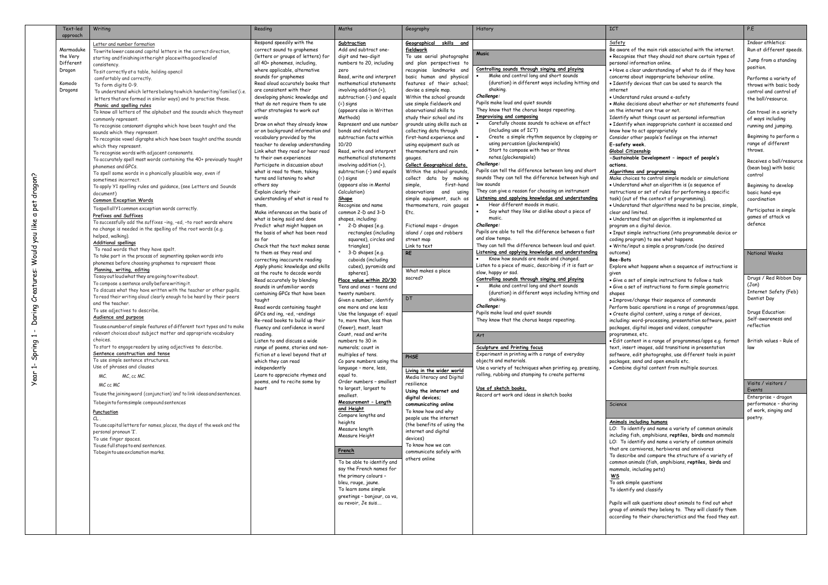Year 1- Spring 1 - Daring Creatures: Would you like a pet dragon?

Year 1- Spring 1 - Daring Creatures: Would you like a pet dragon?

| Text-led<br>approach  | Writing                                                                                                                                      | Reading                                                               | Maths                                                  | Geography                                             | History                                                                            | ICT                                                                                                                  | P.E                                               |
|-----------------------|----------------------------------------------------------------------------------------------------------------------------------------------|-----------------------------------------------------------------------|--------------------------------------------------------|-------------------------------------------------------|------------------------------------------------------------------------------------|----------------------------------------------------------------------------------------------------------------------|---------------------------------------------------|
|                       | Letter and number formation                                                                                                                  | Respond speedily with the                                             | Subtraction                                            | Geographical skills and                               |                                                                                    | Safety                                                                                                               | Indoor athletics:                                 |
| Marmaduke             | Towrite lower case and capital letters in the correct direction,                                                                             | correct sound to graphemes                                            | Add and subtract one-                                  | fieldwork<br>To use aerial photographs                | <b>Music</b>                                                                       | Be aware of the main risk associated with the internet                                                               | Run at different speeds.                          |
| the Very<br>Different | starting and finishing in the right place with a good level of                                                                               | (letters or groups of letters) for<br>all 40+ phonemes, including,    | digit and two-digit<br>numbers to 20, including        | and plan perspectives to                              |                                                                                    | • Recognise that they should not share certain types of<br>personal information online.                              | Jump from a standing                              |
| Dragon                | consistency.<br>To sit correctly at a table, holding apencil                                                                                 | where applicable, alternative                                         | zero                                                   | recognise landmarks and                               | Controlling sounds through singing and playing                                     | . Have a clear understanding of what to do if they have                                                              | position.                                         |
|                       | comfortably and correctly.                                                                                                                   | sounds for graphemes                                                  | Read, write and interpret                              | basic human and physical                              | Make and control long and short sounds                                             | concerns about inappropriate behaviour online.                                                                       | Performs a variety of                             |
| Komodo                | To form digits 0-9.                                                                                                                          | Read aloud accurately books that                                      | mathematical statements                                | features of their school;                             | (duration) in different ways including hitting and                                 | • Identify devices that can be used to search the                                                                    | throws with basic body                            |
| Dragons               | To understand which letters belong to which handwriting' families' (i.e.                                                                     | are consistent with their                                             | involving addition (+),                                | devise a simple map.                                  | shaking.                                                                           | internet                                                                                                             | control and control of                            |
|                       | letters that are formed in similar ways) and to practise these.                                                                              | developing phonic knowledge and<br>that do not require them to use    | subtraction (-) and equals                             | Within the school grounds<br>use simple fieldwork and | Challenge:<br>Pupils make loud and quiet sounds                                    | • Understand rules around e-safety<br>• Make decisions about whether or not statements found                         | the ball/resource.                                |
|                       | Phonic and spelling rules                                                                                                                    | other strategies to work out                                          | (=) signs<br>(appears also in Written                  | observational skills to                               | They know that the chorus keeps repeating.                                         | on the internet are true or not.                                                                                     |                                                   |
|                       | To know all letters of the alphabet and the sounds which theymost<br>commonly represent.                                                     | words                                                                 | Methods)                                               | study their school and its                            | Improvising and composing                                                          | Identify what things count as personal information                                                                   | Can travel in a variety<br>of ways including      |
|                       | To recognise consonant digraphs which have been taught and the                                                                               | Draw on what they already know                                        | Represent and use number                               | grounds using skills such as                          | Carefully choose sounds to achieve an effect                                       | • Identify when inappropriate content is accessed and                                                                | running and jumping.                              |
|                       | sounds which they represent                                                                                                                  | or on background information and                                      | bonds and related                                      | collecting data through                               | (including use of ICT)                                                             | know how to act appropriately                                                                                        |                                                   |
|                       | To recognise vowel digraphs which have been taught and the sounds                                                                            | vocabulary provided by the                                            | subtraction facts within                               | first-hand experience and                             | Create a simple rhythm sequence by clapping or<br>using percussion (glockenspiels) | Consider other people's feelings on the internet                                                                     | Beginning to perform a<br>range of different      |
|                       | which they represent.                                                                                                                        | teacher to develop understanding<br>Link what they read or hear read  | 10/20<br>Read, write and interpret                     | using equipment such as<br>thermometers and rain      | Start to compose with two or three                                                 | E-safety week.<br>Global Citizenship                                                                                 | throws.                                           |
|                       | To recognise words with adjacent consonants.<br>To accurately spell most words containing the 40+ previously taught                          | to their own experiences                                              | mathematical statements                                | gauges.                                               | notes.(glockenspiels)                                                              | -Sustainable Development - impact of people's                                                                        |                                                   |
|                       | phonemes and GPCs                                                                                                                            | Participate in discussion about                                       | involving addition (+),                                | <u>Collect Geographical data.</u>                     | Challenge:                                                                         | actions.                                                                                                             | Receives a ball/resource<br>(bean bag) with basic |
|                       | To spell some words in a phonically plausible way, even if                                                                                   | what is read to them, taking                                          | subtraction (-) and equals                             | Within the school grounds,                            | Pupils can tell the difference between long and short                              | Algorithms and programming                                                                                           | control                                           |
|                       | sometimes incorrect.                                                                                                                         | turns and listening to what                                           | (=) signs                                              | collect data by making                                | sounds They can tell the difference between high and                               | Make choices to control simple models or simulations                                                                 |                                                   |
|                       | To apply Y1 spelling rules and guidance, (see Letters and Sounds                                                                             | others say<br>Explain clearly their                                   | (appears also in Mental<br>Calculation)                | first-hand<br>simple,<br>observations and using       | low sounds<br>They can give a reason for choosing an instrument                    | . Understand what an algorithm is (a sequence of<br>instructions or set of rules for performing a specific           | Beginning to develop                              |
|                       | document)                                                                                                                                    | understanding of what is read to                                      | <u>Shape</u>                                           | simple equipment, such as                             | Listening and applying knowledge and understanding                                 | task) (out of the context of programming).                                                                           | basic hand-eye<br>coordination                    |
|                       | <b>Common Exception Words</b><br>Tospellall Y1 common exception words correctly.                                                             | them.                                                                 | Recognise and name                                     | thermometers, rain gauges                             | Hear different moods in music.                                                     | . Understand that algorithms need to be precise, simple,                                                             |                                                   |
|                       | Prefixes and Suffixes                                                                                                                        | Make inferences on the basis of                                       | common 2-D and 3-D                                     | Etc.                                                  | Say what they like or dislike about a piece of                                     | clear and limited.                                                                                                   | Participates in simple                            |
|                       | To successfully add the suffixes -ing, -ed, -to root words where                                                                             | what is being said and done                                           | shapes, including:                                     |                                                       | music.                                                                             | . Understand that an algorithm is implemented as                                                                     | games of attack vs<br>defence                     |
|                       | no change is needed in the spelling of the root words (e.g.                                                                                  | Predict what might happen on<br>the basis of what has been read       | 2-D shapes [e.g.]                                      | Fictional maps - dragon                               | Challenge:<br>Pupils are able to tell the difference between a fast                | program on a digital device.<br>· Input simple instructions (into programmable device or                             |                                                   |
|                       | helped, walking).                                                                                                                            | so far                                                                | rectangles (including<br>squares), circles and         | island / cops and robbers<br>street map               | and slow tempo.                                                                    | coding program) to see what happens.                                                                                 |                                                   |
|                       | <b>Additional spellings</b>                                                                                                                  | Check that the text makes sense                                       | triangles]                                             | Link to text                                          | They can tell the difference between loud and quiet.                               | · Write/input a simple a program/code (no desired                                                                    |                                                   |
|                       | To read words that they have spelt.<br>To take part in the process of segmenting spoken words into                                           | to them as they read and                                              | 3-D shapes [e.g.                                       | <b>RE</b>                                             | Listening and applying knowledge and understanding                                 | outcome)                                                                                                             | <b>National Weeks</b>                             |
|                       | phonemes before choosing graphemes to represent those                                                                                        | correcting inaccurate reading                                         | cuboids (including                                     |                                                       | Know how sounds are made and changed.                                              | Bee-Bots                                                                                                             |                                                   |
|                       | Planning, writing, editing                                                                                                                   | Apply phonic knowledge and skills<br>as the route to decode words     | cubes), pyramids and                                   | What makes a place                                    | Listen to a piece of music, describing if it is fast or<br>slow, happy or sad.     | Explore what happens when a sequence of instructions is                                                              |                                                   |
|                       | To say out loud what they are going to write about.                                                                                          | Read accurately by blending                                           | spheres].<br>Place value within 20/30                  | sacred?                                               | Controlling sounds through singing and playing                                     | given<br>· Give a set of simple instructions to follow a task                                                        | Drugs / Red Ribbon Day                            |
|                       | To compose a sentence orally before writing it.                                                                                              | sounds in unfamiliar words                                            | Tens and ones - teens and                              |                                                       | Make and control long and short sounds                                             | • Give a set of instructions to form simple geometric                                                                | (Jan)                                             |
|                       | To discuss what they have written with the teacher or other pupils.<br>To read their writing aloud clearly enough to be heard by their peers | containing GPCs that have been                                        | twenty numbers.                                        |                                                       | (duration) in different ways including hitting and                                 | shapes                                                                                                               | Internet Safety (Feb)                             |
|                       | and the teacher.                                                                                                                             | taught                                                                | Given a number, identify                               | <b>DT</b>                                             | shaking.                                                                           | • Improve/change their sequence of commands                                                                          | Dentist Day                                       |
|                       | To use adjectives to describe.                                                                                                               | Read words containing taught                                          | one more and one less<br>Use the language of: equal    |                                                       | Challenge:<br>Pupils make loud and quiet sounds                                    | Perform basic operations in a range of programmes/apps<br>· Create digital content, using a range of devices,        | Drugs Education:                                  |
|                       | Audience and purpose                                                                                                                         | GPCs and ing, -ed, -endings<br>Re-read books to build up their        | to, more than, less than                               |                                                       | They know that the chorus keeps repeating.                                         | including: word-processing, presentation software, paint                                                             | Self-awareness and                                |
|                       | Touse anumber of simple features of different text types and to make                                                                         | fluency and confidence in word                                        | (fewer), most, least                                   |                                                       |                                                                                    | packages, digital images and videos, computer                                                                        | reflection                                        |
|                       | relevant choices about subject matter and appropriate vocabulary                                                                             | reading.                                                              | Count, read and write                                  |                                                       | <b>Art</b>                                                                         | programmes, etc.                                                                                                     |                                                   |
|                       | choices.<br>To start to engage readers by using adjectives to describe.                                                                      | Listen to and discuss a wide                                          | numbers to 30 in                                       |                                                       |                                                                                    | · Edit content in a range of programmes/apps e.g. format                                                             | British values - Rule of                          |
|                       | Sentence construction and tense                                                                                                              | range of poems, stories and non-<br>fiction at a level beyond that at | numerals; count in<br>multiples of tens.               |                                                       | Sculpture and Printing focus<br>Experiment in printing with a range of everyday    | text, insert images, add transitions in presentation<br>software, edit photographs, use different tools in paint     | law                                               |
|                       | To use simple sentence structures.                                                                                                           | which they can read                                                   | Co pare numbers using the                              | PHSE                                                  | objects and materials.                                                             | packages, send and open emails etc.                                                                                  |                                                   |
|                       | Use of phrases and clauses                                                                                                                   | independently                                                         | language - more, less,                                 | Living in the wider world                             | Use a variety of techniques when printing eq. pressing,                            | • Combine digital content from multiple sources.                                                                     |                                                   |
|                       | MC.<br>MC, cc MC.                                                                                                                            | Learn to appreciate rhymes and                                        | egual to.                                              | Media literacy and Digital                            | rolling, rubbing and stamping to create patterns                                   |                                                                                                                      |                                                   |
|                       | MC cc MC                                                                                                                                     | poems, and to recite some by                                          | Order numbers - smallest                               | resilience                                            | Use of sketch books.                                                               |                                                                                                                      | Visits / visitors /                               |
|                       | Touse the joining word (conjunction) and to link ideas and sentences.                                                                        | heart                                                                 | to largest, largest to<br>smallest.                    | Using the internet and                                | Record art work and ideas in sketch books                                          |                                                                                                                      | Events                                            |
|                       | Tobegin to form simple compound sentences                                                                                                    |                                                                       | Measurement - Length                                   | digital devices;<br>communicating online              |                                                                                    | Science                                                                                                              | Enterprise - dragon<br>performance - sharing      |
|                       | <b>Punctuation</b>                                                                                                                           |                                                                       | <u>and Height</u>                                      | To know how and why                                   |                                                                                    |                                                                                                                      | of work, singing and                              |
|                       | CL.                                                                                                                                          |                                                                       | Compare lengths and                                    | people use the internet                               |                                                                                    |                                                                                                                      | poetry.                                           |
|                       | To use capital letters for names, places, the days of the week and the                                                                       |                                                                       | heights<br>Measure length                              | (the benefits of using the                            |                                                                                    | Animals including humans<br>LO: To identify and name a variety of common animals                                     |                                                   |
|                       | personal pronoun 'I'.                                                                                                                        |                                                                       | Measure Height                                         | internet and digital                                  |                                                                                    | including fish, amphibians, reptiles, birds and mammals                                                              |                                                   |
|                       | To use finger spaces.<br>Touse full stops to end sentences.                                                                                  |                                                                       |                                                        | devices)<br>To know how we can                        |                                                                                    | LO: To identify and name a variety of common animals                                                                 |                                                   |
|                       | Tobegintouse exclamation marks.                                                                                                              |                                                                       | French                                                 | communicate safely with                               |                                                                                    | that are carnivores, herbivores and omnivores                                                                        |                                                   |
|                       |                                                                                                                                              |                                                                       |                                                        | others online                                         |                                                                                    | To describe and compare the structure of a variety of                                                                |                                                   |
|                       |                                                                                                                                              |                                                                       | To be able to identify and<br>say the French names for |                                                       |                                                                                    | common animals (fish, amphibians, reptiles, birds and<br>mammals, including pets)                                    |                                                   |
|                       |                                                                                                                                              |                                                                       | the primary colours -                                  |                                                       |                                                                                    | <u>WS</u>                                                                                                            |                                                   |
|                       |                                                                                                                                              |                                                                       | bleu, rouge, jaune.                                    |                                                       |                                                                                    | To ask simple questions                                                                                              |                                                   |
|                       |                                                                                                                                              |                                                                       | To learn some simple                                   |                                                       |                                                                                    | To identify and classify                                                                                             |                                                   |
|                       |                                                                                                                                              |                                                                       | greetings - bonjour, ca va,                            |                                                       |                                                                                    |                                                                                                                      |                                                   |
|                       |                                                                                                                                              |                                                                       | au revoir, Je suis                                     |                                                       |                                                                                    | Pupils will ask questions about animals to find out what<br>group of animals they belong to. They will classify them |                                                   |
|                       |                                                                                                                                              |                                                                       |                                                        |                                                       |                                                                                    | according to their characteristics and the food they eat.                                                            |                                                   |
|                       |                                                                                                                                              |                                                                       |                                                        |                                                       |                                                                                    |                                                                                                                      |                                                   |
|                       |                                                                                                                                              |                                                                       |                                                        |                                                       |                                                                                    |                                                                                                                      |                                                   |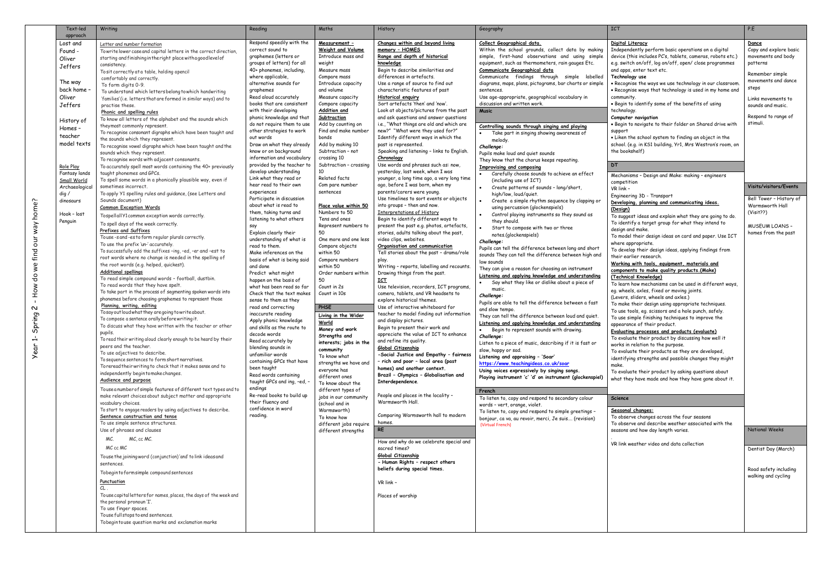| Text-led                     | Writing                                                                                                        | Reading                                                | Maths                                   | History                                                                           | Geography                                                                                                    | <b>ICT</b>                                                                                                        | P.E                                          |
|------------------------------|----------------------------------------------------------------------------------------------------------------|--------------------------------------------------------|-----------------------------------------|-----------------------------------------------------------------------------------|--------------------------------------------------------------------------------------------------------------|-------------------------------------------------------------------------------------------------------------------|----------------------------------------------|
| approach                     |                                                                                                                |                                                        |                                         |                                                                                   |                                                                                                              |                                                                                                                   |                                              |
| Lost and                     | Letter and number formation                                                                                    | Respond speedily with the                              | <u> Measurement -</u>                   | Changes within and beyond living                                                  | Collect Geographical data.                                                                                   | Digital Literacy                                                                                                  | Dance                                        |
| Found -                      | Towrite lower case and capital letters in the correct direction,                                               | correct sound to<br>graphemes (letters or              | Weight and Volume<br>Introduce mass and | memory - HOMES<br>Range and depth of historical                                   | Within the school grounds, collect data by making<br>simple, first-hand observations and using simple        | Independently perform basic operations on a digital<br>device (this includes PC's, tablets, cameras, robots etc.) | Copy and explore basic<br>movements and body |
| Oliver                       | starting and finishing in the right place with a good level of<br>consistency.                                 | groups of letters) for all                             | weight                                  | knowledge                                                                         | equipment, such as thermometers, rain gauges Etc.                                                            | e.g. switch on/off, log on/off, open/ close programmes                                                            | patterns                                     |
| Jeffers                      | To sit correctly at a table, holding apencil                                                                   | 40+ phonemes, including,                               | Measure mass                            | Begin to describe similarities and                                                | Communicate Geographical data                                                                                | and apps, enter text etc.                                                                                         |                                              |
|                              | comfortably and correctly.                                                                                     | where applicable,                                      | Compare mass                            | differences in artefacts.                                                         | Communicate findings through simple labelled                                                                 | Technology use                                                                                                    | Remember simple<br>movements and dance       |
| The way                      | To form digits 0-9.                                                                                            | alternative sounds for                                 | Introduce capacity                      | Use a range of source to find out                                                 | diagrams, maps, plans, pictograms, bar charts or simple                                                      | . Recognise the ways we use technology in our classroom.                                                          | steps                                        |
| back home<br>Oliver          | To understand which letters belong to which handwriting                                                        | graphemes<br>Read aloud accurately                     | and volume<br>Measure capacity          | characteristic features of past<br><b>Historical enquiry</b>                      | sentences.<br>Use age-appropriate, geographical vocabulary in                                                | . Recognise ways that technology is used in my home and<br>community.                                             |                                              |
| Jeffers                      | 'families'(i.e. letters that are formed in similar ways) and to<br>practise these.                             | books that are consistent                              | Compare capacity                        | Sort artefacts 'then' and 'now'.                                                  | discussion and written work.                                                                                 | . Begin to identify some of the benefits of using                                                                 | Links movements to<br>sounds and music.      |
|                              | Phonic and spelling rules                                                                                      | with their developing                                  | Addition and                            | Look at objects/pictures from the past                                            | <b>Music</b>                                                                                                 | technology.                                                                                                       |                                              |
| History of                   | To know all letters of the alphabet and the sounds which                                                       | phonic knowledge and that                              | Subtraction                             | and ask questions and answer questions                                            |                                                                                                              | Computer navigation                                                                                               | Respond to range of                          |
| Homes -                      | theymost commonly represent.                                                                                   | do not require them to use                             | Add by counting on                      | i.e., "What things are old and which are                                          | Controlling sounds through singing and playing                                                               | . Begin to navigate to their folder on Shared drive with                                                          | stimuli.                                     |
| teacher                      | To recognise consonant digraphs which have been taught and                                                     | other strategies to work<br>out words                  | Find and make number<br>bonds           | new?" "What were they used for?"<br>Identify different ways in which the          | Take part in singing showing awareness of                                                                    | support<br>. Liken the school system to finding an object in the                                                  |                                              |
| model texts                  | the sounds which they represent.<br>To recognise vowel digraphs which have been taught and the                 | Draw on what they already                              | Add by making 10                        | past is represented.                                                              | melody.<br>Challenge:                                                                                        | school. (e.g. in KS1 building, Yr1, Mrs Westron's room, on                                                        |                                              |
|                              | sounds which they represent.                                                                                   | know or on background                                  | Subtraction - not                       | Speaking and listening - links to English.                                        | Pupils make loud and quiet sounds                                                                            | the bookshelf)                                                                                                    |                                              |
|                              | To recognise words with adjacent consonants.                                                                   | information and vocabulary                             | crossing 10                             | Chronology                                                                        | They know that the chorus keeps repeating.                                                                   |                                                                                                                   |                                              |
| Role Play                    | To accurately spell most words containing the 40+ previously                                                   | provided by the teacher to                             | Subtraction - crossing<br>10            | Use words and phrases such as: now,<br>yesterday, last week, when I was           | Improvising and composing                                                                                    | <b>DT</b>                                                                                                         |                                              |
| Fantasy lands                | taught phonemes and GPCs.                                                                                      | develop understanding<br>Link what they read or        | Related facts                           | younger, a long time ago, a very long time                                        | Carefully choose sounds to achieve an effect                                                                 | Mechanisms - Design and Make: making - engineers                                                                  |                                              |
| Small World<br>Archaeologica | To spell some words in a phonically plausible way, even if<br>sometimes incorrect.                             | hear read to their own                                 | Com pare number                         | ago, before I was born, when my                                                   | (including use of ICT)<br>Create patterns of sounds - long/short,                                            | competition                                                                                                       | Visits/visitors/Events                       |
| dig /                        | To apply Y1 spelling rules and guidance, (see Letters and                                                      | experiences                                            | sentences                               | parents/carers were young.                                                        | high/low, loud/quiet.                                                                                        | VR link -<br>Engineering 3D - Transport                                                                           |                                              |
| dinosaurs                    | Sounds document)                                                                                               | Participate in discussion                              |                                         | Use timelines to sort events or objects                                           | Create a simple rhythm sequence by clapping or                                                               | Developing, planning and communicating ideas.                                                                     | Bell Tower - History of                      |
|                              | <b>Common Exception Words</b>                                                                                  | about what is read to<br>them, taking turns and        | Place value within 50<br>Numbers to 50  | into groups - then and now.<br>Interpretations of History                         | using percussion (glockenspiels)                                                                             | (Design)                                                                                                          | Warmsworth Hall                              |
| Hook - lost                  | TospellallY1 common exception words correctly.                                                                 | listening to what others                               | Tens and ones                           | Begin to identify different ways to                                               | Control playing instruments so they sound as                                                                 | To suggest ideas and explain what they are going to do.                                                           | (Visit??)                                    |
| Penguin                      | To spell days of the week correctly.                                                                           | say                                                    | Represent numbers to                    | present the past e.g. photos, artefacts,                                          | they should.<br>Start to compose with two or three                                                           | To identify a target group for what they intend to                                                                | <b>MUSEUM LOANS -</b>                        |
|                              | Prefixes and Suffixes                                                                                          | Explain clearly their                                  | 50                                      | stories, adults talking about the past,                                           | notes.(glockenspiels)                                                                                        | design and make.<br>To model their design ideas on card and paper. Use ICT                                        | homes from the past                          |
|                              | Touse-s and -es to form regular plurals correctly.<br>To use the prefix 'un-' accurately.                      | understanding of what is                               | One more and one less                   | video clips, websites.                                                            | Challenge:                                                                                                   | where appropriate.                                                                                                |                                              |
|                              | To successfully add the suffixes -ing, -ed, -er and -est to                                                    | read to them.<br>Make inferences on the                | Compare objects<br>within 50            | <u>Organisation and communication</u><br>Tell stories about the past - drama/role | Pupils can tell the difference between long and short                                                        | To develop their design ideas, applying findings from                                                             |                                              |
|                              | root words where no change is needed in the spelling of                                                        | basis of what is being said                            | Compare numbers                         | play.                                                                             | sounds They can tell the difference between high and                                                         | their earlier research.                                                                                           |                                              |
|                              | the root words (e.g. helped, quickest).                                                                        | and done                                               | within 50                               | Writing - reports, labelling and recounts.                                        | low sounds<br>They can give a reason for choosing an instrument                                              | Working with tools, equipment, materials and                                                                      |                                              |
|                              | <b>Additional spellings</b>                                                                                    | Predict what might                                     | Order numbers within                    | Drawing things from the past.                                                     | Listening and applying knowledge and understanding                                                           | components to make quality products. (Make)<br>(Technical Knowledge)                                              |                                              |
|                              | To read simple compound words - football, dustbin.<br>To read words that they have spelt.                      | happen on the basis of                                 | 50                                      | <u>іст</u>                                                                        | Say what they like or dislike about a piece of                                                               | To learn how mechanisms can be used in different ways,                                                            |                                              |
|                              | To take part in the process of segmenting spoken words into                                                    | what has been read so far<br>Check that the text makes | Count in 2s<br>Count in 10s             | Use television, recorders, ICT programs,<br>camera, tablets, and VR headsets to   | music.                                                                                                       | eg. wheels, axles, fixed or moving joints.                                                                        |                                              |
|                              | phonemes before choosing graphemes to represent those                                                          | sense to them as they                                  |                                         | explore historical themes.                                                        | Challenge:                                                                                                   | (Levers, sliders, wheels and axles.)                                                                              |                                              |
|                              | Planning, writing, editing                                                                                     | read and correcting                                    | <b>PHSE</b>                             | Use of interactive whiteboard for                                                 | Pupils are able to tell the difference between a fast<br>and slow tempo.                                     | To make their design using appropriate techniques.                                                                |                                              |
|                              | Tosay out loud what they are going to write about.                                                             | inaccurate reading                                     | Living in the Wider                     | teacher to model finding out information                                          | They can tell the difference between loud and quiet.                                                         | To use tools, eg. scissors and a hole punch, safely.<br>To use simple finishing techniques to improve the         |                                              |
|                              | To compose a sentence orally before writing it.<br>To discuss what they have written with the teacher or other | Apply phonic knowledge                                 | World                                   | and display pictures.<br>Begin to present their work and                          | Listening and applying knowledge and understanding                                                           | appearance of their product.                                                                                      |                                              |
|                              | pupils.                                                                                                        | and skills as the route to<br>decode words             | Money and work                          | appreciate the value of ICT to enhance                                            | Begin to represent sounds with drawing.                                                                      | Evaluating processes and products (evaluate)                                                                      |                                              |
|                              | To read their writing aloud clearly enough to be heard by their                                                | Read accurately by                                     | Strengths and<br>interests; jobs in the | and refine its quality.                                                           | Challenge:<br>Listen to a piece of music, describing if it is fast or                                        | To evaluate their product by discussing how well it                                                               |                                              |
|                              | peers and the teacher.                                                                                         | blending sounds in                                     | community                               | Global Citizenship                                                                | slow, happy or sad.                                                                                          | works in relation to the purpose.<br>To evaluate their products as they are developed,                            |                                              |
|                              | To use adjectives to describe.<br>To sequence sentences to form short narratives.                              | unfamiliar words                                       | To know what                            | -Social Justice and Empathy - fairness                                            | Listening and appraising - 'Soar'                                                                            | identifying strengths and possible changes they might                                                             |                                              |
|                              | To reread their writing to check that it makes sense and to                                                    | containing GPCs that have<br>been taught               | strengths we have and                   | rich and poor - local area (past<br>homes) and another context.                   | https://www.teachingideas.co.uk/soar                                                                         | make.                                                                                                             |                                              |
|                              | independently begintomakechanges.                                                                              | Read words containing                                  | everyone has<br>different ones          | Brazil - Olympics - Globalisation and                                             | Using voices expressively by singing songs.                                                                  | To evaluate their product by asking questions about                                                               |                                              |
|                              | Audience and purpose                                                                                           | taught GPCs and ing, -ed, -                            | To know about the                       | Interdependence.                                                                  | Playing instrument 'c' 'd' on instrument (glockenspiel)                                                      | what they have made and how they have gone about it.                                                              |                                              |
|                              | Touseanumber of simple features of different text types and to                                                 | endings                                                | different types of                      |                                                                                   | French                                                                                                       |                                                                                                                   |                                              |
|                              | make relevant choices about subject matter and appropriate                                                     | Re-read books to build up<br>their fluency and         | jobs in our community                   | - People and places in the locality<br>Warmsworth Hall.                           | To listen to, copy and respond to secondary colour                                                           | <b>Science</b>                                                                                                    |                                              |
|                              | vocabulary choices.<br>To start to engage readers by using adjectives to describe.                             | confidence in word                                     | (school and in<br>Warmsworth)           |                                                                                   | words - vert, orange, violet.                                                                                | Seasonal changes:                                                                                                 |                                              |
|                              | Sentence construction and tense                                                                                | reading.                                               | To know how                             | Comparing Warmsworth hall to modern                                               | To listen to, copy and respond to simple greetings -<br>bonjour, ca va, au revoir, merci, Je suis (revision) | To observe changes across the four seasons                                                                        |                                              |
|                              | To use simple sentence structures.                                                                             |                                                        | different jobs require                  | homes.                                                                            | (Virtual French)                                                                                             | To observe and describe weather associated with the                                                               |                                              |
|                              | Use of phrases and clauses                                                                                     |                                                        | different strengths                     | RE                                                                                |                                                                                                              | seasons and how day length varies.                                                                                | <b>National Weeks</b>                        |
|                              | MC, cc MC.<br>MC.                                                                                              |                                                        |                                         | How and why do we celebrate special and                                           |                                                                                                              |                                                                                                                   |                                              |
|                              | MC cc MC                                                                                                       |                                                        |                                         | sacred times?                                                                     |                                                                                                              | VR link weather video and data collection                                                                         | Dentist Day (March)                          |
|                              | Touse the joining word (conjunction) and to link ideas and                                                     |                                                        |                                         | Global Citizenship                                                                |                                                                                                              |                                                                                                                   |                                              |
|                              | sentences.                                                                                                     |                                                        |                                         | - Human Rights - respect others                                                   |                                                                                                              |                                                                                                                   |                                              |
|                              | Tobeginto formsimple compound sentences                                                                        |                                                        |                                         | beliefs during special times.                                                     |                                                                                                              |                                                                                                                   | Road safety including<br>walking and cycling |
|                              | Punctuation                                                                                                    |                                                        |                                         | VR link -                                                                         |                                                                                                              |                                                                                                                   |                                              |
|                              | $CL$ .                                                                                                         |                                                        |                                         |                                                                                   |                                                                                                              |                                                                                                                   |                                              |
|                              | To use capital letters for names, places, the days of the week and                                             |                                                        |                                         | Places of worship                                                                 |                                                                                                              |                                                                                                                   |                                              |
|                              | the personal pronoun 'I'.<br>To use finger spaces.                                                             |                                                        |                                         |                                                                                   |                                                                                                              |                                                                                                                   |                                              |
|                              | Touse full stops to end sentences.                                                                             |                                                        |                                         |                                                                                   |                                                                                                              |                                                                                                                   |                                              |
|                              | Tobegintouse question marks and exclamation marks                                                              |                                                        |                                         |                                                                                   |                                                                                                              |                                                                                                                   |                                              |
|                              |                                                                                                                |                                                        |                                         |                                                                                   |                                                                                                              |                                                                                                                   |                                              |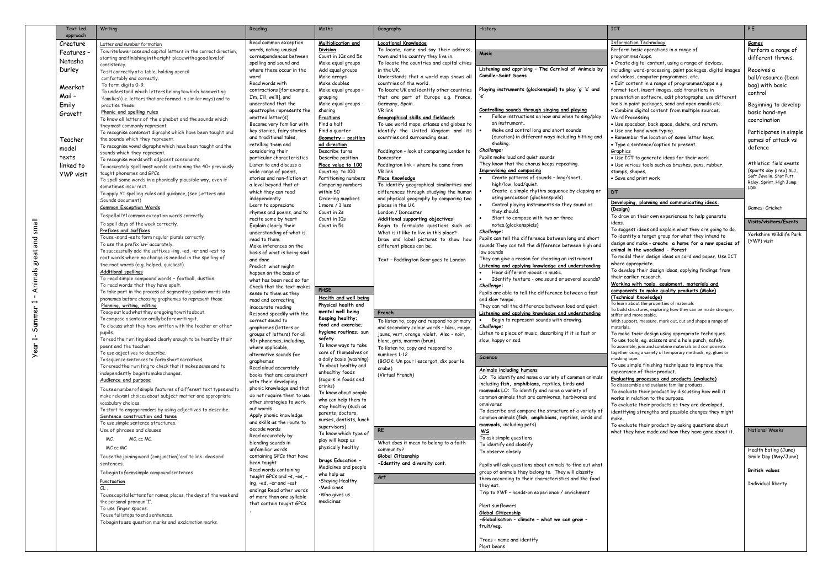| Text-led             | Writing                                                                                                        | Reading                                                | Maths                                            | Geography                                                                              | History                                                                                                         | <b>ICT</b>                                                                                                  | P.E                       |
|----------------------|----------------------------------------------------------------------------------------------------------------|--------------------------------------------------------|--------------------------------------------------|----------------------------------------------------------------------------------------|-----------------------------------------------------------------------------------------------------------------|-------------------------------------------------------------------------------------------------------------|---------------------------|
| approach<br>Creature | Letter and number formation                                                                                    | Read common exception                                  | Multiplication and                               | <b>Locational Knowledge</b>                                                            |                                                                                                                 | <b>Information Technology</b>                                                                               | <u>Games</u>              |
| Features ·           | Towrite lower case and capital letters in the correct direction                                                | words, noting unusual                                  | <b>Division</b>                                  | To locate, name and say their address                                                  |                                                                                                                 | Perform basic operations in a range of                                                                      | Perform a rar             |
|                      | starting and finishing in the right place with a good level of                                                 | correspondences between                                | Count in 10s and 5s                              | town and the country they live in.                                                     | <b>Music</b>                                                                                                    | programmes/apps.                                                                                            | different thr             |
| Natasha              | consistency.                                                                                                   | spelling and sound and                                 | Make equal groups                                | To locate the countries and capital cities                                             | Listening and apprising - The Carnival of Animals by                                                            | · Create digital content, using a range of devices,                                                         |                           |
| Durley               | To sit correctly at a table, holding apencil                                                                   | where these occur in the<br>word                       | Add equal groups<br>Make arrays                  | in the UK.<br>Understands that a world map shows all                                   | <b>Camille-Saint Saens</b>                                                                                      | including: word-processing, paint packages, digital images<br>and videos, computer programmes, etc.         | Receives a                |
|                      | comfortably and correctly.                                                                                     | Read words with                                        | Make doubles                                     | countries of the world.                                                                |                                                                                                                 | • Edit content in a range of programmes/apps e.g.                                                           | ball/resource             |
| Meerkat              | To form digits 0-9.<br>To understand which letters belong to which handwriting                                 | contractions [for example,                             | Make equal groups -                              | To locate UK and identify other countries                                              | Playing instruments (glockenspiel) to play 'g' 'c' and                                                          | format text, insert images, add transitions in                                                              | bag) with bas<br>control  |
| Mail-                | 'families' (i.e. letters that are formed in similar ways) and to                                               | I'm, I'll, we'll], and                                 | grouping                                         | that are part of Europe e.g. France,                                                   |                                                                                                                 | presentation software, edit photographs, use different                                                      |                           |
| Emily                | practise these.                                                                                                | understand that the                                    | Make equal groups -                              | Germany, Spain.                                                                        |                                                                                                                 | tools in paint packages, send and open emails etc.                                                          | Beginning to a            |
| Gravett              | Phonic and spelling rules                                                                                      | apostrophe represents the                              | sharing                                          | VR link<br>Geographical skills and fieldwork                                           | Controlling sounds through singing and playing<br>Follow instructions on how and when to sing/play              | · Combine digital content from multiple sources.<br>Word Processing                                         | basic hand-ey             |
|                      | To know all letters of the alphabet and the sounds which                                                       | omitted letter(s)<br>Become very familiar with         | <u>Fractions</u><br>Find a half                  | To use world maps, atlases and globes to                                               | an instrument                                                                                                   | · Use spacebar, back space, delete, and return.                                                             | coordination              |
|                      | theymost commonly represent.<br>To recognise consonant digraphs which have been taught and                     | key stories, fairy stories                             | Find a guarter                                   | identify the United Kingdom and its                                                    | Make and control long and short sounds                                                                          | · Use one hand when typing.                                                                                 | Participates i            |
| Teacher              | the sounds which they represent.                                                                               | and traditional tales,                                 | <u> Geometry - position</u>                      | countries and surrounding seas.                                                        | (duration) in different ways including hitting and                                                              | • Remember the location of some letter keys.                                                                | games of atto             |
| model                | To recognise vowel digraphs which have been taught and the                                                     | retelling them and                                     | ad direction                                     |                                                                                        | shaking.                                                                                                        | • Type a sentence/caption to present.                                                                       | defence                   |
| texts                | sounds which they represent.                                                                                   | considering their                                      | Describe turns                                   | Paddington - look at comparing London to                                               | Challenge:<br>Pupils make loud and quiet sounds                                                                 | Graphics                                                                                                    |                           |
| linked to            | To recognise words with adjacent consonants.                                                                   | particular characteristics<br>Listen to and discuss a  | Describe position<br>Place value to 100          | Doncaster<br>Paddington link - where he came from                                      | They know that the chorus keeps repeating.                                                                      | . Use ICT to generate ideas for their work<br>· Use various tools such as brushes, pens, rubber,            | Athletics: field          |
|                      | To accurately spell most words containing the 40+ previously<br>taught phonemes and GPCs.                      | wide range of poems,                                   | Counting to 100                                  | <b>VR</b> link                                                                         | <b>Improvising and composing</b>                                                                                | stamps, shapes.                                                                                             | (sports day pre           |
| <b>YWP</b> visit     | To spell some words in a phonically plausible way, even if                                                     | stories and non-fiction at                             | Partitioning numbers                             | Place Knowledge                                                                        | Create patterns of sounds - long/short,                                                                         | • Save and print work                                                                                       | Soft Javelin, Sho         |
|                      | sometimes incorrect.                                                                                           | a level beyond that at                                 | Comparing numbers                                | To identify geographical similarities and                                              | high/low, loud/quiet.                                                                                           |                                                                                                             | Relay, Sprint, Hig<br>LDR |
|                      | To apply Y1 spelling rules and guidance, (see Letters and                                                      | which they can read                                    | within 50                                        | differences through studying the human                                                 | Create a simple rhythm sequence by clapping or                                                                  | <b>DT</b>                                                                                                   |                           |
|                      | Sounds document)                                                                                               | independently<br>Learn to appreciate                   | Ordering numbers<br>1 more / 1 less              | and physical geography by comparing two<br>places in the UK.                           | using percussion (glockenspiels)<br>Control playing instruments so they sound as                                | Developing, planning and communicating ideas.                                                               |                           |
|                      | <b>Common Exception Words</b>                                                                                  | rhymes and poems, and to                               | Count in 2s                                      | London / Doncaster                                                                     | they should.                                                                                                    | (Design)                                                                                                    | Games: Cricket            |
|                      | TospellallY1 common exception words correctly.                                                                 | recite some by heart                                   | Count in 10s                                     | Additional supporting objectives:                                                      | Start to compose with two or three                                                                              | To draw on their own experiences to help generate                                                           | Visits/visitors/          |
|                      | To spell days of the week correctly.                                                                           | Explain clearly their                                  | Count in 5s                                      | Begin to formulate questions such as:                                                  | notes.(glockenspiels)                                                                                           | ideas<br>To suggest ideas and explain what they are going to do.                                            |                           |
|                      | Prefixes and Suffixes<br>To use-s and -es to form regular plurals correctly.                                   | understanding of what is                               |                                                  | What is it like to live in this place?                                                 | Challenge:                                                                                                      | To identify a target group for what they intend to                                                          | Yorkshire Wild            |
|                      | To use the prefix 'un-' accurately.                                                                            | read to them.<br>Make inferences on the                |                                                  | Draw and label pictures to show how                                                    | Pupils can tell the difference between long and short<br>sounds They can tell the difference between high and   | design and make - create a home for a new species of                                                        | (YWP) visit               |
|                      | To successfully add the suffixes -ing, -ed, -er and -est to                                                    | basis of what is being said                            |                                                  | different places can be.                                                               | low sounds                                                                                                      | animal in the woodland - Forest                                                                             |                           |
|                      | root words where no change is needed in the spelling of                                                        | and done                                               |                                                  | Text - Paddington Bear goes to London                                                  | They can give a reason for choosing an instrument                                                               | To model their design ideas on card and paper. Use ICT                                                      |                           |
|                      | the root words (e.g. helped, quickest).                                                                        | Predict what might                                     |                                                  |                                                                                        | Listening and applying knowledge and understanding                                                              | where appropriate.                                                                                          |                           |
|                      | <b>Additional spellings</b><br>To read simple compound words - football, dustbin.                              | happen on the basis of                                 |                                                  |                                                                                        | Hear different moods in music.                                                                                  | To develop their design ideas, applying findings from<br>their earlier research.                            |                           |
|                      | To read words that they have spelt.                                                                            | what has been read so far<br>Check that the text makes |                                                  |                                                                                        | Identify texture - one sound or several sounds?<br>Challenge:                                                   | Working with tools, equipment, materials and                                                                |                           |
|                      | To take part in the process of segmenting spoken words into                                                    | sense to them as they                                  | <b>PHSE</b>                                      |                                                                                        | Pupils are able to tell the difference between a fast                                                           | components to make quality products. (Make)                                                                 |                           |
|                      | phonemes before choosing graphemes to represent those                                                          | read and correcting                                    | Health and well being                            |                                                                                        | and slow tempo.                                                                                                 | (Technical Knowledge)                                                                                       |                           |
|                      | Planning, writing, editing                                                                                     | inaccurate reading                                     | Physical health and                              |                                                                                        | They can tell the difference between loud and quiet.                                                            | To learn about the properties of materials<br>To build structures, exploring how they can be made stronger, |                           |
|                      | Tosay out loud what they are going to write about.                                                             | Respond speedily with the                              | mental well being<br>Keeping healthy;            | French                                                                                 | Listening and applying knowledge and understanding                                                              | stiffer and more stable.                                                                                    |                           |
|                      | To compose a sentence orally before writing it.<br>To discuss what they have written with the teacher or other | correct sound to                                       | food and exercise;                               | To listen to, copy and respond to primary                                              | Begin to represent sounds with drawing.                                                                         | With support, measure, mark out, cut and shape a range of                                                   |                           |
|                      | pupils.                                                                                                        | graphemes (letters or<br>groups of letters) for all    | hygiene routines; sun                            | and secondary colour words - bleu, rouge,<br>jaune, vert, orange, violet. Also - noir, | Challenge:<br>Listen to a piece of music, describing if it is fast or                                           | materials.<br>To make their design using appropriate techniques.                                            |                           |
|                      | To read their writing aloud clearly enough to be heard by their                                                | 40+ phonemes, including,                               | safety                                           | blanc, gris, marron (brun).                                                            | slow, happy or sad.                                                                                             | To use tools, eq. scissors and a hole punch, safely.                                                        |                           |
|                      | peers and the teacher.                                                                                         | where applicable,                                      | To know ways to take                             | To listen to, copy and respond to                                                      |                                                                                                                 | To assemble, join and combine materials and components                                                      |                           |
|                      | To use adjectives to describe.                                                                                 | alternative sounds for                                 | care of themselves on<br>a daily basis (washing) | numbers 1-12                                                                           | <b>Science</b>                                                                                                  | together using a variety of temporary methods, eg. glues or<br>masking tape.                                |                           |
|                      | To sequence sentences to form short narratives.<br>To reread their writing to check that it makes sense and to | graphemes                                              | To about healthy and                             | (BOOK: Un pour l'escargot, dix pour le                                                 |                                                                                                                 | To use simple finishing techniques to improve the                                                           |                           |
|                      | independently begintomakechanges.                                                                              | Read aloud accurately<br>books that are consistent     | unhealthy foods                                  | crabe)<br>(Virtual French)                                                             | <b>Animals including humans</b>                                                                                 | appearance of their product.                                                                                |                           |
|                      | Audience and purpose                                                                                           | with their developing                                  | (sugars in foods and                             |                                                                                        | LO: To identify and name a variety of common animals                                                            | Evaluating processes and products (evaluate)                                                                |                           |
|                      | Touse a number of simple features of different text types and to                                               | phonic knowledge and that                              | drinks)                                          |                                                                                        | including fish, amphibians, reptiles, birds and<br>mammals LO: To identify and name a variety of                | To disassemble and evaluate familiar products.<br>To evaluate their product by discussing how well it       |                           |
|                      | make relevant choices about subject matter and appropriate                                                     | do not require them to use                             | To know about people<br>who can help them to     |                                                                                        | common animals that are carnivores, herbivores and                                                              | works in relation to the purpose.                                                                           |                           |
|                      | vocabulary choices.                                                                                            | other strategies to work                               | stay healthy (such as                            |                                                                                        | omnivores                                                                                                       | To evaluate their products as they are developed,                                                           |                           |
|                      | To start to engage readers by using adjectives to describe.                                                    | out words<br>Apply phonic knowledge                    | parents, doctors,                                |                                                                                        | To describe and compare the structure of a variety of                                                           | identifying strengths and possible changes they might                                                       |                           |
|                      | Sentence construction and tense<br>To use simple sentence structures.                                          | and skills as the route to                             | nurses, dentists, lunch                          |                                                                                        | common animals (fish, amphibians, reptiles, birds and                                                           |                                                                                                             |                           |
|                      | Use of phrases and clauses                                                                                     | decode words                                           | supervisors)                                     | <b>RE</b>                                                                              | mammals, including pets)<br>WS                                                                                  | To evaluate their product by asking questions about<br>what they have made and how they have gone about it. | <b>National Weeks</b>     |
|                      | MC.<br>MC, cc MC.                                                                                              | Read accurately by                                     | To know which type of<br>play will keep us       |                                                                                        | To ask simple questions                                                                                         |                                                                                                             |                           |
|                      | MC cc MC                                                                                                       | blending sounds in                                     | physically healthy                               | What does it mean to belong to a faith                                                 | To identify and classify                                                                                        |                                                                                                             |                           |
|                      |                                                                                                                | unfamiliar words<br>containing GPCs that have          |                                                  | community?<br>Global Citizenship                                                       | To observe closely                                                                                              |                                                                                                             | Health Eating (           |
|                      | Touse the joining word (conjunction) and to link ideas and<br>sentences.                                       | been taught                                            | <b>Drugs Education -</b>                         | -Identity and diversity cont.                                                          |                                                                                                                 |                                                                                                             | Smile Day (May            |
|                      | Tobeginto form simple compound sentences                                                                       | Read words containing                                  | Medicines and people                             |                                                                                        | Pupils will ask questions about animals to find out what<br>group of animals they belong to. They will classify |                                                                                                             | <b>British values</b>     |
|                      |                                                                                                                | taught GPCs and -s, -es, -                             | who help us                                      | Art                                                                                    | them according to their characteristics and the food                                                            |                                                                                                             |                           |
|                      | Punctuation<br>CL.                                                                                             | ing, -ed, -er and -est                                 | ·Staying Healthy<br>Medicines .                  |                                                                                        | they eat.                                                                                                       |                                                                                                             | Individual liber          |
|                      | To use capital letters for names, places, the days of the week and                                             | endings Read other words<br>of more than one syllable  | Who gives us                                     |                                                                                        | Trip to YWP - hands-on experience / enrichment                                                                  |                                                                                                             |                           |
|                      | the personal pronoun 'I'.                                                                                      | that contain taught GPCs                               | medicines                                        |                                                                                        |                                                                                                                 |                                                                                                             |                           |
|                      | To use finger spaces.                                                                                          |                                                        |                                                  |                                                                                        | Plant sunflowers<br>Global Citizenship                                                                          |                                                                                                             |                           |
|                      | Touse full stops to end sentences.                                                                             |                                                        |                                                  |                                                                                        | -Globalisation - climate - what we can grow -                                                                   |                                                                                                             |                           |
|                      | Tobegintouse question marks and exclamation marks.                                                             |                                                        |                                                  |                                                                                        | fruit/veg.                                                                                                      |                                                                                                             |                           |
|                      |                                                                                                                |                                                        |                                                  |                                                                                        |                                                                                                                 |                                                                                                             |                           |
|                      |                                                                                                                |                                                        |                                                  |                                                                                        | Trees - name and identify                                                                                       |                                                                                                             |                           |
|                      |                                                                                                                |                                                        |                                                  |                                                                                        | Plant beans                                                                                                     |                                                                                                             |                           |

| ICT                                                                                                        | P.E                              |
|------------------------------------------------------------------------------------------------------------|----------------------------------|
| <u> Information Technology</u>                                                                             | Games                            |
| Perform basic operations in a range of                                                                     | Perform a range of               |
| programmes/apps.                                                                                           | different throws.                |
| · Create digital content, using a range of devices,                                                        |                                  |
| including: word-processing, paint packages, digital images                                                 | Receives a                       |
| and videos, computer programmes, etc.                                                                      | ball/resource (bean              |
| · Edit content in a range of programmes/apps e.g.                                                          | bag) with basic                  |
| format text, insert images, add transitions in                                                             | control                          |
| presentation software, edit photographs, use different                                                     |                                  |
| tools in paint packages, send and open emails etc.                                                         | Beginning to develop             |
| · Combine digital content from multiple sources.                                                           | basic hand-eye                   |
| Word Processing                                                                                            | coordination                     |
| · Use spacebar, back space, delete, and return.<br>• Use one hand when typing.                             |                                  |
| . Remember the location of some letter keys.                                                               | Participates in simple           |
| • Type a sentence/caption to present.                                                                      | games of attack vs               |
| <b>Graphics</b>                                                                                            | defence                          |
| • Use ICT to generate ideas for their work                                                                 |                                  |
| · Use various tools such as brushes, pens, rubber,                                                         | Athletics: field events          |
| stamps, shapes.                                                                                            | (sports day prep) SLJ,           |
| • Save and print work                                                                                      | Soft Javelin, Shot Putt,         |
|                                                                                                            | Relay, Sprint, High Jump,<br>LDR |
| <b>DT</b>                                                                                                  |                                  |
| Developing, planning and communicating ideas.                                                              | Games: Cricket                   |
| <u>(Design)</u><br>To draw on their own experiences to help generate                                       |                                  |
| ideas.                                                                                                     | Visits/visitors/Events           |
| To suggest ideas and explain what they are going to do.                                                    | Yorkshire Wildlife Park          |
| To identify a target group for what they intend to                                                         | (YWP) visit                      |
| design and make - create a home for a new species of                                                       |                                  |
| animal in the woodland - Forest                                                                            |                                  |
| To model their design ideas on card and paper. Use ICT                                                     |                                  |
| where appropriate.                                                                                         |                                  |
| To develop their design ideas, applying findings from<br>their earlier research.                           |                                  |
| Working with tools, equipment, materials and                                                               |                                  |
| <u>components to make quality products.(Make)</u>                                                          |                                  |
| (Technical Knowledge)                                                                                      |                                  |
| To learn about the properties of materials                                                                 |                                  |
| To build structures, exploring how they can be made stronger,                                              |                                  |
| stiffer and more stable.                                                                                   |                                  |
| With support, measure, mark out, cut and shape a range of                                                  |                                  |
| materials.                                                                                                 |                                  |
| To make their design using appropriate techniques.<br>To use tools, eg. scissors and a hole punch, safely. |                                  |
| To assemble, join and combine materials and components                                                     |                                  |
| together using a variety of temporary methods, eg. glues or                                                |                                  |
| masking tape.                                                                                              |                                  |
| To use simple finishing techniques to improve the                                                          |                                  |
| appearance of their product.                                                                               |                                  |
| Evaluating processes and products (evaluate)                                                               |                                  |
| To disassemble and evaluate familiar products.                                                             |                                  |
| To evaluate their product by discussing how well it                                                        |                                  |
| works in relation to the purpose.<br>To evaluate their products as they are developed,                     |                                  |
| identifying strengths and possible changes they might                                                      |                                  |
| make.                                                                                                      |                                  |
| To evaluate their product by asking questions about                                                        |                                  |
| what they have made and how they have gone about it.                                                       | <b>National Weeks</b>            |
|                                                                                                            |                                  |
|                                                                                                            | Health Eating (June)             |
|                                                                                                            | Smile Day (May/June)             |
|                                                                                                            | British values                   |
|                                                                                                            |                                  |
|                                                                                                            | Individual liberty               |
|                                                                                                            |                                  |
|                                                                                                            |                                  |
|                                                                                                            |                                  |
|                                                                                                            |                                  |
|                                                                                                            |                                  |
|                                                                                                            |                                  |
|                                                                                                            |                                  |
|                                                                                                            |                                  |